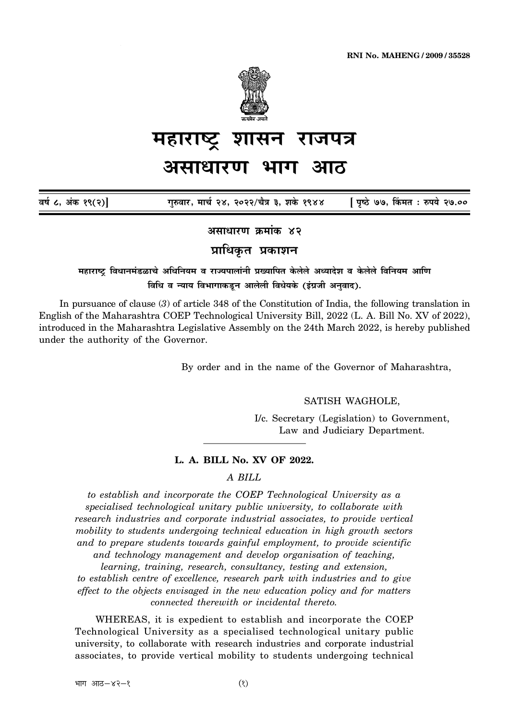

# <u>महाराष्ट्र</u> शासन राजपत्र

## <u>असाधारण भाग</u>

 $\overline{a}$ र्ष ८, अंक १९(२)] गुरुवार, मार्च २४, २०२२/चैत्र ३, शके १९४४ [ पृष्ठे ७७, किंमत : रुपये २७.००

<u>असाधारण क्रमांक ४२</u>

**प्राधिकत प्रकाशन** 

<del>म</del>हाराष्ट्र विधानमंडळाचे अधिनियम व राज्यपालांनी प्रख्यापित केलेले अध्यादेश व केलेले विनियम आणि **विधि व न्याय विभागाकडून आलेली विधेयके (इंग्रजी अनुवाद).** 

In pursuance of clause (*3*) of article 348 of the Constitution of India, the following translation in English of the Maharashtra COEP Technological University Bill, 2022 (L. A. Bill No. XV of 2022), introduced in the Maharashtra Legislative Assembly on the 24th March 2022, is hereby published under the authority of the Governor.

By order and in the name of the Governor of Maharashtra,

SATISH WAGHOLE,

I/c. Secretary (Legislation) to Government, Law and Judiciary Department.

## **L. A. BILL No. XV OF 2022.**

## *A BILL*

*to establish and incorporate the COEP Technological University as a specialised technological unitary public university, to collaborate with research industries and corporate industrial associates, to provide vertical mobility to students undergoing technical education in high growth sectors and to prepare students towards gainful employment, to provide scientific and technology management and develop organisation of teaching,*

*learning, training, research, consultancy, testing and extension,*

*to establish centre of excellence, research park with industries and to give effect to the objects envisaged in the new education policy and for matters connected therewith or incidental thereto.*

WHEREAS, it is expedient to establish and incorporate the COEP Technological University as a specialised technological unitary public university, to collaborate with research industries and corporate industrial associates, to provide vertical mobility to students undergoing technical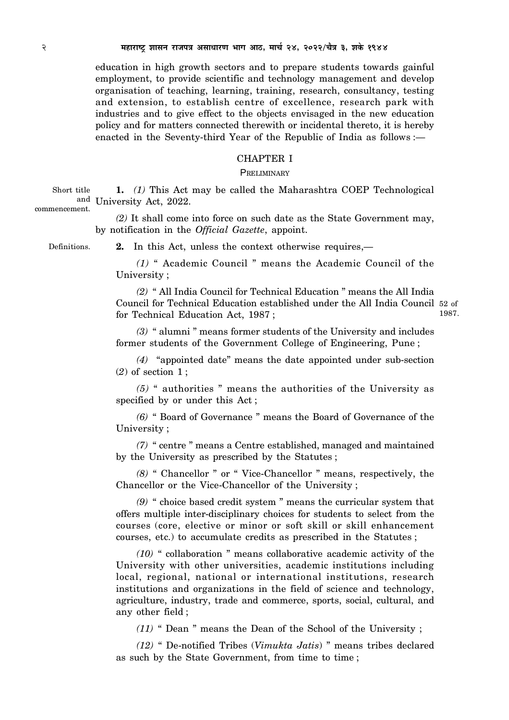education in high growth sectors and to prepare students towards gainful employment, to provide scientific and technology management and develop organisation of teaching, learning, training, research, consultancy, testing and extension, to establish centre of excellence, research park with industries and to give effect to the objects envisaged in the new education policy and for matters connected therewith or incidental thereto, it is hereby enacted in the Seventy-third Year of the Republic of India as follows :—

## CHAPTER I

## **PRELIMINARY**

**1.** *(1)* This Act may be called the Maharashtra COEP Technological and University Act, 2022. Short title commencement.

> *(2)* It shall come into force on such date as the State Government may, by notification in the *Official Gazette*, appoint.

Definitions.

**2.** In this Act, unless the context otherwise requires,—

*(1)* " Academic Council " means the Academic Council of the University ;

*(2)* " All India Council for Technical Education " means the All India Council for Technical Education established under the All India Council 52 of for Technical Education Act, 1987 ; 1987.

*(3)* " alumni " means former students of the University and includes former students of the Government College of Engineering, Pune ;

*(4)* "appointed date" means the date appointed under sub-section (*2*) of section 1 ;

*(5)* " authorities " means the authorities of the University as specified by or under this Act ;

*(6)* " Board of Governance " means the Board of Governance of the University ;

*(7)* " centre " means a Centre established, managed and maintained by the University as prescribed by the Statutes ;

*(8)* " Chancellor " or " Vice-Chancellor " means, respectively, the Chancellor or the Vice-Chancellor of the University ;

*(9)* " choice based credit system " means the curricular system that offers multiple inter-disciplinary choices for students to select from the courses (core, elective or minor or soft skill or skill enhancement courses, etc.) to accumulate credits as prescribed in the Statutes ;

*(10)* " collaboration " means collaborative academic activity of the University with other universities, academic institutions including local, regional, national or international institutions, research institutions and organizations in the field of science and technology, agriculture, industry, trade and commerce, sports, social, cultural, and any other field ;

*(11)* " Dean " means the Dean of the School of the University ;

*(12)* " De-notified Tribes (*Vimukta Jatis*) " means tribes declared as such by the State Government, from time to time ;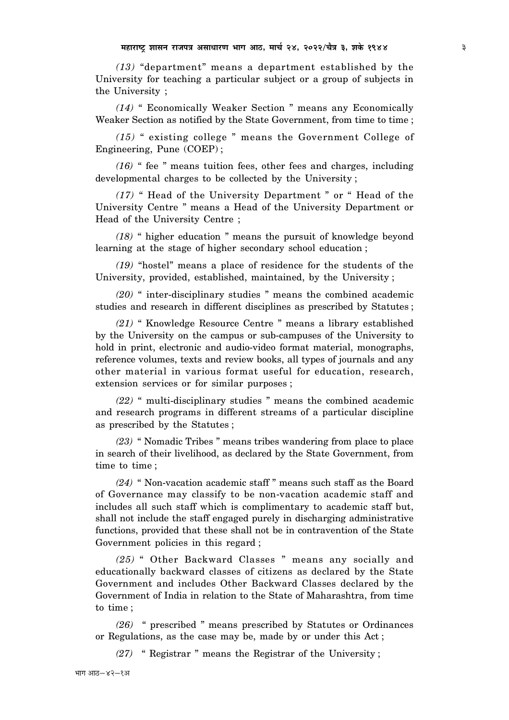*(13)* "department" means a department established by the University for teaching a particular subject or a group of subjects in the University ;

*(14)* " Economically Weaker Section " means any Economically Weaker Section as notified by the State Government, from time to time ;

*(15)* " existing college " means the Government College of Engineering, Pune (COEP) ;

*(16)* " fee " means tuition fees, other fees and charges, including developmental charges to be collected by the University ;

*(17)* " Head of the University Department " or " Head of the University Centre " means a Head of the University Department or Head of the University Centre ;

*(18)* " higher education " means the pursuit of knowledge beyond learning at the stage of higher secondary school education ;

*(19)* "hostel" means a place of residence for the students of the University, provided, established, maintained, by the University ;

*(20)* " inter-disciplinary studies " means the combined academic studies and research in different disciplines as prescribed by Statutes ;

*(21)* " Knowledge Resource Centre " means a library established by the University on the campus or sub-campuses of the University to hold in print, electronic and audio-video format material, monographs, reference volumes, texts and review books, all types of journals and any other material in various format useful for education, research, extension services or for similar purposes ;

*(22)* " multi-disciplinary studies " means the combined academic and research programs in different streams of a particular discipline as prescribed by the Statutes ;

*(23)* " Nomadic Tribes " means tribes wandering from place to place in search of their livelihood, as declared by the State Government, from time to time ;

*(24)* " Non-vacation academic staff " means such staff as the Board of Governance may classify to be non-vacation academic staff and includes all such staff which is complimentary to academic staff but, shall not include the staff engaged purely in discharging administrative functions, provided that these shall not be in contravention of the State Government policies in this regard ;

*(25)* " Other Backward Classes " means any socially and educationally backward classes of citizens as declared by the State Government and includes Other Backward Classes declared by the Government of India in relation to the State of Maharashtra, from time to time ;

*(26)* " prescribed " means prescribed by Statutes or Ordinances or Regulations, as the case may be, made by or under this Act ;

*(27)* " Registrar " means the Registrar of the University ;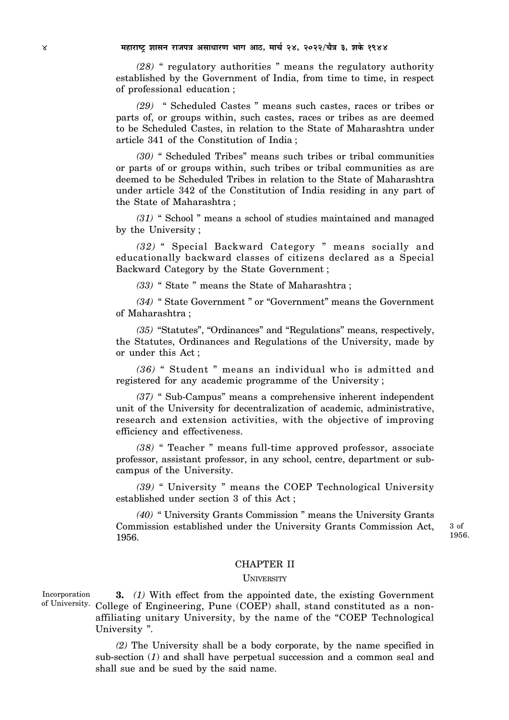*(28)* " regulatory authorities " means the regulatory authority established by the Government of India, from time to time, in respect of professional education ;

*(29)* " Scheduled Castes " means such castes, races or tribes or parts of, or groups within, such castes, races or tribes as are deemed to be Scheduled Castes, in relation to the State of Maharashtra under article 341 of the Constitution of India ;

*(30)* " Scheduled Tribes" means such tribes or tribal communities or parts of or groups within, such tribes or tribal communities as are deemed to be Scheduled Tribes in relation to the State of Maharashtra under article 342 of the Constitution of India residing in any part of the State of Maharashtra ;

*(31)* " School " means a school of studies maintained and managed by the University ;

*(32)* " Special Backward Category " means socially and educationally backward classes of citizens declared as a Special Backward Category by the State Government ;

*(33)* " State " means the State of Maharashtra ;

*(34)* " State Government " or "Government" means the Government of Maharashtra ;

*(35)* "Statutes", "Ordinances" and "Regulations" means, respectively, the Statutes, Ordinances and Regulations of the University, made by or under this Act ;

*(36)* " Student " means an individual who is admitted and registered for any academic programme of the University ;

*(37)* " Sub-Campus" means a comprehensive inherent independent unit of the University for decentralization of academic, administrative, research and extension activities, with the objective of improving efficiency and effectiveness.

*(38)* " Teacher " means full-time approved professor, associate professor, assistant professor, in any school, centre, department or subcampus of the University.

*(39)* " University " means the COEP Technological University established under section 3 of this Act ;

*(40)* " University Grants Commission " means the University Grants Commission established under the University Grants Commission Act, 1956.

3 of 1956.

#### CHAPTER II

#### **UNIVERSITY**

**3.** *(1)* With effect from the appointed date, the existing Government of University. College of Engineering, Pune (COEP) shall, stand constituted as a nonaffiliating unitary University, by the name of the "COEP Technological University ". Incorporation

> *(2)* The University shall be a body corporate, by the name specified in sub-section (*1*) and shall have perpetual succession and a common seal and shall sue and be sued by the said name.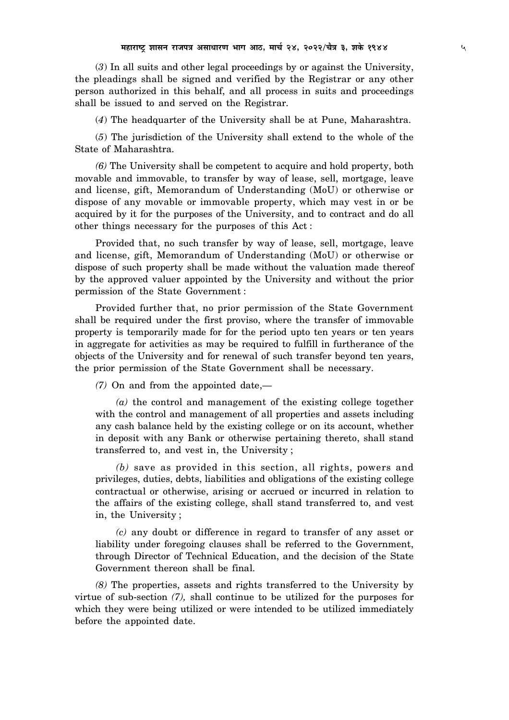(*3*) In all suits and other legal proceedings by or against the University, the pleadings shall be signed and verified by the Registrar or any other person authorized in this behalf, and all process in suits and proceedings shall be issued to and served on the Registrar.

(*4*) The headquarter of the University shall be at Pune, Maharashtra.

(*5*) The jurisdiction of the University shall extend to the whole of the State of Maharashtra.

*(6)* The University shall be competent to acquire and hold property, both movable and immovable, to transfer by way of lease, sell, mortgage, leave and license, gift, Memorandum of Understanding (MoU) or otherwise or dispose of any movable or immovable property, which may vest in or be acquired by it for the purposes of the University, and to contract and do all other things necessary for the purposes of this Act :

Provided that, no such transfer by way of lease, sell, mortgage, leave and license, gift, Memorandum of Understanding (MoU) or otherwise or dispose of such property shall be made without the valuation made thereof by the approved valuer appointed by the University and without the prior permission of the State Government :

Provided further that, no prior permission of the State Government shall be required under the first proviso, where the transfer of immovable property is temporarily made for for the period upto ten years or ten years in aggregate for activities as may be required to fulfill in furtherance of the objects of the University and for renewal of such transfer beyond ten years, the prior permission of the State Government shall be necessary.

*(7)* On and from the appointed date,—

*(a)* the control and management of the existing college together with the control and management of all properties and assets including any cash balance held by the existing college or on its account, whether in deposit with any Bank or otherwise pertaining thereto, shall stand transferred to, and vest in, the University ;

*(b)* save as provided in this section, all rights, powers and privileges, duties, debts, liabilities and obligations of the existing college contractual or otherwise, arising or accrued or incurred in relation to the affairs of the existing college, shall stand transferred to, and vest in, the University ;

*(c)* any doubt or difference in regard to transfer of any asset or liability under foregoing clauses shall be referred to the Government, through Director of Technical Education, and the decision of the State Government thereon shall be final.

*(8)* The properties, assets and rights transferred to the University by virtue of sub-section *(7),* shall continue to be utilized for the purposes for which they were being utilized or were intended to be utilized immediately before the appointed date.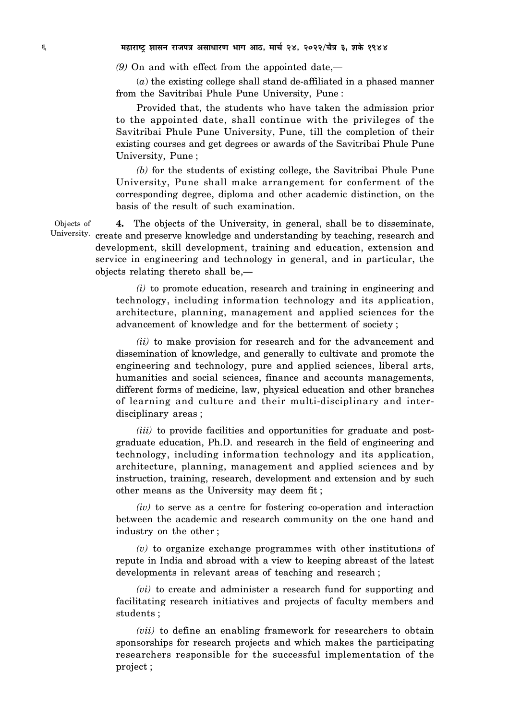*(9)* On and with effect from the appointed date,—

(*a*) the existing college shall stand de-affiliated in a phased manner from the Savitribai Phule Pune University, Pune :

Provided that, the students who have taken the admission prior to the appointed date, shall continue with the privileges of the Savitribai Phule Pune University, Pune, till the completion of their existing courses and get degrees or awards of the Savitribai Phule Pune University, Pune ;

*(b)* for the students of existing college, the Savitribai Phule Pune University, Pune shall make arrangement for conferment of the corresponding degree, diploma and other academic distinction, on the basis of the result of such examination.

**4.** The objects of the University, in general, shall be to disseminate, University. create and preserve knowledge and understanding by teaching, research and development, skill development, training and education, extension and service in engineering and technology in general, and in particular, the objects relating thereto shall be,— Objects of

> *(i)* to promote education, research and training in engineering and technology, including information technology and its application, architecture, planning, management and applied sciences for the advancement of knowledge and for the betterment of society ;

> *(ii)* to make provision for research and for the advancement and dissemination of knowledge, and generally to cultivate and promote the engineering and technology, pure and applied sciences, liberal arts, humanities and social sciences, finance and accounts managements, different forms of medicine, law, physical education and other branches of learning and culture and their multi-disciplinary and interdisciplinary areas ;

> *(iii)* to provide facilities and opportunities for graduate and postgraduate education, Ph.D. and research in the field of engineering and technology, including information technology and its application, architecture, planning, management and applied sciences and by instruction, training, research, development and extension and by such other means as the University may deem fit ;

> *(iv)* to serve as a centre for fostering co-operation and interaction between the academic and research community on the one hand and industry on the other ;

> *(v)* to organize exchange programmes with other institutions of repute in India and abroad with a view to keeping abreast of the latest developments in relevant areas of teaching and research ;

> *(vi)* to create and administer a research fund for supporting and facilitating research initiatives and projects of faculty members and students ;

> *(vii)* to define an enabling framework for researchers to obtain sponsorships for research projects and which makes the participating researchers responsible for the successful implementation of the project ;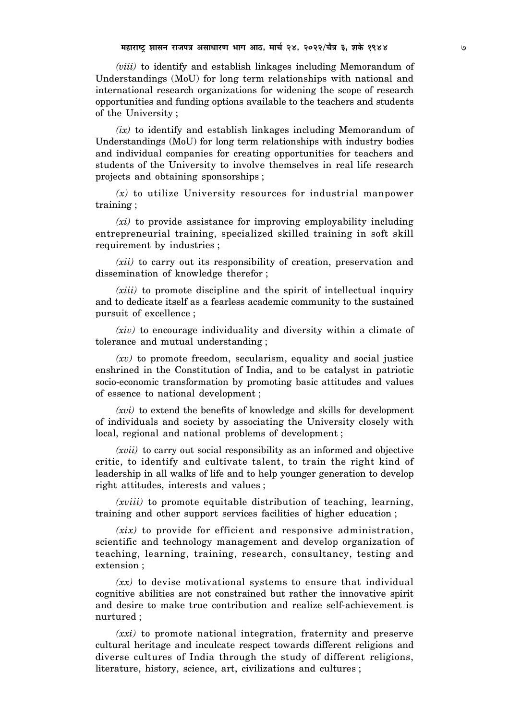*(viii)* to identify and establish linkages including Memorandum of Understandings (MoU) for long term relationships with national and international research organizations for widening the scope of research opportunities and funding options available to the teachers and students of the University ;

*(ix)* to identify and establish linkages including Memorandum of Understandings (MoU) for long term relationships with industry bodies and individual companies for creating opportunities for teachers and students of the University to involve themselves in real life research projects and obtaining sponsorships ;

*(x)* to utilize University resources for industrial manpower training ;

*(xi)* to provide assistance for improving employability including entrepreneurial training, specialized skilled training in soft skill requirement by industries ;

*(xii)* to carry out its responsibility of creation, preservation and dissemination of knowledge therefor ;

*(xiii)* to promote discipline and the spirit of intellectual inquiry and to dedicate itself as a fearless academic community to the sustained pursuit of excellence ;

*(xiv)* to encourage individuality and diversity within a climate of tolerance and mutual understanding ;

*(xv)* to promote freedom, secularism, equality and social justice enshrined in the Constitution of India, and to be catalyst in patriotic socio-economic transformation by promoting basic attitudes and values of essence to national development ;

*(xvi)* to extend the benefits of knowledge and skills for development of individuals and society by associating the University closely with local, regional and national problems of development ;

*(xvii)* to carry out social responsibility as an informed and objective critic, to identify and cultivate talent, to train the right kind of leadership in all walks of life and to help younger generation to develop right attitudes, interests and values ;

*(xviii)* to promote equitable distribution of teaching, learning, training and other support services facilities of higher education ;

*(xix)* to provide for efficient and responsive administration, scientific and technology management and develop organization of teaching, learning, training, research, consultancy, testing and extension ;

*(xx)* to devise motivational systems to ensure that individual cognitive abilities are not constrained but rather the innovative spirit and desire to make true contribution and realize self-achievement is nurtured ;

*(xxi)* to promote national integration, fraternity and preserve cultural heritage and inculcate respect towards different religions and diverse cultures of India through the study of different religions, literature, history, science, art, civilizations and cultures ;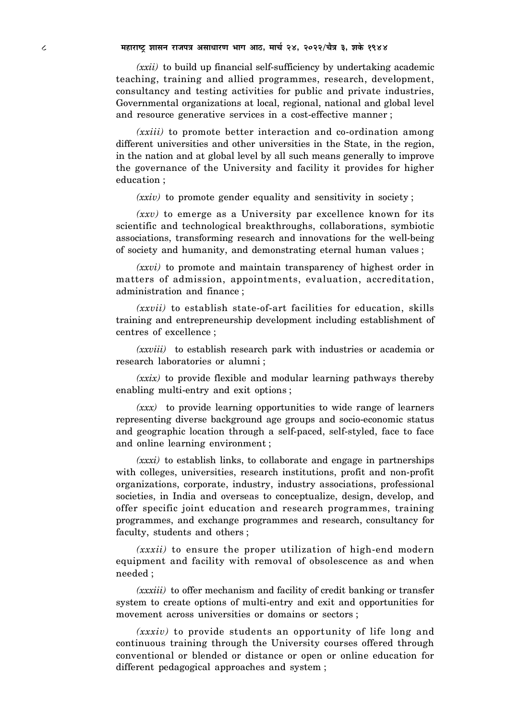8 **¨É½þÉ®úɹ]Åõ ¶ÉɺÉxÉ ®úÉVÉ{ÉjÉ +ºÉÉvÉÉ®úhÉ ¦ÉÉMÉ +É`ö, ¨ÉÉSÉÇ 24, 2022/SÉèjÉ 3, ¶ÉEäò 1944**

*(xxii)* to build up financial self-sufficiency by undertaking academic teaching, training and allied programmes, research, development, consultancy and testing activities for public and private industries, Governmental organizations at local, regional, national and global level and resource generative services in a cost-effective manner ;

*(xxiii)* to promote better interaction and co-ordination among different universities and other universities in the State, in the region, in the nation and at global level by all such means generally to improve the governance of the University and facility it provides for higher education ;

*(xxiv)* to promote gender equality and sensitivity in society ;

*(xxv)* to emerge as a University par excellence known for its scientific and technological breakthroughs, collaborations, symbiotic associations, transforming research and innovations for the well-being of society and humanity, and demonstrating eternal human values ;

*(xxvi)* to promote and maintain transparency of highest order in matters of admission, appointments, evaluation, accreditation, administration and finance ;

*(xxvii)* to establish state-of-art facilities for education, skills training and entrepreneurship development including establishment of centres of excellence ;

*(xxviii)* to establish research park with industries or academia or research laboratories or alumni ;

*(xxix)* to provide flexible and modular learning pathways thereby enabling multi-entry and exit options ;

*(xxx)* to provide learning opportunities to wide range of learners representing diverse background age groups and socio-economic status and geographic location through a self-paced, self-styled, face to face and online learning environment ;

*(xxxi)* to establish links, to collaborate and engage in partnerships with colleges, universities, research institutions, profit and non-profit organizations, corporate, industry, industry associations, professional societies, in India and overseas to conceptualize, design, develop, and offer specific joint education and research programmes, training programmes, and exchange programmes and research, consultancy for faculty, students and others ;

*(xxxii)* to ensure the proper utilization of high-end modern equipment and facility with removal of obsolescence as and when needed ;

*(xxxiii)* to offer mechanism and facility of credit banking or transfer system to create options of multi-entry and exit and opportunities for movement across universities or domains or sectors ;

*(xxxiv)* to provide students an opportunity of life long and continuous training through the University courses offered through conventional or blended or distance or open or online education for different pedagogical approaches and system ;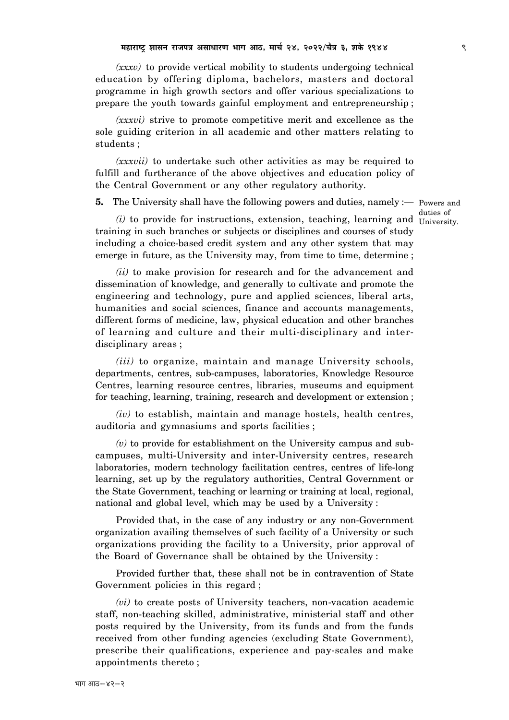*(xxxv)* to provide vertical mobility to students undergoing technical education by offering diploma, bachelors, masters and doctoral programme in high growth sectors and offer various specializations to prepare the youth towards gainful employment and entrepreneurship ;

*(xxxvi)* strive to promote competitive merit and excellence as the sole guiding criterion in all academic and other matters relating to students ;

*(xxxvii)* to undertake such other activities as may be required to fulfill and furtherance of the above objectives and education policy of the Central Government or any other regulatory authority.

**5.** The University shall have the following powers and duties, namely :— Powers and

duties of

 $(i)$  to provide for instructions, extension, teaching, learning and  $\frac{d}{d}$  University. training in such branches or subjects or disciplines and courses of study including a choice-based credit system and any other system that may emerge in future, as the University may, from time to time, determine ;

*(ii)* to make provision for research and for the advancement and dissemination of knowledge, and generally to cultivate and promote the engineering and technology, pure and applied sciences, liberal arts, humanities and social sciences, finance and accounts managements, different forms of medicine, law, physical education and other branches of learning and culture and their multi-disciplinary and interdisciplinary areas ;

*(iii)* to organize, maintain and manage University schools, departments, centres, sub-campuses, laboratories, Knowledge Resource Centres, learning resource centres, libraries, museums and equipment for teaching, learning, training, research and development or extension ;

*(iv)* to establish, maintain and manage hostels, health centres, auditoria and gymnasiums and sports facilities ;

*(v)* to provide for establishment on the University campus and subcampuses, multi-University and inter-University centres, research laboratories, modern technology facilitation centres, centres of life-long learning, set up by the regulatory authorities, Central Government or the State Government, teaching or learning or training at local, regional, national and global level, which may be used by a University :

Provided that, in the case of any industry or any non-Government organization availing themselves of such facility of a University or such organizations providing the facility to a University, prior approval of the Board of Governance shall be obtained by the University :

Provided further that, these shall not be in contravention of State Government policies in this regard ;

*(vi)* to create posts of University teachers, non-vacation academic staff, non-teaching skilled, administrative, ministerial staff and other posts required by the University, from its funds and from the funds received from other funding agencies (excluding State Government), prescribe their qualifications, experience and pay-scales and make appointments thereto ;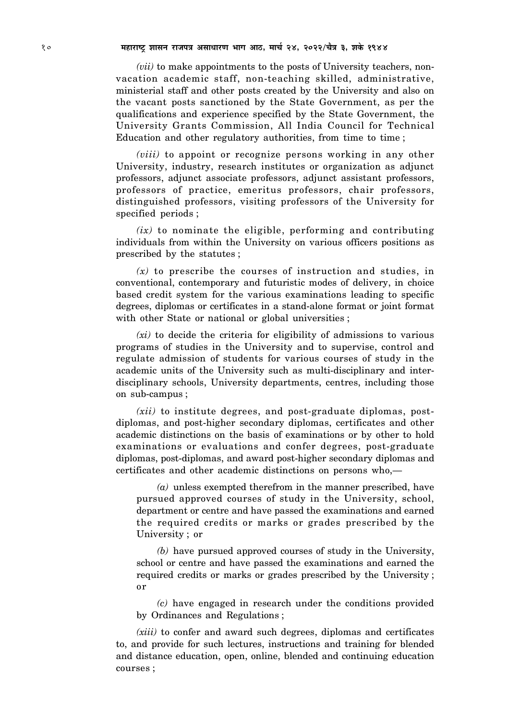## 10 **¨É½þÉ®úɹ]Åõ ¶ÉɺÉxÉ ®úÉVÉ{ÉjÉ +ºÉÉvÉÉ®úhÉ ¦ÉÉMÉ +É`ö, ¨ÉÉSÉÇ 24, 2022/SÉèjÉ 3, ¶ÉEäò 1944**

*(vii)* to make appointments to the posts of University teachers, nonvacation academic staff, non-teaching skilled, administrative, ministerial staff and other posts created by the University and also on the vacant posts sanctioned by the State Government, as per the qualifications and experience specified by the State Government, the University Grants Commission, All India Council for Technical Education and other regulatory authorities, from time to time ;

*(viii)* to appoint or recognize persons working in any other University, industry, research institutes or organization as adjunct professors, adjunct associate professors, adjunct assistant professors, professors of practice, emeritus professors, chair professors, distinguished professors, visiting professors of the University for specified periods ;

*(ix)* to nominate the eligible, performing and contributing individuals from within the University on various officers positions as prescribed by the statutes ;

*(x)* to prescribe the courses of instruction and studies, in conventional, contemporary and futuristic modes of delivery, in choice based credit system for the various examinations leading to specific degrees, diplomas or certificates in a stand-alone format or joint format with other State or national or global universities;

*(xi)* to decide the criteria for eligibility of admissions to various programs of studies in the University and to supervise, control and regulate admission of students for various courses of study in the academic units of the University such as multi-disciplinary and interdisciplinary schools, University departments, centres, including those on sub-campus ;

*(xii)* to institute degrees, and post-graduate diplomas, postdiplomas, and post-higher secondary diplomas, certificates and other academic distinctions on the basis of examinations or by other to hold examinations or evaluations and confer degrees, post-graduate diplomas, post-diplomas, and award post-higher secondary diplomas and certificates and other academic distinctions on persons who,—

*(a)* unless exempted therefrom in the manner prescribed, have pursued approved courses of study in the University, school, department or centre and have passed the examinations and earned the required credits or marks or grades prescribed by the University ; or

*(b)* have pursued approved courses of study in the University, school or centre and have passed the examinations and earned the required credits or marks or grades prescribed by the University ; or

*(c)* have engaged in research under the conditions provided by Ordinances and Regulations ;

*(xiii)* to confer and award such degrees, diplomas and certificates to, and provide for such lectures, instructions and training for blended and distance education, open, online, blended and continuing education courses ;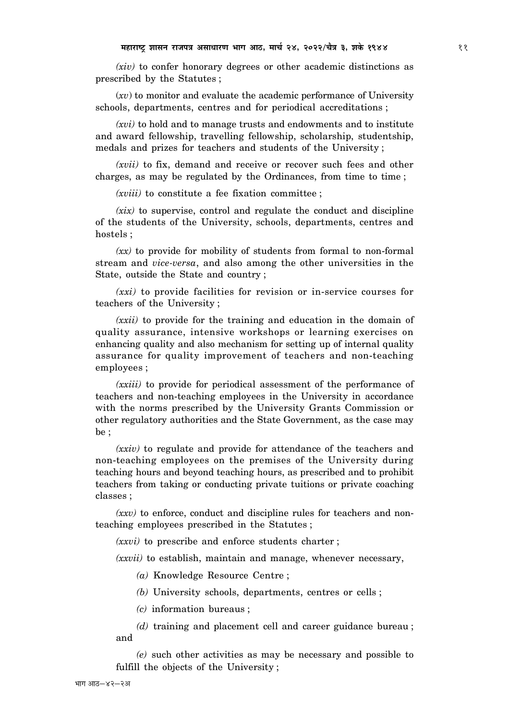*(xiv)* to confer honorary degrees or other academic distinctions as prescribed by the Statutes ;

(*xv*) to monitor and evaluate the academic performance of University schools, departments, centres and for periodical accreditations ;

*(xvi)* to hold and to manage trusts and endowments and to institute and award fellowship, travelling fellowship, scholarship, studentship, medals and prizes for teachers and students of the University ;

*(xvii)* to fix, demand and receive or recover such fees and other charges, as may be regulated by the Ordinances, from time to time ;

*(xviii)* to constitute a fee fixation committee ;

*(xix)* to supervise, control and regulate the conduct and discipline of the students of the University, schools, departments, centres and hostels ;

*(xx)* to provide for mobility of students from formal to non-formal stream and *vice-versa*, and also among the other universities in the State, outside the State and country ;

*(xxi)* to provide facilities for revision or in-service courses for teachers of the University ;

*(xxii)* to provide for the training and education in the domain of quality assurance, intensive workshops or learning exercises on enhancing quality and also mechanism for setting up of internal quality assurance for quality improvement of teachers and non-teaching employees ;

*(xxiii)* to provide for periodical assessment of the performance of teachers and non-teaching employees in the University in accordance with the norms prescribed by the University Grants Commission or other regulatory authorities and the State Government, as the case may be ;

*(xxiv)* to regulate and provide for attendance of the teachers and non-teaching employees on the premises of the University during teaching hours and beyond teaching hours, as prescribed and to prohibit teachers from taking or conducting private tuitions or private coaching classes ;

*(xxv)* to enforce, conduct and discipline rules for teachers and nonteaching employees prescribed in the Statutes ;

*(xxvi)* to prescribe and enforce students charter ;

*(xxvii)* to establish, maintain and manage, whenever necessary,

*(a)* Knowledge Resource Centre ;

*(b)* University schools, departments, centres or cells ;

*(c)* information bureaus ;

*(d)* training and placement cell and career guidance bureau ; and

*(e)* such other activities as may be necessary and possible to fulfill the objects of the University ;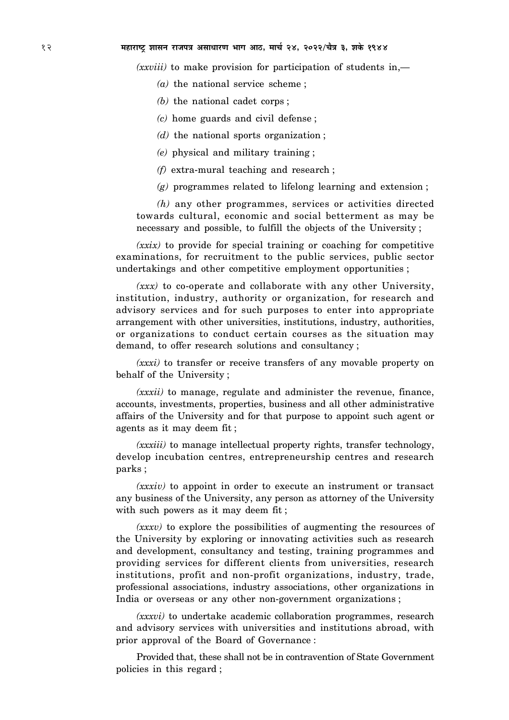## 12 **¨É½þÉ®úɹ]Åõ ¶ÉɺÉxÉ ®úÉVÉ{ÉjÉ +ºÉÉvÉÉ®úhÉ ¦ÉÉMÉ +É`ö, ¨ÉÉSÉÇ 24, 2022/SÉèjÉ 3, ¶ÉEäò 1944**

*(xxviii)* to make provision for participation of students in,—

- *(a)* the national service scheme ;
- *(b)* the national cadet corps ;
- *(c)* home guards and civil defense ;
- *(d)* the national sports organization ;
- *(e)* physical and military training ;
- *(f)* extra-mural teaching and research ;
- *(g)* programmes related to lifelong learning and extension ;

*(h)* any other programmes, services or activities directed towards cultural, economic and social betterment as may be necessary and possible, to fulfill the objects of the University ;

*(xxix)* to provide for special training or coaching for competitive examinations, for recruitment to the public services, public sector undertakings and other competitive employment opportunities ;

*(xxx)* to co-operate and collaborate with any other University, institution, industry, authority or organization, for research and advisory services and for such purposes to enter into appropriate arrangement with other universities, institutions, industry, authorities, or organizations to conduct certain courses as the situation may demand, to offer research solutions and consultancy ;

*(xxxi)* to transfer or receive transfers of any movable property on behalf of the University ;

*(xxxii)* to manage, regulate and administer the revenue, finance, accounts, investments, properties, business and all other administrative affairs of the University and for that purpose to appoint such agent or agents as it may deem fit ;

*(xxxiii)* to manage intellectual property rights, transfer technology, develop incubation centres, entrepreneurship centres and research parks ;

*(xxxiv)* to appoint in order to execute an instrument or transact any business of the University, any person as attorney of the University with such powers as it may deem fit;

*(xxxv)* to explore the possibilities of augmenting the resources of the University by exploring or innovating activities such as research and development, consultancy and testing, training programmes and providing services for different clients from universities, research institutions, profit and non-profit organizations, industry, trade, professional associations, industry associations, other organizations in India or overseas or any other non-government organizations ;

*(xxxvi)* to undertake academic collaboration programmes, research and advisory services with universities and institutions abroad, with prior approval of the Board of Governance :

Provided that, these shall not be in contravention of State Government policies in this regard ;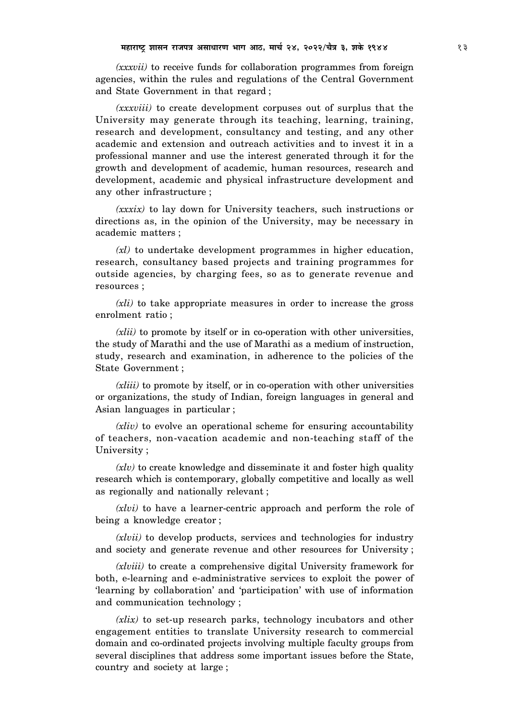*(xxxvii)* to receive funds for collaboration programmes from foreign agencies, within the rules and regulations of the Central Government and State Government in that regard ;

*(xxxviii)* to create development corpuses out of surplus that the University may generate through its teaching, learning, training, research and development, consultancy and testing, and any other academic and extension and outreach activities and to invest it in a professional manner and use the interest generated through it for the growth and development of academic, human resources, research and development, academic and physical infrastructure development and any other infrastructure ;

*(xxxix)* to lay down for University teachers, such instructions or directions as, in the opinion of the University, may be necessary in academic matters ;

*(xl)* to undertake development programmes in higher education, research, consultancy based projects and training programmes for outside agencies, by charging fees, so as to generate revenue and resources ;

*(xli)* to take appropriate measures in order to increase the gross enrolment ratio ;

*(xlii)* to promote by itself or in co-operation with other universities, the study of Marathi and the use of Marathi as a medium of instruction, study, research and examination, in adherence to the policies of the State Government ;

*(xliii)* to promote by itself, or in co-operation with other universities or organizations, the study of Indian, foreign languages in general and Asian languages in particular ;

*(xliv)* to evolve an operational scheme for ensuring accountability of teachers, non-vacation academic and non-teaching staff of the University ;

*(xlv)* to create knowledge and disseminate it and foster high quality research which is contemporary, globally competitive and locally as well as regionally and nationally relevant ;

*(xlvi)* to have a learner-centric approach and perform the role of being a knowledge creator ;

*(xlvii)* to develop products, services and technologies for industry and society and generate revenue and other resources for University ;

*(xlviii)* to create a comprehensive digital University framework for both, e-learning and e-administrative services to exploit the power of 'learning by collaboration' and 'participation' with use of information and communication technology ;

*(xlix)* to set-up research parks, technology incubators and other engagement entities to translate University research to commercial domain and co-ordinated projects involving multiple faculty groups from several disciplines that address some important issues before the State, country and society at large ;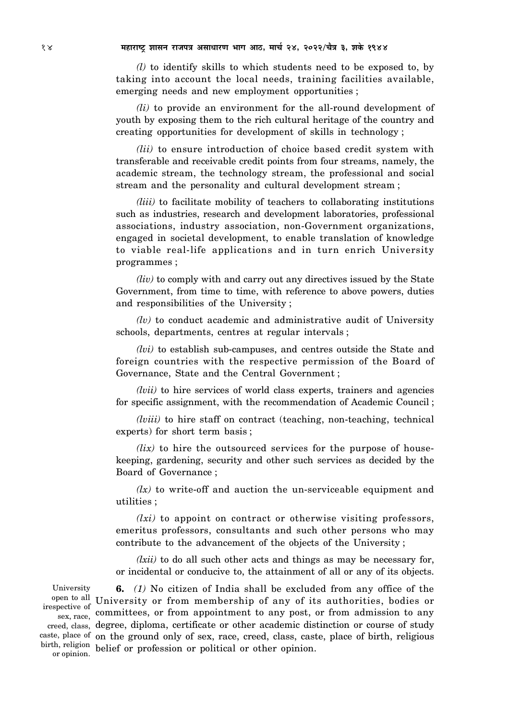*(l)* to identify skills to which students need to be exposed to, by taking into account the local needs, training facilities available, emerging needs and new employment opportunities ;

*(li)* to provide an environment for the all-round development of youth by exposing them to the rich cultural heritage of the country and creating opportunities for development of skills in technology ;

*(lii)* to ensure introduction of choice based credit system with transferable and receivable credit points from four streams, namely, the academic stream, the technology stream, the professional and social stream and the personality and cultural development stream ;

*(liii)* to facilitate mobility of teachers to collaborating institutions such as industries, research and development laboratories, professional associations, industry association, non-Government organizations, engaged in societal development, to enable translation of knowledge to viable real-life applications and in turn enrich University programmes ;

*(liv)* to comply with and carry out any directives issued by the State Government, from time to time, with reference to above powers, duties and responsibilities of the University ;

*(lv)* to conduct academic and administrative audit of University schools, departments, centres at regular intervals ;

*(lvi)* to establish sub-campuses, and centres outside the State and foreign countries with the respective permission of the Board of Governance, State and the Central Government ;

*(lvii)* to hire services of world class experts, trainers and agencies for specific assignment, with the recommendation of Academic Council ;

*(lviii)* to hire staff on contract (teaching, non-teaching, technical experts) for short term basis ;

*(lix)* to hire the outsourced services for the purpose of housekeeping, gardening, security and other such services as decided by the Board of Governance ;

*(lx)* to write-off and auction the un-serviceable equipment and utilities ;

*(lxi)* to appoint on contract or otherwise visiting professors, emeritus professors, consultants and such other persons who may contribute to the advancement of the objects of the University ;

*(lxii)* to do all such other acts and things as may be necessary for, or incidental or conducive to, the attainment of all or any of its objects.

**6.** *(1)* No citizen of India shall be excluded from any office of the open to all University or from membership of any of its authorities, bodies or  $\frac{\text{S}\text{S}\text{S}\text{C}\text{C}}{\text{S}\text{S}\text{C}\text{C}\text{C}}$  committees, or from appointment to any post, or from admission to any creed, class, degree, diploma, certificate or other academic distinction or course of study caste, place of on the ground only of sex, race, creed, class, caste, place of birth, religious birth, religion belief or profession or political or other opinion. University irespective of or opinion.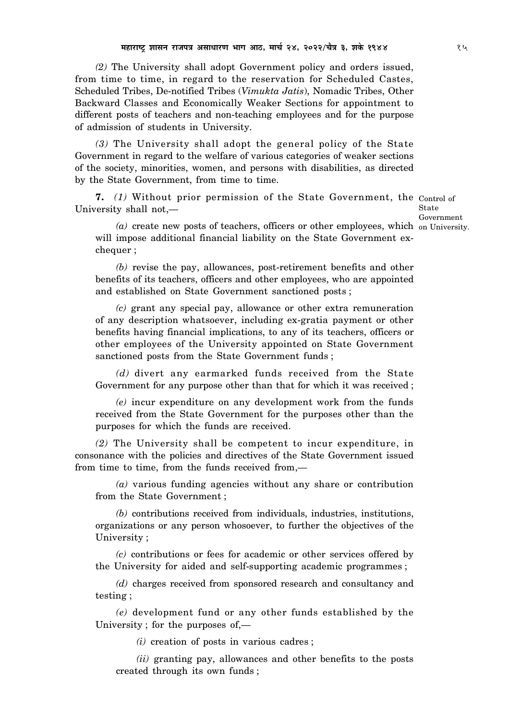*(2)* The University shall adopt Government policy and orders issued, from time to time, in regard to the reservation for Scheduled Castes, Scheduled Tribes, De-notified Tribes (*Vimukta Jatis*), Nomadic Tribes, Other Backward Classes and Economically Weaker Sections for appointment to different posts of teachers and non-teaching employees and for the purpose of admission of students in University.

*(3)* The University shall adopt the general policy of the State Government in regard to the welfare of various categories of weaker sections of the society, minorities, women, and persons with disabilities, as directed by the State Government, from time to time.

**7.** *(1)* Without prior permission of the State Government, the Control of University shall not,—

State Government

(a) create new posts of teachers, officers or other employees, which on University. will impose additional financial liability on the State Government exchequer ;

*(b)* revise the pay, allowances, post-retirement benefits and other benefits of its teachers, officers and other employees, who are appointed and established on State Government sanctioned posts ;

*(c)* grant any special pay, allowance or other extra remuneration of any description whatsoever, including ex-gratia payment or other benefits having financial implications, to any of its teachers, officers or other employees of the University appointed on State Government sanctioned posts from the State Government funds ;

*(d)* divert any earmarked funds received from the State Government for any purpose other than that for which it was received ;

*(e)* incur expenditure on any development work from the funds received from the State Government for the purposes other than the purposes for which the funds are received.

*(2)* The University shall be competent to incur expenditure, in consonance with the policies and directives of the State Government issued from time to time, from the funds received from,—

*(a)* various funding agencies without any share or contribution from the State Government ;

*(b)* contributions received from individuals, industries, institutions, organizations or any person whosoever, to further the objectives of the University ;

*(c)* contributions or fees for academic or other services offered by the University for aided and self-supporting academic programmes ;

*(d)* charges received from sponsored research and consultancy and testing ;

*(e)* development fund or any other funds established by the University ; for the purposes of,—

*(i)* creation of posts in various cadres ;

*(ii)* granting pay, allowances and other benefits to the posts created through its own funds ;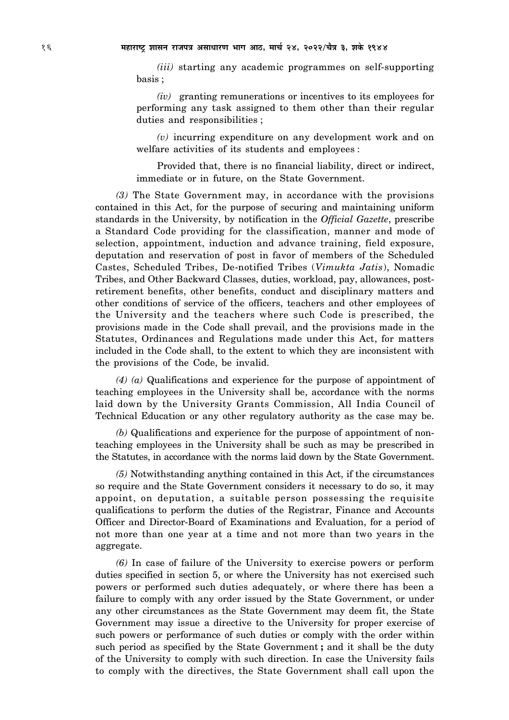*(iii)* starting any academic programmes on self-supporting basis ;

*(iv)* granting remunerations or incentives to its employees for performing any task assigned to them other than their regular duties and responsibilities ;

*(v)* incurring expenditure on any development work and on welfare activities of its students and employees :

Provided that, there is no financial liability, direct or indirect, immediate or in future, on the State Government.

*(3)* The State Government may, in accordance with the provisions contained in this Act, for the purpose of securing and maintaining uniform standards in the University, by notification in the *Official Gazette*, prescribe a Standard Code providing for the classification, manner and mode of selection, appointment, induction and advance training, field exposure, deputation and reservation of post in favor of members of the Scheduled Castes, Scheduled Tribes, De-notified Tribes (*Vimukta Jatis*), Nomadic Tribes, and Other Backward Classes, duties, workload, pay, allowances, postretirement benefits, other benefits, conduct and disciplinary matters and other conditions of service of the officers, teachers and other employees of the University and the teachers where such Code is prescribed, the provisions made in the Code shall prevail, and the provisions made in the Statutes, Ordinances and Regulations made under this Act, for matters included in the Code shall, to the extent to which they are inconsistent with the provisions of the Code, be invalid.

*(4) (a)* Qualifications and experience for the purpose of appointment of teaching employees in the University shall be, accordance with the norms laid down by the University Grants Commission, All India Council of Technical Education or any other regulatory authority as the case may be.

*(b)* Qualifications and experience for the purpose of appointment of nonteaching employees in the University shall be such as may be prescribed in the Statutes, in accordance with the norms laid down by the State Government.

*(5)* Notwithstanding anything contained in this Act, if the circumstances so require and the State Government considers it necessary to do so, it may appoint, on deputation, a suitable person possessing the requisite qualifications to perform the duties of the Registrar, Finance and Accounts Officer and Director-Board of Examinations and Evaluation, for a period of not more than one year at a time and not more than two years in the aggregate.

*(6)* In case of failure of the University to exercise powers or perform duties specified in section 5, or where the University has not exercised such powers or performed such duties adequately, or where there has been a failure to comply with any order issued by the State Government, or under any other circumstances as the State Government may deem fit, the State Government may issue a directive to the University for proper exercise of such powers or performance of such duties or comply with the order within such period as specified by the State Government **;** and it shall be the duty of the University to comply with such direction. In case the University fails to comply with the directives, the State Government shall call upon the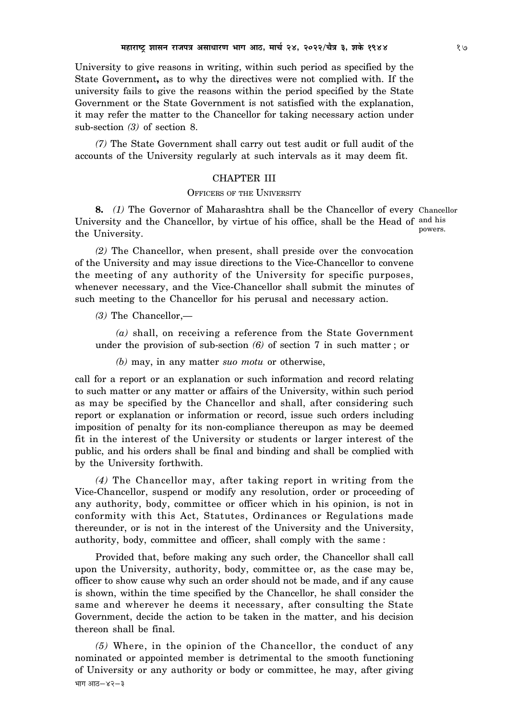University to give reasons in writing, within such period as specified by the State Government**,** as to why the directives were not complied with. If the university fails to give the reasons within the period specified by the State Government or the State Government is not satisfied with the explanation, it may refer the matter to the Chancellor for taking necessary action under sub-section *(3)* of section 8.

*(7)* The State Government shall carry out test audit or full audit of the accounts of the University regularly at such intervals as it may deem fit.

## CHAPTER III

## OFFICERS OF THE UNIVERSITY

**8.** *(1)* The Governor of Maharashtra shall be the Chancellor of every Chancellor University and the Chancellor, by virtue of his office, shall be the Head of and his the University. powers.

*(2)* The Chancellor, when present, shall preside over the convocation of the University and may issue directions to the Vice-Chancellor to convene the meeting of any authority of the University for specific purposes, whenever necessary, and the Vice-Chancellor shall submit the minutes of such meeting to the Chancellor for his perusal and necessary action.

*(3)* The Chancellor,—

*(a)* shall, on receiving a reference from the State Government under the provision of sub-section *(6)* of section 7 in such matter ; or

*(b)* may, in any matter *suo motu* or otherwise,

call for a report or an explanation or such information and record relating to such matter or any matter or affairs of the University, within such period as may be specified by the Chancellor and shall, after considering such report or explanation or information or record, issue such orders including imposition of penalty for its non-compliance thereupon as may be deemed fit in the interest of the University or students or larger interest of the public, and his orders shall be final and binding and shall be complied with by the University forthwith.

*(4)* The Chancellor may, after taking report in writing from the Vice-Chancellor, suspend or modify any resolution, order or proceeding of any authority, body, committee or officer which in his opinion, is not in conformity with this Act, Statutes, Ordinances or Regulations made thereunder, or is not in the interest of the University and the University, authority, body, committee and officer, shall comply with the same :

Provided that, before making any such order, the Chancellor shall call upon the University, authority, body, committee or, as the case may be, officer to show cause why such an order should not be made, and if any cause is shown, within the time specified by the Chancellor, he shall consider the same and wherever he deems it necessary, after consulting the State Government, decide the action to be taken in the matter, and his decision thereon shall be final.

*(5)* Where, in the opinion of the Chancellor, the conduct of any nominated or appointed member is detrimental to the smooth functioning of University or any authority or body or committee, he may, after giving  $4\overline{1}\overline{1}\overline{1}$   $3\overline{1}\overline{6}-8\overline{2}-3$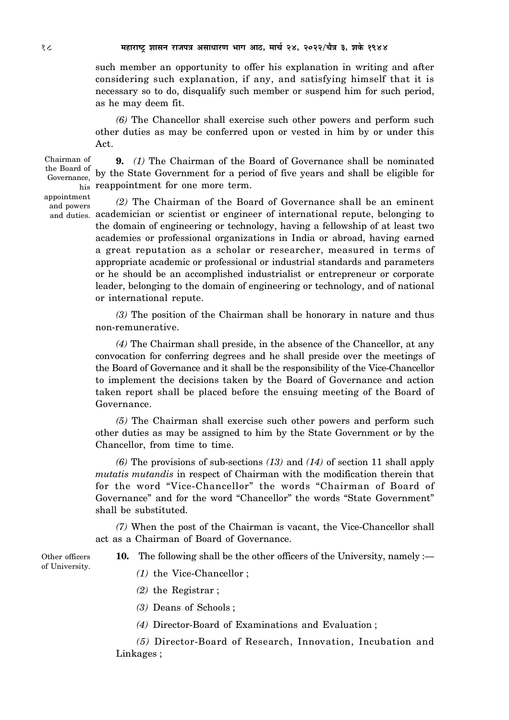such member an opportunity to offer his explanation in writing and after considering such explanation, if any, and satisfying himself that it is necessary so to do, disqualify such member or suspend him for such period, as he may deem fit.

*(6)* The Chancellor shall exercise such other powers and perform such other duties as may be conferred upon or vested in him by or under this Act.

**9.** *(1)* The Chairman of the Board of Governance shall be nominated by the State Government for a period of five years and shall be eligible for his reappointment for one more term. Chairman of

*(2)* The Chairman of the Board of Governance shall be an eminent and duties. academician or scientist or engineer of international repute, belonging to the domain of engineering or technology, having a fellowship of at least two academies or professional organizations in India or abroad, having earned a great reputation as a scholar or researcher, measured in terms of appropriate academic or professional or industrial standards and parameters or he should be an accomplished industrialist or entrepreneur or corporate leader, belonging to the domain of engineering or technology, and of national or international repute.

> *(3)* The position of the Chairman shall be honorary in nature and thus non-remunerative.

> *(4)* The Chairman shall preside, in the absence of the Chancellor, at any convocation for conferring degrees and he shall preside over the meetings of the Board of Governance and it shall be the responsibility of the Vice-Chancellor to implement the decisions taken by the Board of Governance and action taken report shall be placed before the ensuing meeting of the Board of Governance.

> *(5)* The Chairman shall exercise such other powers and perform such other duties as may be assigned to him by the State Government or by the Chancellor, from time to time.

> *(6)* The provisions of sub-sections *(13)* and *(14)* of section 11 shall apply *mutatis mutandis* in respect of Chairman with the modification therein that for the word "Vice-Chancellor" the words "Chairman of Board of Governance" and for the word "Chancellor" the words "State Government" shall be substituted.

> *(7)* When the post of the Chairman is vacant, the Vice-Chancellor shall act as a Chairman of Board of Governance.

**10.** The following shall be the other officers of the University, namely :—

- Other officers of University.
- *(1)* the Vice-Chancellor ;
- *(2)* the Registrar ;
- *(3)* Deans of Schools ;
- *(4)* Director-Board of Examinations and Evaluation ;

*(5)* Director-Board of Research, Innovation, Incubation and Linkages ;

the Board of Governance, appointment and powers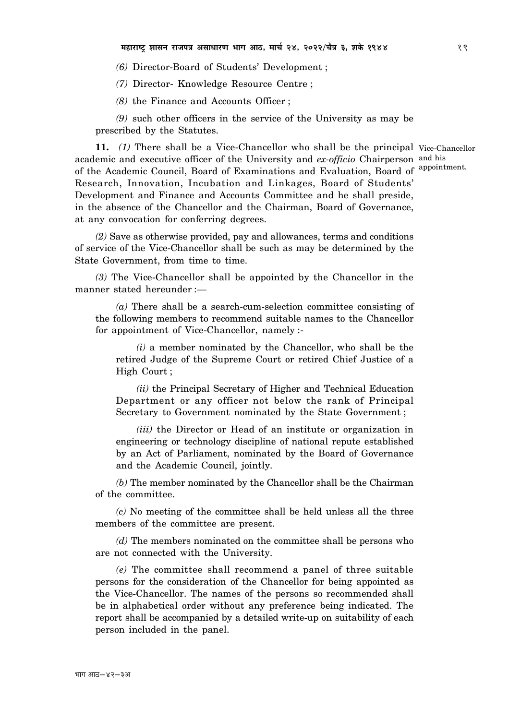*(6)* Director-Board of Students' Development ;

*(7)* Director- Knowledge Resource Centre ;

*(8)* the Finance and Accounts Officer ;

*(9)* such other officers in the service of the University as may be prescribed by the Statutes.

11. (1) There shall be a Vice-Chancellor who shall be the principal Vice-Chancellor academic and executive officer of the University and *ex-officio* Chairperson and his of the Academic Council, Board of Examinations and Evaluation, Board of Research, Innovation, Incubation and Linkages, Board of Students' Development and Finance and Accounts Committee and he shall preside, in the absence of the Chancellor and the Chairman, Board of Governance, at any convocation for conferring degrees. appointment.

*(2)* Save as otherwise provided, pay and allowances, terms and conditions of service of the Vice-Chancellor shall be such as may be determined by the State Government, from time to time.

*(3)* The Vice-Chancellor shall be appointed by the Chancellor in the manner stated hereunder :—

*(a)* There shall be a search-cum-selection committee consisting of the following members to recommend suitable names to the Chancellor for appointment of Vice-Chancellor, namely :-

*(i)* a member nominated by the Chancellor, who shall be the retired Judge of the Supreme Court or retired Chief Justice of a High Court ;

*(ii)* the Principal Secretary of Higher and Technical Education Department or any officer not below the rank of Principal Secretary to Government nominated by the State Government ;

*(iii)* the Director or Head of an institute or organization in engineering or technology discipline of national repute established by an Act of Parliament, nominated by the Board of Governance and the Academic Council, jointly.

*(b)* The member nominated by the Chancellor shall be the Chairman of the committee.

*(c)* No meeting of the committee shall be held unless all the three members of the committee are present.

*(d)* The members nominated on the committee shall be persons who are not connected with the University.

*(e)* The committee shall recommend a panel of three suitable persons for the consideration of the Chancellor for being appointed as the Vice-Chancellor. The names of the persons so recommended shall be in alphabetical order without any preference being indicated. The report shall be accompanied by a detailed write-up on suitability of each person included in the panel.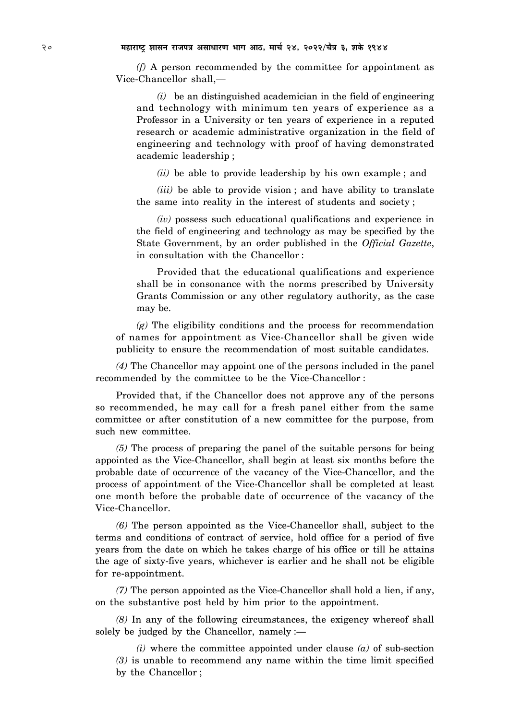*(f)* A person recommended by the committee for appointment as Vice-Chancellor shall,—

*(i)* be an distinguished academician in the field of engineering and technology with minimum ten years of experience as a Professor in a University or ten years of experience in a reputed research or academic administrative organization in the field of engineering and technology with proof of having demonstrated academic leadership ;

*(ii)* be able to provide leadership by his own example ; and

*(iii)* be able to provide vision ; and have ability to translate the same into reality in the interest of students and society ;

*(iv)* possess such educational qualifications and experience in the field of engineering and technology as may be specified by the State Government, by an order published in the *Official Gazette*, in consultation with the Chancellor :

Provided that the educational qualifications and experience shall be in consonance with the norms prescribed by University Grants Commission or any other regulatory authority, as the case may be.

*(g)* The eligibility conditions and the process for recommendation of names for appointment as Vice-Chancellor shall be given wide publicity to ensure the recommendation of most suitable candidates.

*(4)* The Chancellor may appoint one of the persons included in the panel recommended by the committee to be the Vice-Chancellor :

Provided that, if the Chancellor does not approve any of the persons so recommended, he may call for a fresh panel either from the same committee or after constitution of a new committee for the purpose, from such new committee.

*(5)* The process of preparing the panel of the suitable persons for being appointed as the Vice-Chancellor, shall begin at least six months before the probable date of occurrence of the vacancy of the Vice-Chancellor, and the process of appointment of the Vice-Chancellor shall be completed at least one month before the probable date of occurrence of the vacancy of the Vice-Chancellor.

*(6)* The person appointed as the Vice-Chancellor shall, subject to the terms and conditions of contract of service, hold office for a period of five years from the date on which he takes charge of his office or till he attains the age of sixty-five years, whichever is earlier and he shall not be eligible for re-appointment.

*(7)* The person appointed as the Vice-Chancellor shall hold a lien, if any, on the substantive post held by him prior to the appointment.

*(8)* In any of the following circumstances, the exigency whereof shall solely be judged by the Chancellor, namely :—

*(i)* where the committee appointed under clause *(a)* of sub-section *(3)* is unable to recommend any name within the time limit specified by the Chancellor ;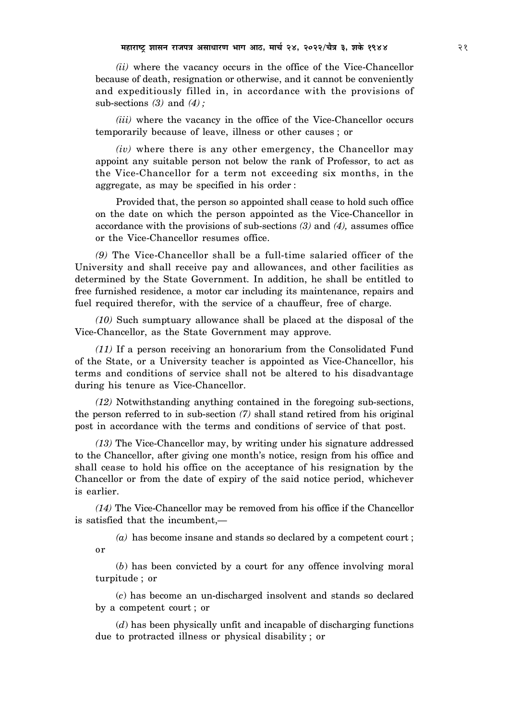*(ii)* where the vacancy occurs in the office of the Vice-Chancellor because of death, resignation or otherwise, and it cannot be conveniently and expeditiously filled in, in accordance with the provisions of sub-sections *(3)* and *(4) ;*

*(iii)* where the vacancy in the office of the Vice-Chancellor occurs temporarily because of leave, illness or other causes ; or

*(iv)* where there is any other emergency, the Chancellor may appoint any suitable person not below the rank of Professor, to act as the Vice-Chancellor for a term not exceeding six months, in the aggregate, as may be specified in his order :

Provided that, the person so appointed shall cease to hold such office on the date on which the person appointed as the Vice-Chancellor in accordance with the provisions of sub-sections *(3)* and *(4),* assumes office or the Vice-Chancellor resumes office.

*(9)* The Vice-Chancellor shall be a full-time salaried officer of the University and shall receive pay and allowances, and other facilities as determined by the State Government. In addition, he shall be entitled to free furnished residence, a motor car including its maintenance, repairs and fuel required therefor, with the service of a chauffeur, free of charge.

*(10)* Such sumptuary allowance shall be placed at the disposal of the Vice-Chancellor, as the State Government may approve.

*(11)* If a person receiving an honorarium from the Consolidated Fund of the State, or a University teacher is appointed as Vice-Chancellor, his terms and conditions of service shall not be altered to his disadvantage during his tenure as Vice-Chancellor.

*(12)* Notwithstanding anything contained in the foregoing sub-sections, the person referred to in sub-section *(7)* shall stand retired from his original post in accordance with the terms and conditions of service of that post.

*(13)* The Vice-Chancellor may, by writing under his signature addressed to the Chancellor, after giving one month's notice, resign from his office and shall cease to hold his office on the acceptance of his resignation by the Chancellor or from the date of expiry of the said notice period, whichever is earlier.

*(14)* The Vice-Chancellor may be removed from his office if the Chancellor is satisfied that the incumbent,—

*(a)* has become insane and stands so declared by a competent court ; or

(*b*) has been convicted by a court for any offence involving moral turpitude ; or

(*c*) has become an un-discharged insolvent and stands so declared by a competent court ; or

(*d*) has been physically unfit and incapable of discharging functions due to protracted illness or physical disability ; or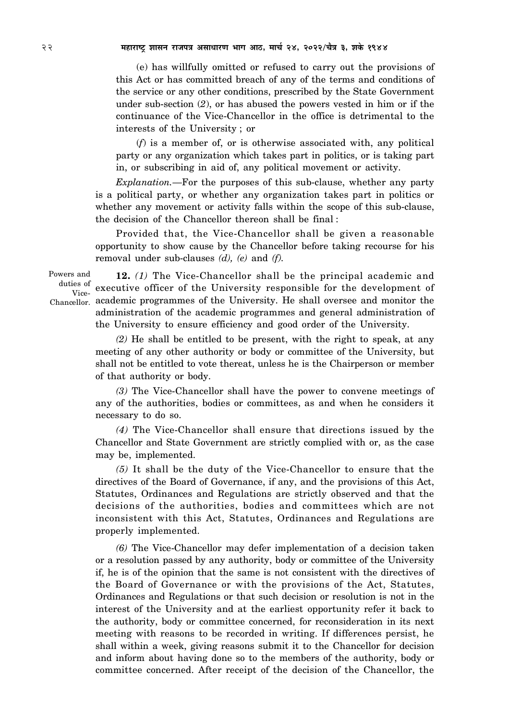(e) has willfully omitted or refused to carry out the provisions of this Act or has committed breach of any of the terms and conditions of the service or any other conditions, prescribed by the State Government under sub-section (*2*), or has abused the powers vested in him or if the continuance of the Vice-Chancellor in the office is detrimental to the interests of the University ; or

(*f*) is a member of, or is otherwise associated with, any political party or any organization which takes part in politics, or is taking part in, or subscribing in aid of, any political movement or activity.

*Explanation.—*For the purposes of this sub-clause, whether any party is a political party, or whether any organization takes part in politics or whether any movement or activity falls within the scope of this sub-clause, the decision of the Chancellor thereon shall be final :

Provided that, the Vice-Chancellor shall be given a reasonable opportunity to show cause by the Chancellor before taking recourse for his removal under sub-clauses *(d), (e)* and *(f).*

Powers and duties of Vice-

**12.** *(1)* The Vice-Chancellor shall be the principal academic and executive officer of the University responsible for the development of Chancellor, academic programmes of the University. He shall oversee and monitor the administration of the academic programmes and general administration of the University to ensure efficiency and good order of the University.

> *(2)* He shall be entitled to be present, with the right to speak, at any meeting of any other authority or body or committee of the University, but shall not be entitled to vote thereat, unless he is the Chairperson or member of that authority or body.

> *(3)* The Vice-Chancellor shall have the power to convene meetings of any of the authorities, bodies or committees, as and when he considers it necessary to do so.

> *(4)* The Vice-Chancellor shall ensure that directions issued by the Chancellor and State Government are strictly complied with or, as the case may be, implemented.

> *(5)* It shall be the duty of the Vice-Chancellor to ensure that the directives of the Board of Governance, if any, and the provisions of this Act, Statutes, Ordinances and Regulations are strictly observed and that the decisions of the authorities, bodies and committees which are not inconsistent with this Act, Statutes, Ordinances and Regulations are properly implemented.

> *(6)* The Vice-Chancellor may defer implementation of a decision taken or a resolution passed by any authority, body or committee of the University if, he is of the opinion that the same is not consistent with the directives of the Board of Governance or with the provisions of the Act, Statutes, Ordinances and Regulations or that such decision or resolution is not in the interest of the University and at the earliest opportunity refer it back to the authority, body or committee concerned, for reconsideration in its next meeting with reasons to be recorded in writing. If differences persist, he shall within a week, giving reasons submit it to the Chancellor for decision and inform about having done so to the members of the authority, body or committee concerned. After receipt of the decision of the Chancellor, the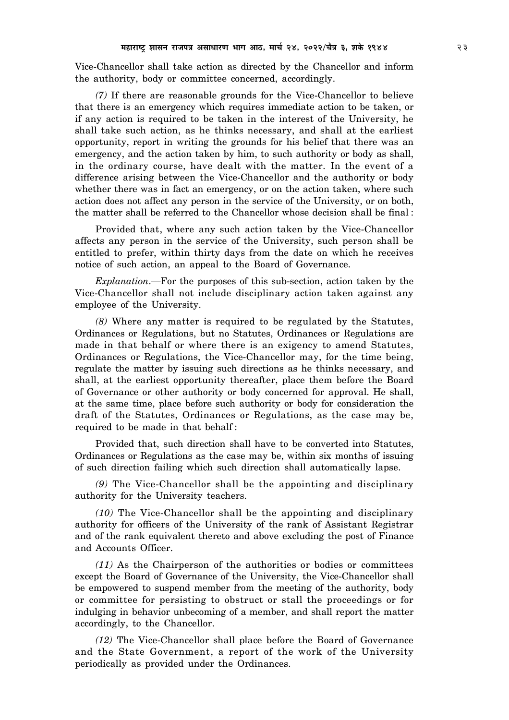Vice-Chancellor shall take action as directed by the Chancellor and inform the authority, body or committee concerned, accordingly.

*(7)* If there are reasonable grounds for the Vice-Chancellor to believe that there is an emergency which requires immediate action to be taken, or if any action is required to be taken in the interest of the University, he shall take such action, as he thinks necessary, and shall at the earliest opportunity, report in writing the grounds for his belief that there was an emergency, and the action taken by him, to such authority or body as shall, in the ordinary course, have dealt with the matter. In the event of a difference arising between the Vice-Chancellor and the authority or body whether there was in fact an emergency, or on the action taken, where such action does not affect any person in the service of the University, or on both, the matter shall be referred to the Chancellor whose decision shall be final :

Provided that, where any such action taken by the Vice-Chancellor affects any person in the service of the University, such person shall be entitled to prefer, within thirty days from the date on which he receives notice of such action, an appeal to the Board of Governance.

*Explanation*.—For the purposes of this sub-section, action taken by the Vice-Chancellor shall not include disciplinary action taken against any employee of the University.

*(8)* Where any matter is required to be regulated by the Statutes, Ordinances or Regulations, but no Statutes, Ordinances or Regulations are made in that behalf or where there is an exigency to amend Statutes, Ordinances or Regulations, the Vice-Chancellor may, for the time being, regulate the matter by issuing such directions as he thinks necessary, and shall, at the earliest opportunity thereafter, place them before the Board of Governance or other authority or body concerned for approval. He shall, at the same time, place before such authority or body for consideration the draft of the Statutes, Ordinances or Regulations, as the case may be, required to be made in that behalf :

Provided that, such direction shall have to be converted into Statutes, Ordinances or Regulations as the case may be, within six months of issuing of such direction failing which such direction shall automatically lapse.

*(9)* The Vice-Chancellor shall be the appointing and disciplinary authority for the University teachers.

*(10)* The Vice-Chancellor shall be the appointing and disciplinary authority for officers of the University of the rank of Assistant Registrar and of the rank equivalent thereto and above excluding the post of Finance and Accounts Officer.

*(11)* As the Chairperson of the authorities or bodies or committees except the Board of Governance of the University, the Vice-Chancellor shall be empowered to suspend member from the meeting of the authority, body or committee for persisting to obstruct or stall the proceedings or for indulging in behavior unbecoming of a member, and shall report the matter accordingly, to the Chancellor.

*(12)* The Vice-Chancellor shall place before the Board of Governance and the State Government, a report of the work of the University periodically as provided under the Ordinances.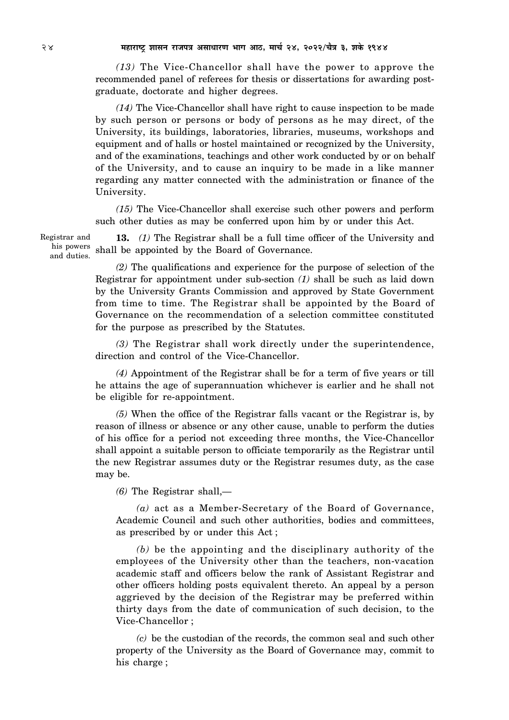*(13)* The Vice-Chancellor shall have the power to approve the recommended panel of referees for thesis or dissertations for awarding postgraduate, doctorate and higher degrees.

*(14)* The Vice-Chancellor shall have right to cause inspection to be made by such person or persons or body of persons as he may direct, of the University, its buildings, laboratories, libraries, museums, workshops and equipment and of halls or hostel maintained or recognized by the University, and of the examinations, teachings and other work conducted by or on behalf of the University, and to cause an inquiry to be made in a like manner regarding any matter connected with the administration or finance of the University.

*(15)* The Vice-Chancellor shall exercise such other powers and perform such other duties as may be conferred upon him by or under this Act.

Registrar and his powers and duties.

**13.** *(1)* The Registrar shall be a full time officer of the University and shall be appointed by the Board of Governance.

*(2)* The qualifications and experience for the purpose of selection of the Registrar for appointment under sub-section *(1)* shall be such as laid down by the University Grants Commission and approved by State Government from time to time. The Registrar shall be appointed by the Board of Governance on the recommendation of a selection committee constituted for the purpose as prescribed by the Statutes.

*(3)* The Registrar shall work directly under the superintendence, direction and control of the Vice-Chancellor.

*(4)* Appointment of the Registrar shall be for a term of five years or till he attains the age of superannuation whichever is earlier and he shall not be eligible for re-appointment.

*(5)* When the office of the Registrar falls vacant or the Registrar is, by reason of illness or absence or any other cause, unable to perform the duties of his office for a period not exceeding three months, the Vice-Chancellor shall appoint a suitable person to officiate temporarily as the Registrar until the new Registrar assumes duty or the Registrar resumes duty, as the case may be.

*(6)* The Registrar shall,—

*(a)* act as a Member-Secretary of the Board of Governance, Academic Council and such other authorities, bodies and committees, as prescribed by or under this Act ;

*(b)* be the appointing and the disciplinary authority of the employees of the University other than the teachers, non-vacation academic staff and officers below the rank of Assistant Registrar and other officers holding posts equivalent thereto. An appeal by a person aggrieved by the decision of the Registrar may be preferred within thirty days from the date of communication of such decision, to the Vice-Chancellor ;

*(c)* be the custodian of the records, the common seal and such other property of the University as the Board of Governance may, commit to his charge ;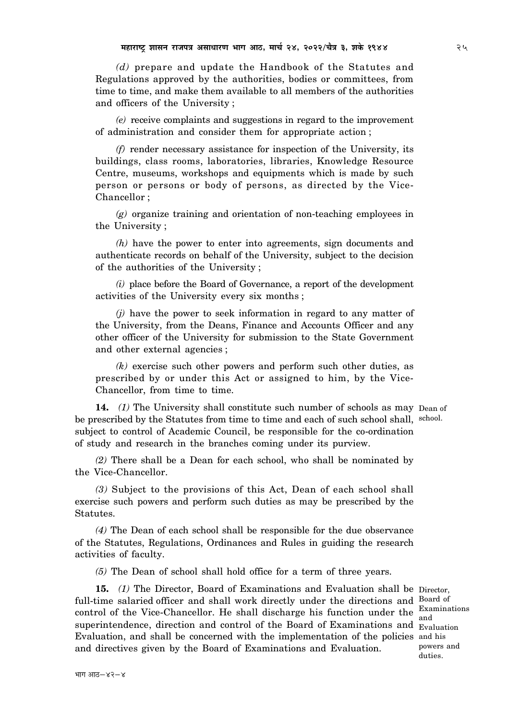*(d)* prepare and update the Handbook of the Statutes and Regulations approved by the authorities, bodies or committees, from time to time, and make them available to all members of the authorities and officers of the University ;

*(e)* receive complaints and suggestions in regard to the improvement of administration and consider them for appropriate action ;

*(f)* render necessary assistance for inspection of the University, its buildings, class rooms, laboratories, libraries, Knowledge Resource Centre, museums, workshops and equipments which is made by such person or persons or body of persons, as directed by the Vice-Chancellor ;

*(g)* organize training and orientation of non-teaching employees in the University ;

*(h)* have the power to enter into agreements, sign documents and authenticate records on behalf of the University, subject to the decision of the authorities of the University ;

*(i)* place before the Board of Governance, a report of the development activities of the University every six months ;

*(j)* have the power to seek information in regard to any matter of the University, from the Deans, Finance and Accounts Officer and any other officer of the University for submission to the State Government and other external agencies ;

*(k)* exercise such other powers and perform such other duties, as prescribed by or under this Act or assigned to him, by the Vice-Chancellor, from time to time.

**14.** *(1)* The University shall constitute such number of schools as may Dean of be prescribed by the Statutes from time to time and each of such school shall, school. subject to control of Academic Council, be responsible for the co-ordination of study and research in the branches coming under its purview.

*(2)* There shall be a Dean for each school, who shall be nominated by the Vice-Chancellor.

*(3)* Subject to the provisions of this Act, Dean of each school shall exercise such powers and perform such duties as may be prescribed by the Statutes.

*(4)* The Dean of each school shall be responsible for the due observance of the Statutes, Regulations, Ordinances and Rules in guiding the research activities of faculty.

*(5)* The Dean of school shall hold office for a term of three years.

15. (1) The Director, Board of Examinations and Evaluation shall be Director, full-time salaried officer and shall work directly under the directions and Board of control of the Vice-Chancellor. He shall discharge his function under the superintendence, direction and control of the Board of Examinations and Evaluation Evaluation, and shall be concerned with the implementation of the policies and his and directives given by the Board of Examinations and Evaluation.

Examinations and powers and duties.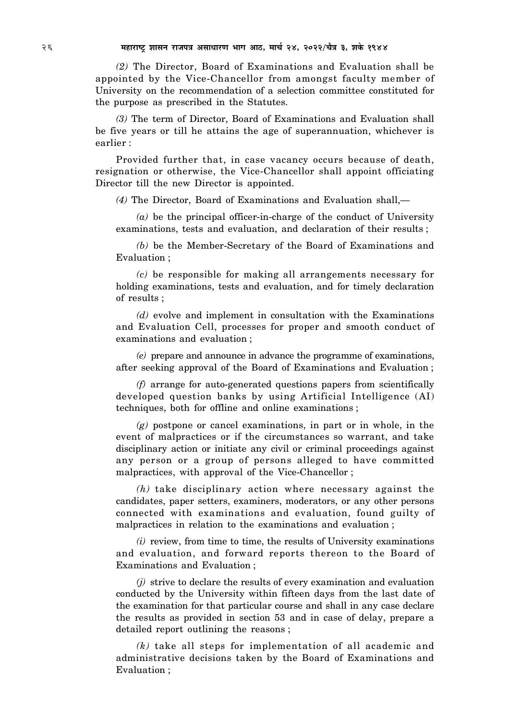*(2)* The Director, Board of Examinations and Evaluation shall be appointed by the Vice-Chancellor from amongst faculty member of University on the recommendation of a selection committee constituted for the purpose as prescribed in the Statutes.

*(3)* The term of Director, Board of Examinations and Evaluation shall be five years or till he attains the age of superannuation, whichever is earlier :

Provided further that, in case vacancy occurs because of death, resignation or otherwise, the Vice-Chancellor shall appoint officiating Director till the new Director is appointed.

*(4)* The Director, Board of Examinations and Evaluation shall,—

*(a)* be the principal officer-in-charge of the conduct of University examinations, tests and evaluation, and declaration of their results ;

*(b)* be the Member-Secretary of the Board of Examinations and Evaluation ;

*(c)* be responsible for making all arrangements necessary for holding examinations, tests and evaluation, and for timely declaration of results ;

*(d)* evolve and implement in consultation with the Examinations and Evaluation Cell, processes for proper and smooth conduct of examinations and evaluation ;

*(e)* prepare and announce in advance the programme of examinations, after seeking approval of the Board of Examinations and Evaluation ;

*(f)* arrange for auto-generated questions papers from scientifically developed question banks by using Artificial Intelligence (AI) techniques, both for offline and online examinations ;

*(g)* postpone or cancel examinations, in part or in whole, in the event of malpractices or if the circumstances so warrant, and take disciplinary action or initiate any civil or criminal proceedings against any person or a group of persons alleged to have committed malpractices, with approval of the Vice-Chancellor ;

*(h)* take disciplinary action where necessary against the candidates, paper setters, examiners, moderators, or any other persons connected with examinations and evaluation, found guilty of malpractices in relation to the examinations and evaluation ;

*(i)* review, from time to time, the results of University examinations and evaluation, and forward reports thereon to the Board of Examinations and Evaluation ;

*(j)* strive to declare the results of every examination and evaluation conducted by the University within fifteen days from the last date of the examination for that particular course and shall in any case declare the results as provided in section 53 and in case of delay, prepare a detailed report outlining the reasons ;

*(k)* take all steps for implementation of all academic and administrative decisions taken by the Board of Examinations and Evaluation ;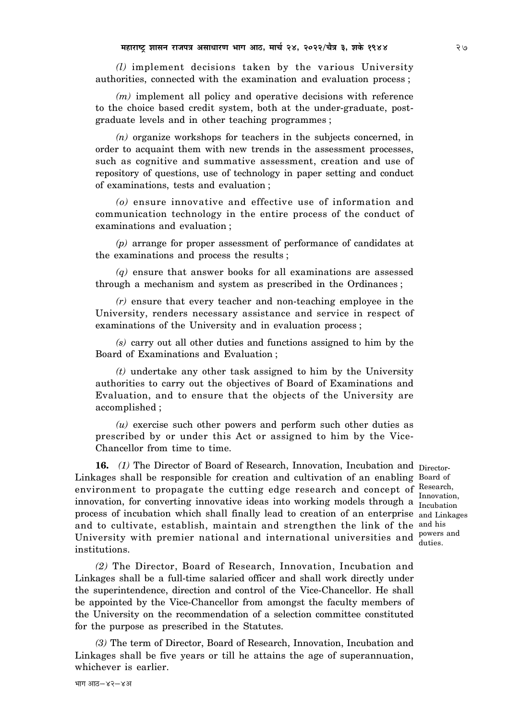*(l)* implement decisions taken by the various University authorities, connected with the examination and evaluation process ;

*(m)* implement all policy and operative decisions with reference to the choice based credit system, both at the under-graduate, postgraduate levels and in other teaching programmes ;

*(n)* organize workshops for teachers in the subjects concerned, in order to acquaint them with new trends in the assessment processes, such as cognitive and summative assessment, creation and use of repository of questions, use of technology in paper setting and conduct of examinations, tests and evaluation ;

*(o)* ensure innovative and effective use of information and communication technology in the entire process of the conduct of examinations and evaluation ;

*(p)* arrange for proper assessment of performance of candidates at the examinations and process the results ;

*(q)* ensure that answer books for all examinations are assessed through a mechanism and system as prescribed in the Ordinances ;

*(r)* ensure that every teacher and non-teaching employee in the University, renders necessary assistance and service in respect of examinations of the University and in evaluation process ;

*(s)* carry out all other duties and functions assigned to him by the Board of Examinations and Evaluation ;

*(t)* undertake any other task assigned to him by the University authorities to carry out the objectives of Board of Examinations and Evaluation, and to ensure that the objects of the University are accomplished ;

*(u)* exercise such other powers and perform such other duties as prescribed by or under this Act or assigned to him by the Vice-Chancellor from time to time.

**16.** (1) The Director of Board of Research, Innovation, Incubation and Director-Linkages shall be responsible for creation and cultivation of an enabling Board of environment to propagate the cutting edge research and concept of Research, innovation, for converting innovative ideas into working models through a Innovation, process of incubation which shall finally lead to creation of an enterprise and Linkages and to cultivate, establish, maintain and strengthen the link of the and his University with premier national and international universities and powers and institutions.

Incubation duties.

*(2)* The Director, Board of Research, Innovation, Incubation and Linkages shall be a full-time salaried officer and shall work directly under the superintendence, direction and control of the Vice-Chancellor. He shall be appointed by the Vice-Chancellor from amongst the faculty members of the University on the recommendation of a selection committee constituted for the purpose as prescribed in the Statutes.

*(3)* The term of Director, Board of Research, Innovation, Incubation and Linkages shall be five years or till he attains the age of superannuation, whichever is earlier.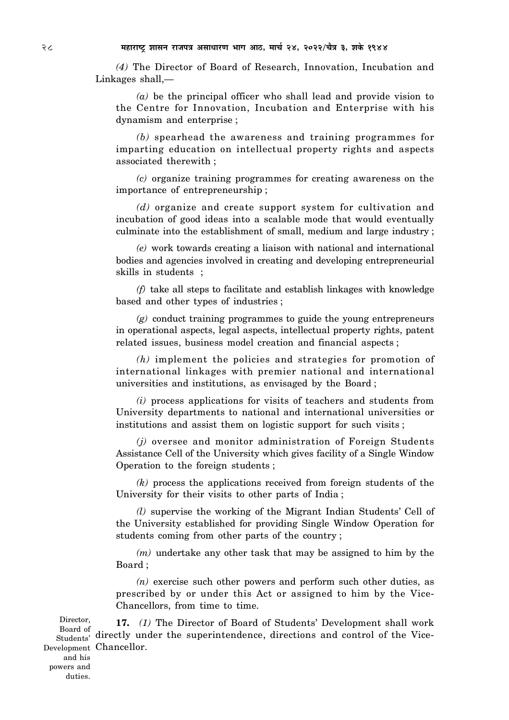28 **¨É½þÉ®úɹ]Åõ ¶ÉɺÉxÉ ®úÉVÉ{ÉjÉ +ºÉÉvÉÉ®úhÉ ¦ÉÉMÉ +É`ö, ¨ÉÉSÉÇ 24, 2022/SÉèjÉ 3, ¶ÉEäò 1944**

*(4)* The Director of Board of Research, Innovation, Incubation and Linkages shall,—

*(a)* be the principal officer who shall lead and provide vision to the Centre for Innovation, Incubation and Enterprise with his dynamism and enterprise ;

*(b)* spearhead the awareness and training programmes for imparting education on intellectual property rights and aspects associated therewith ;

*(c)* organize training programmes for creating awareness on the importance of entrepreneurship ;

*(d)* organize and create support system for cultivation and incubation of good ideas into a scalable mode that would eventually culminate into the establishment of small, medium and large industry ;

*(e)* work towards creating a liaison with national and international bodies and agencies involved in creating and developing entrepreneurial skills in students ;

*(f)* take all steps to facilitate and establish linkages with knowledge based and other types of industries ;

*(g)* conduct training programmes to guide the young entrepreneurs in operational aspects, legal aspects, intellectual property rights, patent related issues, business model creation and financial aspects ;

*(h)* implement the policies and strategies for promotion of international linkages with premier national and international universities and institutions, as envisaged by the Board ;

*(i)* process applications for visits of teachers and students from University departments to national and international universities or institutions and assist them on logistic support for such visits ;

*(j)* oversee and monitor administration of Foreign Students Assistance Cell of the University which gives facility of a Single Window Operation to the foreign students ;

*(k)* process the applications received from foreign students of the University for their visits to other parts of India ;

*(l)* supervise the working of the Migrant Indian Students' Cell of the University established for providing Single Window Operation for students coming from other parts of the country ;

*(m)* undertake any other task that may be assigned to him by the Board ;

*(n)* exercise such other powers and perform such other duties, as prescribed by or under this Act or assigned to him by the Vice-Chancellors, from time to time.

**17.** *(1)* The Director of Board of Students' Development shall work Board of Time of the superintendence, directions and control of the Vice-Chancellor. Development Director, Students'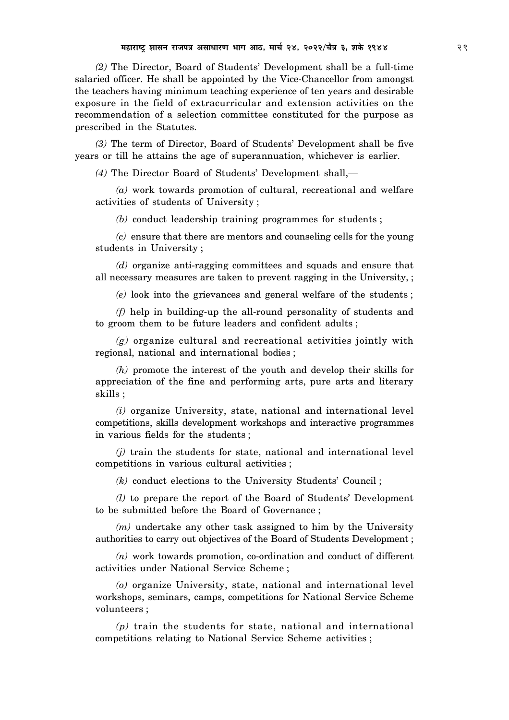*(2)* The Director, Board of Students' Development shall be a full-time salaried officer. He shall be appointed by the Vice-Chancellor from amongst the teachers having minimum teaching experience of ten years and desirable exposure in the field of extracurricular and extension activities on the recommendation of a selection committee constituted for the purpose as prescribed in the Statutes.

*(3)* The term of Director, Board of Students' Development shall be five years or till he attains the age of superannuation, whichever is earlier.

*(4)* The Director Board of Students' Development shall,—

*(a)* work towards promotion of cultural, recreational and welfare activities of students of University ;

*(b)* conduct leadership training programmes for students ;

*(c)* ensure that there are mentors and counseling cells for the young students in University ;

*(d)* organize anti-ragging committees and squads and ensure that all necessary measures are taken to prevent ragging in the University, ;

*(e)* look into the grievances and general welfare of the students ;

*(f)* help in building-up the all-round personality of students and to groom them to be future leaders and confident adults ;

*(g)* organize cultural and recreational activities jointly with regional, national and international bodies ;

*(h)* promote the interest of the youth and develop their skills for appreciation of the fine and performing arts, pure arts and literary skills ;

*(i)* organize University, state, national and international level competitions, skills development workshops and interactive programmes in various fields for the students ;

*(j)* train the students for state, national and international level competitions in various cultural activities ;

*(k)* conduct elections to the University Students' Council ;

*(l)* to prepare the report of the Board of Students' Development to be submitted before the Board of Governance ;

*(m)* undertake any other task assigned to him by the University authorities to carry out objectives of the Board of Students Development ;

*(n)* work towards promotion, co-ordination and conduct of different activities under National Service Scheme ;

*(o)* organize University, state, national and international level workshops, seminars, camps, competitions for National Service Scheme volunteers ;

*(p)* train the students for state, national and international competitions relating to National Service Scheme activities ;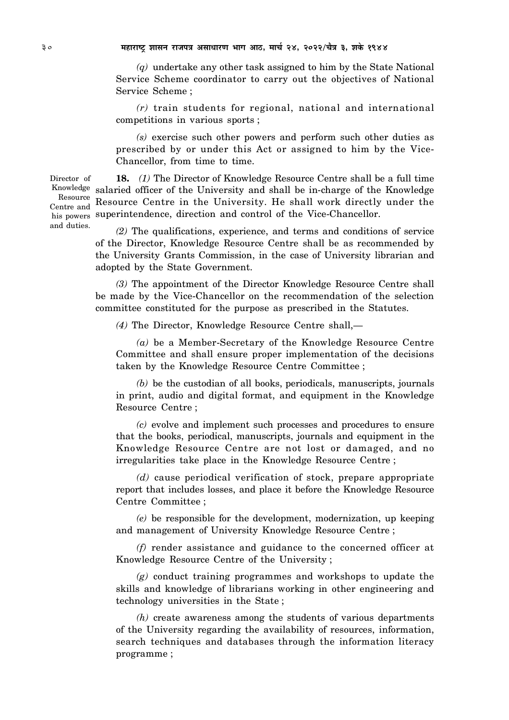*(q)* undertake any other task assigned to him by the State National Service Scheme coordinator to carry out the objectives of National Service Scheme ;

*(r)* train students for regional, national and international competitions in various sports ;

*(s)* exercise such other powers and perform such other duties as prescribed by or under this Act or assigned to him by the Vice-Chancellor, from time to time.

**18.** *(1)* The Director of Knowledge Resource Centre shall be a full time Knowledge salaried officer of the University and shall be in-charge of the Knowledge Resource Centre in the University. He shall work directly under the his powers superintendence, direction and control of the Vice-Chancellor.

> *(2)* The qualifications, experience, and terms and conditions of service of the Director, Knowledge Resource Centre shall be as recommended by the University Grants Commission, in the case of University librarian and adopted by the State Government.

> *(3)* The appointment of the Director Knowledge Resource Centre shall be made by the Vice-Chancellor on the recommendation of the selection committee constituted for the purpose as prescribed in the Statutes.

*(4)* The Director, Knowledge Resource Centre shall,—

*(a)* be a Member-Secretary of the Knowledge Resource Centre Committee and shall ensure proper implementation of the decisions taken by the Knowledge Resource Centre Committee ;

*(b)* be the custodian of all books, periodicals, manuscripts, journals in print, audio and digital format, and equipment in the Knowledge Resource Centre ;

*(c)* evolve and implement such processes and procedures to ensure that the books, periodical, manuscripts, journals and equipment in the Knowledge Resource Centre are not lost or damaged, and no irregularities take place in the Knowledge Resource Centre ;

*(d)* cause periodical verification of stock, prepare appropriate report that includes losses, and place it before the Knowledge Resource Centre Committee ;

*(e)* be responsible for the development, modernization, up keeping and management of University Knowledge Resource Centre ;

*(f)* render assistance and guidance to the concerned officer at Knowledge Resource Centre of the University ;

*(g)* conduct training programmes and workshops to update the skills and knowledge of librarians working in other engineering and technology universities in the State ;

*(h)* create awareness among the students of various departments of the University regarding the availability of resources, information, search techniques and databases through the information literacy programme ;

Director of Resource Centre and and duties.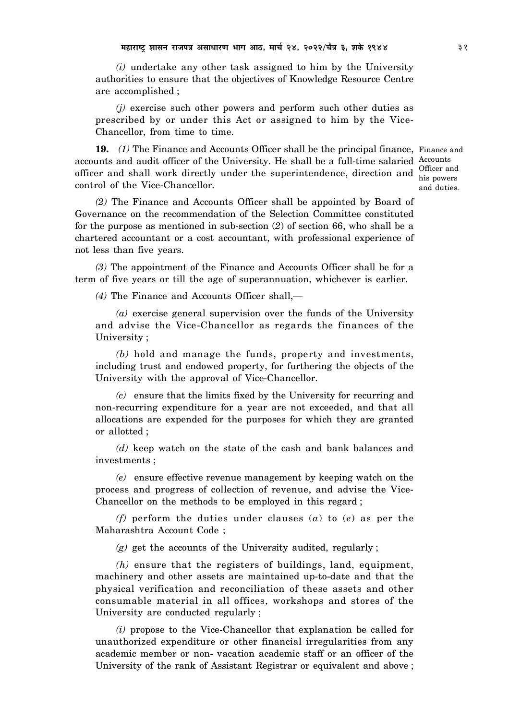*(i)* undertake any other task assigned to him by the University authorities to ensure that the objectives of Knowledge Resource Centre are accomplished ;

*(j)* exercise such other powers and perform such other duties as prescribed by or under this Act or assigned to him by the Vice-Chancellor, from time to time.

**19.** (1) The Finance and Accounts Officer shall be the principal finance, Finance and accounts and audit officer of the University. He shall be a full-time salaried Accounts officer and shall work directly under the superintendence, direction and  $\frac{\text{Officeer and}}{\text{his norms}}$ control of the Vice-Chancellor.

his powers and duties.

*(2)* The Finance and Accounts Officer shall be appointed by Board of Governance on the recommendation of the Selection Committee constituted for the purpose as mentioned in sub-section (*2*) of section 66, who shall be a chartered accountant or a cost accountant, with professional experience of not less than five years.

*(3)* The appointment of the Finance and Accounts Officer shall be for a term of five years or till the age of superannuation, whichever is earlier.

*(4)* The Finance and Accounts Officer shall,—

*(a)* exercise general supervision over the funds of the University and advise the Vice-Chancellor as regards the finances of the University ;

*(b)* hold and manage the funds, property and investments, including trust and endowed property, for furthering the objects of the University with the approval of Vice-Chancellor.

*(c)* ensure that the limits fixed by the University for recurring and non-recurring expenditure for a year are not exceeded, and that all allocations are expended for the purposes for which they are granted or allotted ;

*(d)* keep watch on the state of the cash and bank balances and investments ;

*(e)* ensure effective revenue management by keeping watch on the process and progress of collection of revenue, and advise the Vice-Chancellor on the methods to be employed in this regard ;

*(f)* perform the duties under clauses (*a*) to (*e*) as per the Maharashtra Account Code ;

*(g)* get the accounts of the University audited, regularly ;

*(h)* ensure that the registers of buildings, land, equipment, machinery and other assets are maintained up-to-date and that the physical verification and reconciliation of these assets and other consumable material in all offices, workshops and stores of the University are conducted regularly ;

*(i)* propose to the Vice-Chancellor that explanation be called for unauthorized expenditure or other financial irregularities from any academic member or non- vacation academic staff or an officer of the University of the rank of Assistant Registrar or equivalent and above ;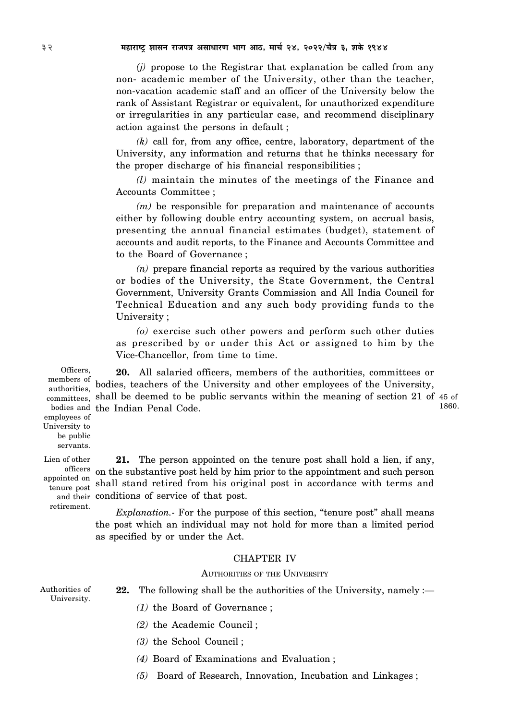*(j)* propose to the Registrar that explanation be called from any non- academic member of the University, other than the teacher, non-vacation academic staff and an officer of the University below the rank of Assistant Registrar or equivalent, for unauthorized expenditure or irregularities in any particular case, and recommend disciplinary action against the persons in default ;

*(k)* call for, from any office, centre, laboratory, department of the University, any information and returns that he thinks necessary for the proper discharge of his financial responsibilities ;

*(l)* maintain the minutes of the meetings of the Finance and Accounts Committee ;

*(m)* be responsible for preparation and maintenance of accounts either by following double entry accounting system, on accrual basis, presenting the annual financial estimates (budget), statement of accounts and audit reports, to the Finance and Accounts Committee and to the Board of Governance ;

*(n)* prepare financial reports as required by the various authorities or bodies of the University, the State Government, the Central Government, University Grants Commission and All India Council for Technical Education and any such body providing funds to the University ;

*(o)* exercise such other powers and perform such other duties as prescribed by or under this Act or assigned to him by the Vice-Chancellor, from time to time.

**20.** All salaried officers, members of the authorities, committees or bodies, teachers of the University and other employees of the University,  $\text{committees},$  shall be deemed to be public servants within the meaning of section 21 of 45 of bodies and the Indian Penal Code. Officers, members of authorities,

1860.

employees of University to be public servants. Lien of other

appointed on retirement.

**21.** The person appointed on the tenure post shall hold a lien, if any, on the substantive post held by him prior to the appointment and such person officers pointed on shall stand retired from his original post in accordance with terms and and their conditions of service of that post.

> *Explanation.-* For the purpose of this section, "tenure post" shall means the post which an individual may not hold for more than a limited period as specified by or under the Act.

## CHAPTER IV

### AUTHORITIES OF THE UNIVERSITY

Authorities of University.

- **22.** The following shall be the authorities of the University, namely :—
	- *(1)* the Board of Governance ;
	- *(2)* the Academic Council ;
	- *(3)* the School Council ;
	- *(4)* Board of Examinations and Evaluation ;
	- *(5)* Board of Research, Innovation, Incubation and Linkages ;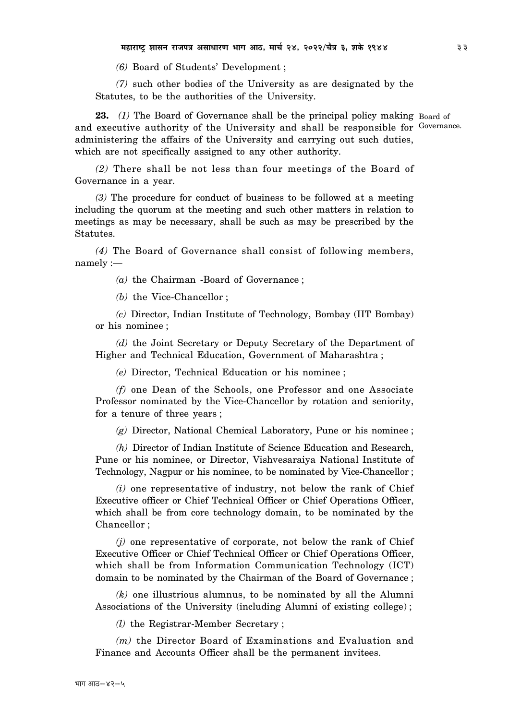*(6)* Board of Students' Development ;

*(7)* such other bodies of the University as are designated by the Statutes, to be the authorities of the University.

23. (1) The Board of Governance shall be the principal policy making Board of and executive authority of the University and shall be responsible for Governance. administering the affairs of the University and carrying out such duties, which are not specifically assigned to any other authority.

*(2)* There shall be not less than four meetings of the Board of Governance in a year.

*(3)* The procedure for conduct of business to be followed at a meeting including the quorum at the meeting and such other matters in relation to meetings as may be necessary, shall be such as may be prescribed by the Statutes.

*(4)* The Board of Governance shall consist of following members, namely :—

*(a)* the Chairman -Board of Governance ;

*(b)* the Vice-Chancellor ;

*(c)* Director, Indian Institute of Technology, Bombay (IIT Bombay) or his nominee ;

*(d)* the Joint Secretary or Deputy Secretary of the Department of Higher and Technical Education, Government of Maharashtra ;

*(e)* Director, Technical Education or his nominee ;

*(f)* one Dean of the Schools, one Professor and one Associate Professor nominated by the Vice-Chancellor by rotation and seniority, for a tenure of three years ;

*(g)* Director, National Chemical Laboratory, Pune or his nominee ;

*(h)* Director of Indian Institute of Science Education and Research, Pune or his nominee, or Director, Vishvesaraiya National Institute of Technology, Nagpur or his nominee, to be nominated by Vice-Chancellor ;

*(i)* one representative of industry, not below the rank of Chief Executive officer or Chief Technical Officer or Chief Operations Officer, which shall be from core technology domain, to be nominated by the Chancellor ;

*(j)* one representative of corporate, not below the rank of Chief Executive Officer or Chief Technical Officer or Chief Operations Officer, which shall be from Information Communication Technology (ICT) domain to be nominated by the Chairman of the Board of Governance ;

*(k)* one illustrious alumnus, to be nominated by all the Alumni Associations of the University (including Alumni of existing college) ;

*(l)* the Registrar-Member Secretary ;

*(m)* the Director Board of Examinations and Evaluation and Finance and Accounts Officer shall be the permanent invitees.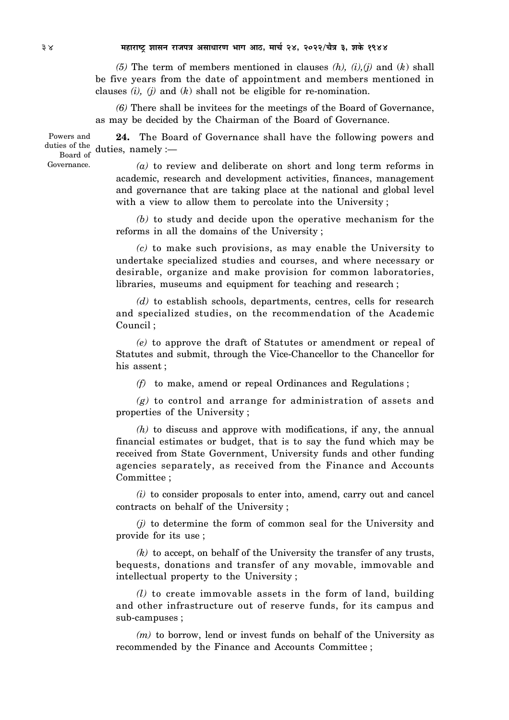*(5)* The term of members mentioned in clauses *(h), (i),(j)* and (*k*) shall be five years from the date of appointment and members mentioned in clauses *(i), (j)* and (*k*) shall not be eligible for re-nomination.

*(6)* There shall be invitees for the meetings of the Board of Governance, as may be decided by the Chairman of the Board of Governance.

**24.** The Board of Governance shall have the following powers and duties of the duties, namely :-Powers and Board of

> *(a)* to review and deliberate on short and long term reforms in academic, research and development activities, finances, management and governance that are taking place at the national and global level with a view to allow them to percolate into the University ;

> *(b)* to study and decide upon the operative mechanism for the reforms in all the domains of the University ;

> *(c)* to make such provisions, as may enable the University to undertake specialized studies and courses, and where necessary or desirable, organize and make provision for common laboratories, libraries, museums and equipment for teaching and research ;

> *(d)* to establish schools, departments, centres, cells for research and specialized studies, on the recommendation of the Academic Council ;

> *(e)* to approve the draft of Statutes or amendment or repeal of Statutes and submit, through the Vice-Chancellor to the Chancellor for his assent ;

*(f)* to make, amend or repeal Ordinances and Regulations ;

*(g)* to control and arrange for administration of assets and properties of the University ;

*(h)* to discuss and approve with modifications, if any, the annual financial estimates or budget, that is to say the fund which may be received from State Government, University funds and other funding agencies separately, as received from the Finance and Accounts Committee ;

*(i)* to consider proposals to enter into, amend, carry out and cancel contracts on behalf of the University ;

*(j)* to determine the form of common seal for the University and provide for its use ;

*(k)* to accept, on behalf of the University the transfer of any trusts, bequests, donations and transfer of any movable, immovable and intellectual property to the University ;

*(l)* to create immovable assets in the form of land, building and other infrastructure out of reserve funds, for its campus and sub-campuses ;

*(m)* to borrow, lend or invest funds on behalf of the University as recommended by the Finance and Accounts Committee ;

Governance.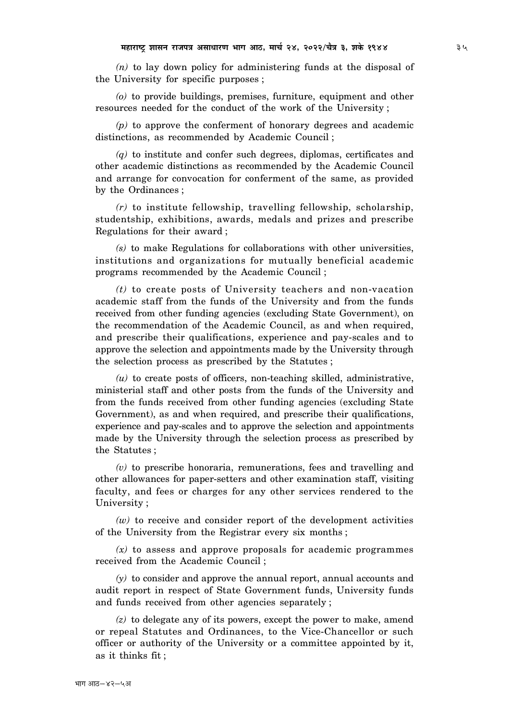*(n)* to lay down policy for administering funds at the disposal of the University for specific purposes ;

*(o)* to provide buildings, premises, furniture, equipment and other resources needed for the conduct of the work of the University ;

*(p)* to approve the conferment of honorary degrees and academic distinctions, as recommended by Academic Council ;

*(q)* to institute and confer such degrees, diplomas, certificates and other academic distinctions as recommended by the Academic Council and arrange for convocation for conferment of the same, as provided by the Ordinances ;

*(r)* to institute fellowship, travelling fellowship, scholarship, studentship, exhibitions, awards, medals and prizes and prescribe Regulations for their award ;

*(s)* to make Regulations for collaborations with other universities, institutions and organizations for mutually beneficial academic programs recommended by the Academic Council ;

*(t)* to create posts of University teachers and non-vacation academic staff from the funds of the University and from the funds received from other funding agencies (excluding State Government), on the recommendation of the Academic Council, as and when required, and prescribe their qualifications, experience and pay-scales and to approve the selection and appointments made by the University through the selection process as prescribed by the Statutes ;

 $(u)$  to create posts of officers, non-teaching skilled, administrative, ministerial staff and other posts from the funds of the University and from the funds received from other funding agencies (excluding State Government), as and when required, and prescribe their qualifications, experience and pay-scales and to approve the selection and appointments made by the University through the selection process as prescribed by the Statutes ;

*(v)* to prescribe honoraria, remunerations, fees and travelling and other allowances for paper-setters and other examination staff, visiting faculty, and fees or charges for any other services rendered to the University ;

 $(w)$  to receive and consider report of the development activities of the University from the Registrar every six months ;

*(x)* to assess and approve proposals for academic programmes received from the Academic Council ;

*(y)* to consider and approve the annual report, annual accounts and audit report in respect of State Government funds, University funds and funds received from other agencies separately ;

*(z)* to delegate any of its powers, except the power to make, amend or repeal Statutes and Ordinances, to the Vice-Chancellor or such officer or authority of the University or a committee appointed by it, as it thinks fit ;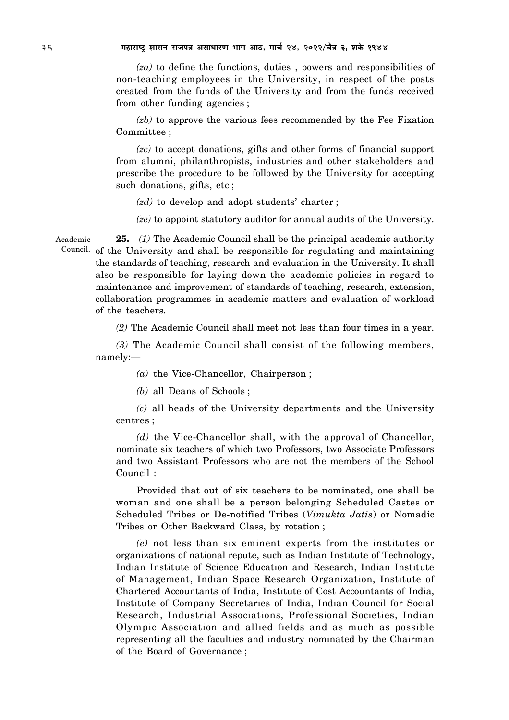*(za)* to define the functions, duties , powers and responsibilities of non-teaching employees in the University, in respect of the posts created from the funds of the University and from the funds received from other funding agencies ;

*(zb)* to approve the various fees recommended by the Fee Fixation Committee ;

*(zc)* to accept donations, gifts and other forms of financial support from alumni, philanthropists, industries and other stakeholders and prescribe the procedure to be followed by the University for accepting such donations, gifts, etc ;

- *(zd)* to develop and adopt students' charter ;
- *(ze)* to appoint statutory auditor for annual audits of the University.

**25.** *(1)* The Academic Council shall be the principal academic authority Council. of the University and shall be responsible for regulating and maintaining the standards of teaching, research and evaluation in the University. It shall also be responsible for laying down the academic policies in regard to maintenance and improvement of standards of teaching, research, extension, collaboration programmes in academic matters and evaluation of workload of the teachers. Academic

*(2)* The Academic Council shall meet not less than four times in a year.

*(3)* The Academic Council shall consist of the following members, namely:—

*(a)* the Vice-Chancellor, Chairperson ;

*(b)* all Deans of Schools ;

*(c)* all heads of the University departments and the University centres ;

*(d)* the Vice-Chancellor shall, with the approval of Chancellor, nominate six teachers of which two Professors, two Associate Professors and two Assistant Professors who are not the members of the School Council :

Provided that out of six teachers to be nominated, one shall be woman and one shall be a person belonging Scheduled Castes or Scheduled Tribes or De-notified Tribes (*Vimukta Jatis*) or Nomadic Tribes or Other Backward Class, by rotation ;

*(e)* not less than six eminent experts from the institutes or organizations of national repute, such as Indian Institute of Technology, Indian Institute of Science Education and Research, Indian Institute of Management, Indian Space Research Organization, Institute of Chartered Accountants of India, Institute of Cost Accountants of India, Institute of Company Secretaries of India, Indian Council for Social Research, Industrial Associations, Professional Societies, Indian Olympic Association and allied fields and as much as possible representing all the faculties and industry nominated by the Chairman of the Board of Governance ;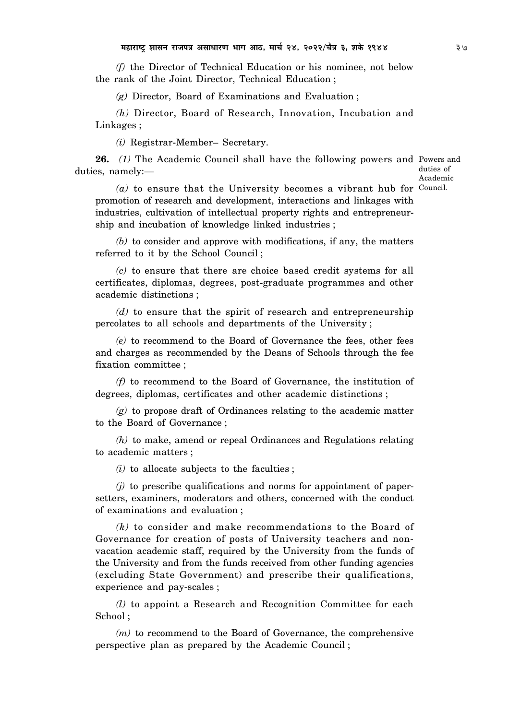*(f)* the Director of Technical Education or his nominee, not below the rank of the Joint Director, Technical Education ;

*(g)* Director, Board of Examinations and Evaluation ;

*(h)* Director, Board of Research, Innovation, Incubation and Linkages ;

*(i)* Registrar-Member– Secretary.

26. (1) The Academic Council shall have the following powers and Powers and duties, namely:—

duties of Academic

(a) to ensure that the University becomes a vibrant hub for Council. promotion of research and development, interactions and linkages with industries, cultivation of intellectual property rights and entrepreneurship and incubation of knowledge linked industries ;

*(b)* to consider and approve with modifications, if any, the matters referred to it by the School Council ;

*(c)* to ensure that there are choice based credit systems for all certificates, diplomas, degrees, post-graduate programmes and other academic distinctions ;

*(d)* to ensure that the spirit of research and entrepreneurship percolates to all schools and departments of the University ;

*(e)* to recommend to the Board of Governance the fees, other fees and charges as recommended by the Deans of Schools through the fee fixation committee ;

*(f)* to recommend to the Board of Governance, the institution of degrees, diplomas, certificates and other academic distinctions ;

*(g)* to propose draft of Ordinances relating to the academic matter to the Board of Governance ;

*(h)* to make, amend or repeal Ordinances and Regulations relating to academic matters ;

*(i)* to allocate subjects to the faculties ;

*(j)* to prescribe qualifications and norms for appointment of papersetters, examiners, moderators and others, concerned with the conduct of examinations and evaluation ;

*(k)* to consider and make recommendations to the Board of Governance for creation of posts of University teachers and nonvacation academic staff, required by the University from the funds of the University and from the funds received from other funding agencies (excluding State Government) and prescribe their qualifications, experience and pay-scales ;

*(l)* to appoint a Research and Recognition Committee for each School ;

*(m)* to recommend to the Board of Governance, the comprehensive perspective plan as prepared by the Academic Council ;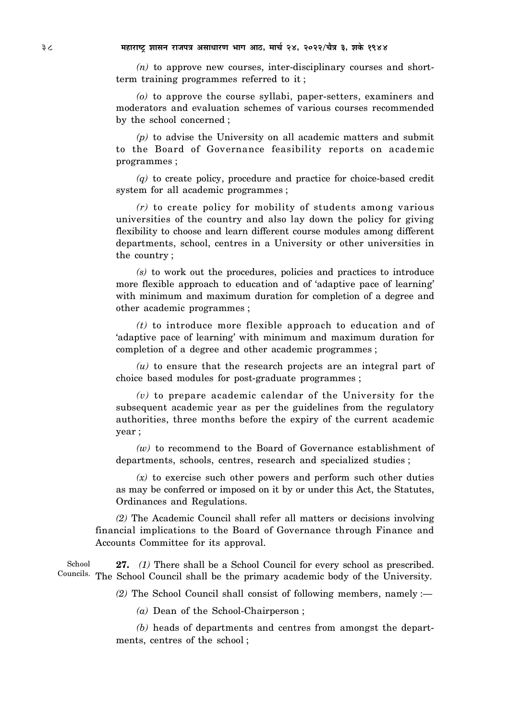*(n)* to approve new courses, inter-disciplinary courses and shortterm training programmes referred to it ;

*(o)* to approve the course syllabi, paper-setters, examiners and moderators and evaluation schemes of various courses recommended by the school concerned ;

*(p)* to advise the University on all academic matters and submit to the Board of Governance feasibility reports on academic programmes ;

*(q)* to create policy, procedure and practice for choice-based credit system for all academic programmes ;

*(r)* to create policy for mobility of students among various universities of the country and also lay down the policy for giving flexibility to choose and learn different course modules among different departments, school, centres in a University or other universities in the country ;

*(s)* to work out the procedures, policies and practices to introduce more flexible approach to education and of 'adaptive pace of learning' with minimum and maximum duration for completion of a degree and other academic programmes ;

*(t)* to introduce more flexible approach to education and of 'adaptive pace of learning' with minimum and maximum duration for completion of a degree and other academic programmes ;

*(u)* to ensure that the research projects are an integral part of choice based modules for post-graduate programmes ;

*(v)* to prepare academic calendar of the University for the subsequent academic year as per the guidelines from the regulatory authorities, three months before the expiry of the current academic year ;

*(w)* to recommend to the Board of Governance establishment of departments, schools, centres, research and specialized studies ;

*(x)* to exercise such other powers and perform such other duties as may be conferred or imposed on it by or under this Act, the Statutes, Ordinances and Regulations.

*(2)* The Academic Council shall refer all matters or decisions involving financial implications to the Board of Governance through Finance and Accounts Committee for its approval.

**27.** *(1)* There shall be a School Council for every school as prescribed. Councils. The School Council shall be the primary academic body of the University. School

*(2)* The School Council shall consist of following members, namely :—

*(a)* Dean of the School-Chairperson ;

*(b)* heads of departments and centres from amongst the departments, centres of the school ;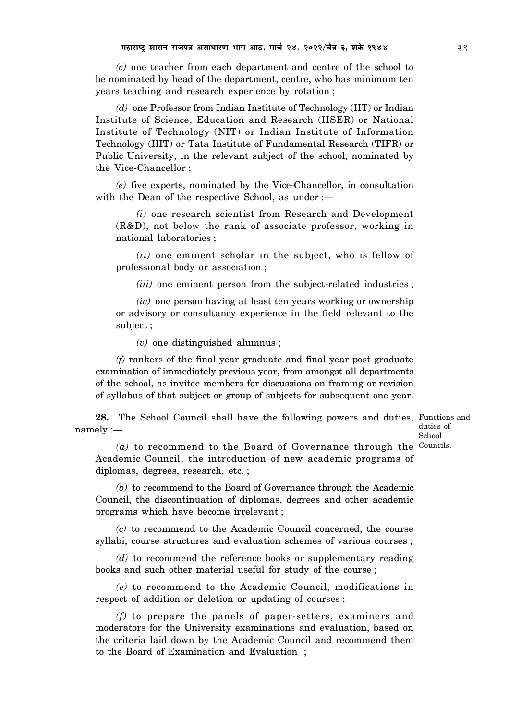*(c)* one teacher from each department and centre of the school to be nominated by head of the department, centre, who has minimum ten years teaching and research experience by rotation ;

*(d)* one Professor from Indian Institute of Technology (IIT) or Indian Institute of Science, Education and Research (IISER) or National Institute of Technology (NIT) or Indian Institute of Information Technology (IIIT) or Tata Institute of Fundamental Research (TIFR) or Public University, in the relevant subject of the school, nominated by the Vice-Chancellor ;

*(e)* five experts, nominated by the Vice-Chancellor, in consultation with the Dean of the respective School, as under :-

*(i)* one research scientist from Research and Development (R&D), not below the rank of associate professor, working in national laboratories ;

*(ii)* one eminent scholar in the subject, who is fellow of professional body or association ;

*(iii)* one eminent person from the subject-related industries ;

*(iv)* one person having at least ten years working or ownership or advisory or consultancy experience in the field relevant to the subject ;

*(v)* one distinguished alumnus ;

*(f)* rankers of the final year graduate and final year post graduate examination of immediately previous year, from amongst all departments of the school, as invitee members for discussions on framing or revision of syllabus of that subject or group of subjects for subsequent one year.

**28.** The School Council shall have the following powers and duties, Functions and namely :—

duties of School

(a) to recommend to the Board of Governance through the Councils. Academic Council, the introduction of new academic programs of diplomas, degrees, research, etc. ;

*(b)* to recommend to the Board of Governance through the Academic Council, the discontinuation of diplomas, degrees and other academic programs which have become irrelevant ;

*(c)* to recommend to the Academic Council concerned, the course syllabi, course structures and evaluation schemes of various courses ;

*(d)* to recommend the reference books or supplementary reading books and such other material useful for study of the course ;

*(e)* to recommend to the Academic Council, modifications in respect of addition or deletion or updating of courses ;

*(f)* to prepare the panels of paper-setters, examiners and moderators for the University examinations and evaluation, based on the criteria laid down by the Academic Council and recommend them to the Board of Examination and Evaluation ;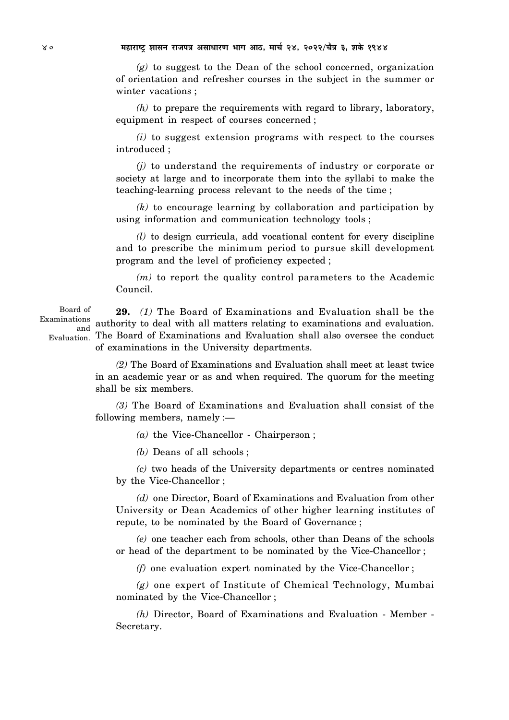*(g)* to suggest to the Dean of the school concerned, organization of orientation and refresher courses in the subject in the summer or winter vacations ;

*(h)* to prepare the requirements with regard to library, laboratory, equipment in respect of courses concerned ;

*(i)* to suggest extension programs with respect to the courses introduced ;

*(j)* to understand the requirements of industry or corporate or society at large and to incorporate them into the syllabi to make the teaching-learning process relevant to the needs of the time ;

*(k)* to encourage learning by collaboration and participation by using information and communication technology tools ;

*(l)* to design curricula, add vocational content for every discipline and to prescribe the minimum period to pursue skill development program and the level of proficiency expected ;

*(m)* to report the quality control parameters to the Academic Council.

**29.** *(1)* The Board of Examinations and Evaluation shall be the Examinations authority to deal with all matters relating to examinations and evaluation. Evaluation. The Board of Examinations and Evaluation shall also oversee the conduct of examinations in the University departments. Board of and

> *(2)* The Board of Examinations and Evaluation shall meet at least twice in an academic year or as and when required. The quorum for the meeting shall be six members.

> *(3)* The Board of Examinations and Evaluation shall consist of the following members, namely :—

> > *(a)* the Vice-Chancellor - Chairperson ;

*(b)* Deans of all schools ;

*(c)* two heads of the University departments or centres nominated by the Vice-Chancellor ;

*(d)* one Director, Board of Examinations and Evaluation from other University or Dean Academics of other higher learning institutes of repute, to be nominated by the Board of Governance ;

*(e)* one teacher each from schools, other than Deans of the schools or head of the department to be nominated by the Vice-Chancellor ;

*(f)* one evaluation expert nominated by the Vice-Chancellor ;

*(g)* one expert of Institute of Chemical Technology, Mumbai nominated by the Vice-Chancellor ;

*(h)* Director, Board of Examinations and Evaluation - Member - Secretary.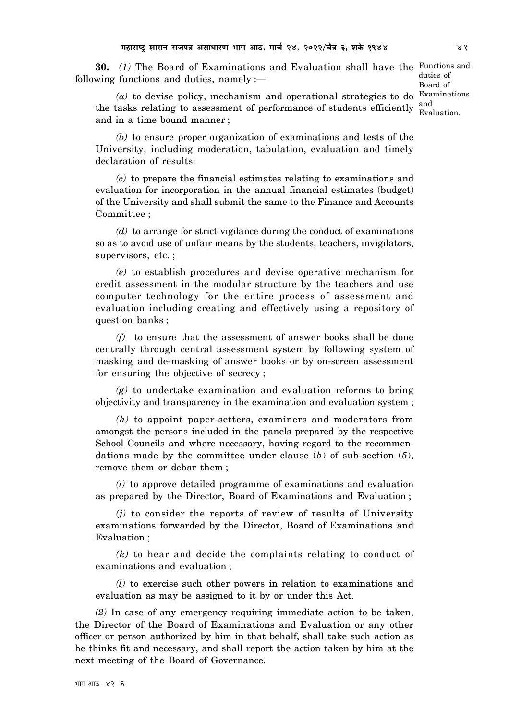**30.** *(1)* The Board of Examinations and Evaluation shall have the Functions and following functions and duties, namely :—

duties of Board of Evaluation.

(a) to devise policy, mechanism and operational strategies to do Examinations the tasks relating to assessment of performance of students efficiently  $\frac{and}{=}$ and in a time bound manner ;

*(b)* to ensure proper organization of examinations and tests of the University, including moderation, tabulation, evaluation and timely declaration of results:

*(c)* to prepare the financial estimates relating to examinations and evaluation for incorporation in the annual financial estimates (budget) of the University and shall submit the same to the Finance and Accounts Committee ;

*(d)* to arrange for strict vigilance during the conduct of examinations so as to avoid use of unfair means by the students, teachers, invigilators, supervisors, etc. ;

*(e)* to establish procedures and devise operative mechanism for credit assessment in the modular structure by the teachers and use computer technology for the entire process of assessment and evaluation including creating and effectively using a repository of question banks ;

*(f)* to ensure that the assessment of answer books shall be done centrally through central assessment system by following system of masking and de-masking of answer books or by on-screen assessment for ensuring the objective of secrecy ;

*(g)* to undertake examination and evaluation reforms to bring objectivity and transparency in the examination and evaluation system ;

*(h)* to appoint paper-setters, examiners and moderators from amongst the persons included in the panels prepared by the respective School Councils and where necessary, having regard to the recommendations made by the committee under clause (*b*) of sub-section (*5*), remove them or debar them ;

*(i)* to approve detailed programme of examinations and evaluation as prepared by the Director, Board of Examinations and Evaluation ;

*(j)* to consider the reports of review of results of University examinations forwarded by the Director, Board of Examinations and Evaluation ;

*(k)* to hear and decide the complaints relating to conduct of examinations and evaluation ;

*(l)* to exercise such other powers in relation to examinations and evaluation as may be assigned to it by or under this Act.

*(2)* In case of any emergency requiring immediate action to be taken, the Director of the Board of Examinations and Evaluation or any other officer or person authorized by him in that behalf, shall take such action as he thinks fit and necessary, and shall report the action taken by him at the next meeting of the Board of Governance.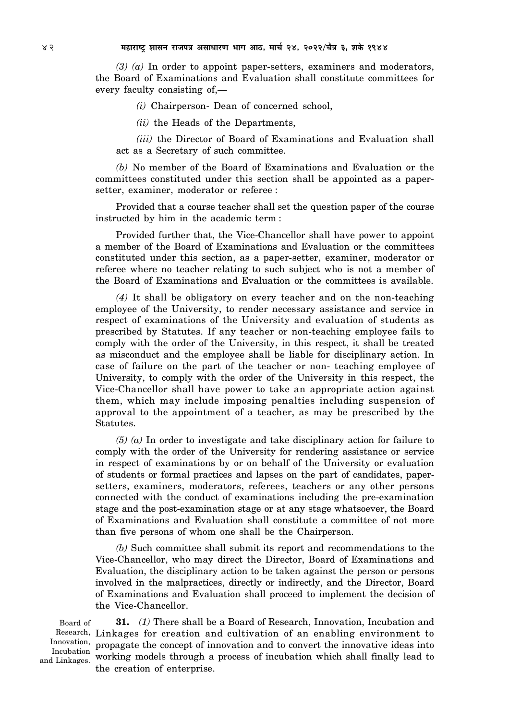*(3) (a)* In order to appoint paper-setters, examiners and moderators, the Board of Examinations and Evaluation shall constitute committees for every faculty consisting of,—

*(i)* Chairperson- Dean of concerned school,

*(ii)* the Heads of the Departments,

*(iii)* the Director of Board of Examinations and Evaluation shall act as a Secretary of such committee.

*(b)* No member of the Board of Examinations and Evaluation or the committees constituted under this section shall be appointed as a papersetter, examiner, moderator or referee :

Provided that a course teacher shall set the question paper of the course instructed by him in the academic term :

Provided further that, the Vice-Chancellor shall have power to appoint a member of the Board of Examinations and Evaluation or the committees constituted under this section, as a paper-setter, examiner, moderator or referee where no teacher relating to such subject who is not a member of the Board of Examinations and Evaluation or the committees is available.

*(4)* It shall be obligatory on every teacher and on the non-teaching employee of the University, to render necessary assistance and service in respect of examinations of the University and evaluation of students as prescribed by Statutes. If any teacher or non-teaching employee fails to comply with the order of the University, in this respect, it shall be treated as misconduct and the employee shall be liable for disciplinary action. In case of failure on the part of the teacher or non- teaching employee of University, to comply with the order of the University in this respect, the Vice-Chancellor shall have power to take an appropriate action against them, which may include imposing penalties including suspension of approval to the appointment of a teacher, as may be prescribed by the Statutes.

*(5) (a)* In order to investigate and take disciplinary action for failure to comply with the order of the University for rendering assistance or service in respect of examinations by or on behalf of the University or evaluation of students or formal practices and lapses on the part of candidates, papersetters, examiners, moderators, referees, teachers or any other persons connected with the conduct of examinations including the pre-examination stage and the post-examination stage or at any stage whatsoever, the Board of Examinations and Evaluation shall constitute a committee of not more than five persons of whom one shall be the Chairperson.

*(b)* Such committee shall submit its report and recommendations to the Vice-Chancellor, who may direct the Director, Board of Examinations and Evaluation, the disciplinary action to be taken against the person or persons involved in the malpractices, directly or indirectly, and the Director, Board of Examinations and Evaluation shall proceed to implement the decision of the Vice-Chancellor.

Board of Innovation, Incubation and Linkages.

**31.** *(1)* There shall be a Board of Research, Innovation, Incubation and Research, Linkages for creation and cultivation of an enabling environment to propagate the concept of innovation and to convert the innovative ideas into working models through a process of incubation which shall finally lead to the creation of enterprise.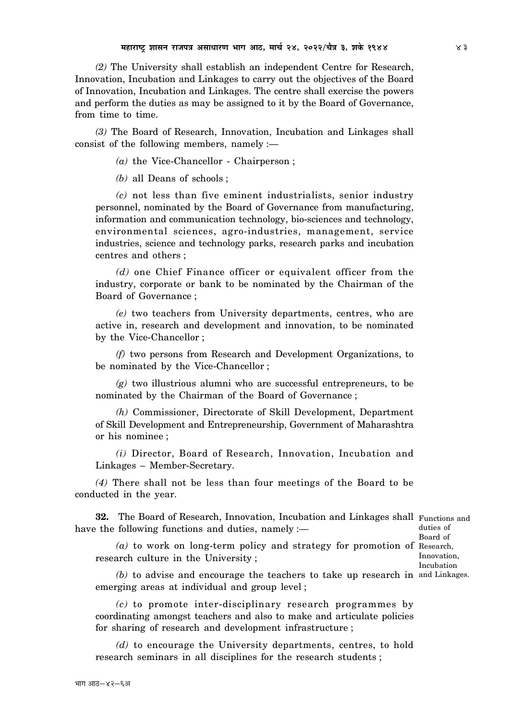*(2)* The University shall establish an independent Centre for Research, Innovation, Incubation and Linkages to carry out the objectives of the Board of Innovation, Incubation and Linkages. The centre shall exercise the powers and perform the duties as may be assigned to it by the Board of Governance, from time to time.

*(3)* The Board of Research, Innovation, Incubation and Linkages shall consist of the following members, namely :—

*(a)* the Vice-Chancellor - Chairperson ;

*(b)* all Deans of schools ;

*(c)* not less than five eminent industrialists, senior industry personnel, nominated by the Board of Governance from manufacturing, information and communication technology, bio-sciences and technology, environmental sciences, agro-industries, management, service industries, science and technology parks, research parks and incubation centres and others ;

*(d)* one Chief Finance officer or equivalent officer from the industry, corporate or bank to be nominated by the Chairman of the Board of Governance ;

*(e)* two teachers from University departments, centres, who are active in, research and development and innovation, to be nominated by the Vice-Chancellor ;

*(f)* two persons from Research and Development Organizations, to be nominated by the Vice-Chancellor ;

*(g)* two illustrious alumni who are successful entrepreneurs, to be nominated by the Chairman of the Board of Governance ;

*(h)* Commissioner, Directorate of Skill Development, Department of Skill Development and Entrepreneurship, Government of Maharashtra or his nominee ;

*(i)* Director, Board of Research, Innovation, Incubation and Linkages – Member-Secretary.

*(4)* There shall not be less than four meetings of the Board to be conducted in the year.

**32.** The Board of Research, Innovation, Incubation and Linkages shall Functions and have the following functions and duties, namely : duties of

*(a)* to work on long-term policy and strategy for promotion of Research, research culture in the University ;

Board of Innovation, Incubation

*(b)* to advise and encourage the teachers to take up research in and Linkages. emerging areas at individual and group level ;

*(c)* to promote inter-disciplinary research programmes by coordinating amongst teachers and also to make and articulate policies for sharing of research and development infrastructure ;

*(d)* to encourage the University departments, centres, to hold research seminars in all disciplines for the research students ;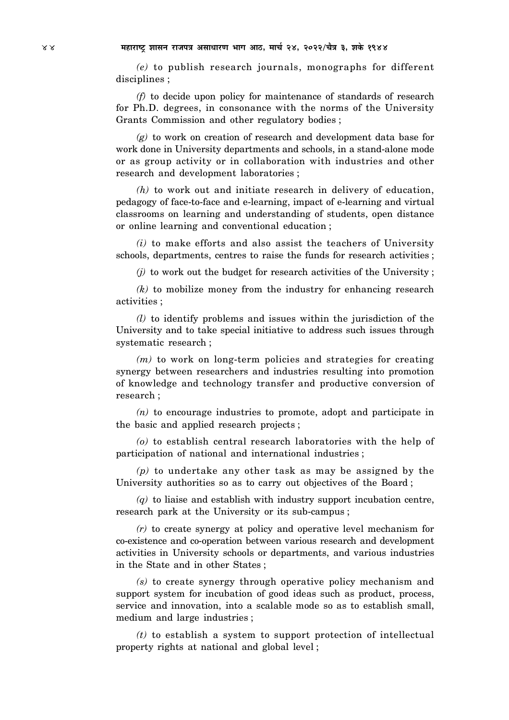*(e)* to publish research journals, monographs for different disciplines ;

*(f)* to decide upon policy for maintenance of standards of research for Ph.D. degrees, in consonance with the norms of the University Grants Commission and other regulatory bodies ;

*(g)* to work on creation of research and development data base for work done in University departments and schools, in a stand-alone mode or as group activity or in collaboration with industries and other research and development laboratories ;

*(h)* to work out and initiate research in delivery of education, pedagogy of face-to-face and e-learning, impact of e-learning and virtual classrooms on learning and understanding of students, open distance or online learning and conventional education ;

*(i)* to make efforts and also assist the teachers of University schools, departments, centres to raise the funds for research activities ;

*(j)* to work out the budget for research activities of the University ;

*(k)* to mobilize money from the industry for enhancing research activities ;

*(l)* to identify problems and issues within the jurisdiction of the University and to take special initiative to address such issues through systematic research ;

*(m)* to work on long-term policies and strategies for creating synergy between researchers and industries resulting into promotion of knowledge and technology transfer and productive conversion of research ;

*(n)* to encourage industries to promote, adopt and participate in the basic and applied research projects ;

*(o)* to establish central research laboratories with the help of participation of national and international industries ;

*(p)* to undertake any other task as may be assigned by the University authorities so as to carry out objectives of the Board ;

*(q)* to liaise and establish with industry support incubation centre, research park at the University or its sub-campus ;

*(r)* to create synergy at policy and operative level mechanism for co-existence and co-operation between various research and development activities in University schools or departments, and various industries in the State and in other States ;

*(s)* to create synergy through operative policy mechanism and support system for incubation of good ideas such as product, process, service and innovation, into a scalable mode so as to establish small, medium and large industries ;

*(t)* to establish a system to support protection of intellectual property rights at national and global level ;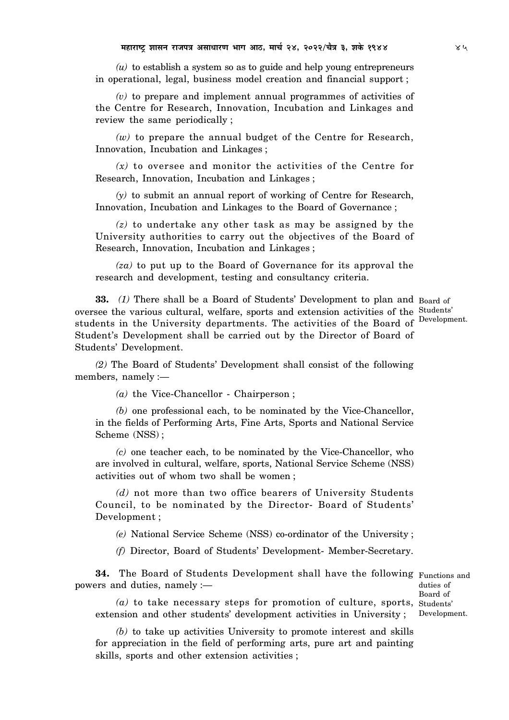*(u)* to establish a system so as to guide and help young entrepreneurs in operational, legal, business model creation and financial support ;

*(v)* to prepare and implement annual programmes of activities of the Centre for Research, Innovation, Incubation and Linkages and review the same periodically ;

*(w)* to prepare the annual budget of the Centre for Research, Innovation, Incubation and Linkages ;

*(x)* to oversee and monitor the activities of the Centre for Research, Innovation, Incubation and Linkages ;

*(y)* to submit an annual report of working of Centre for Research, Innovation, Incubation and Linkages to the Board of Governance ;

*(z)* to undertake any other task as may be assigned by the University authorities to carry out the objectives of the Board of Research, Innovation, Incubation and Linkages ;

*(za)* to put up to the Board of Governance for its approval the research and development, testing and consultancy criteria.

**33.** (1) There shall be a Board of Students' Development to plan and Board of oversee the various cultural, welfare, sports and extension activities of the Students' students in the University departments. The activities of the Board of Student's Development shall be carried out by the Director of Board of Students' Development.

Development.

*(2)* The Board of Students' Development shall consist of the following members, namely :—

*(a)* the Vice-Chancellor - Chairperson ;

*(b)* one professional each, to be nominated by the Vice-Chancellor, in the fields of Performing Arts, Fine Arts, Sports and National Service Scheme (NSS) ;

*(c)* one teacher each, to be nominated by the Vice-Chancellor, who are involved in cultural, welfare, sports, National Service Scheme (NSS) activities out of whom two shall be women ;

*(d)* not more than two office bearers of University Students Council, to be nominated by the Director- Board of Students' Development ;

*(e)* National Service Scheme (NSS) co-ordinator of the University ;

*(f)* Director, Board of Students' Development- Member-Secretary.

**34.** The Board of Students Development shall have the following Functions and powers and duties, namely :—

duties of Board of Development.

*(a)* to take necessary steps for promotion of culture, sports, Students' extension and other students' development activities in University ;

*(b)* to take up activities University to promote interest and skills for appreciation in the field of performing arts, pure art and painting skills, sports and other extension activities ;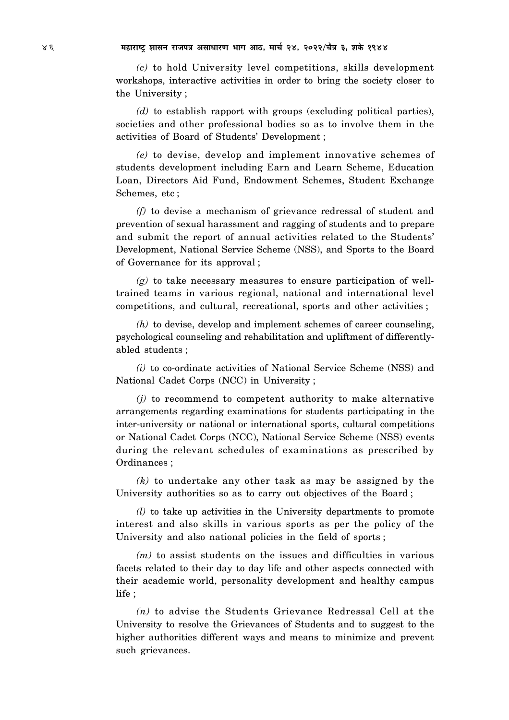*(c)* to hold University level competitions, skills development workshops, interactive activities in order to bring the society closer to the University ;

*(d)* to establish rapport with groups (excluding political parties), societies and other professional bodies so as to involve them in the activities of Board of Students' Development ;

*(e)* to devise, develop and implement innovative schemes of students development including Earn and Learn Scheme, Education Loan, Directors Aid Fund, Endowment Schemes, Student Exchange Schemes, etc ;

*(f)* to devise a mechanism of grievance redressal of student and prevention of sexual harassment and ragging of students and to prepare and submit the report of annual activities related to the Students' Development, National Service Scheme (NSS), and Sports to the Board of Governance for its approval ;

*(g)* to take necessary measures to ensure participation of welltrained teams in various regional, national and international level competitions, and cultural, recreational, sports and other activities ;

*(h)* to devise, develop and implement schemes of career counseling, psychological counseling and rehabilitation and upliftment of differentlyabled students ;

*(i)* to co-ordinate activities of National Service Scheme (NSS) and National Cadet Corps (NCC) in University ;

*(j)* to recommend to competent authority to make alternative arrangements regarding examinations for students participating in the inter-university or national or international sports, cultural competitions or National Cadet Corps (NCC), National Service Scheme (NSS) events during the relevant schedules of examinations as prescribed by Ordinances ;

*(k)* to undertake any other task as may be assigned by the University authorities so as to carry out objectives of the Board ;

*(l)* to take up activities in the University departments to promote interest and also skills in various sports as per the policy of the University and also national policies in the field of sports ;

*(m)* to assist students on the issues and difficulties in various facets related to their day to day life and other aspects connected with their academic world, personality development and healthy campus life ;

*(n)* to advise the Students Grievance Redressal Cell at the University to resolve the Grievances of Students and to suggest to the higher authorities different ways and means to minimize and prevent such grievances.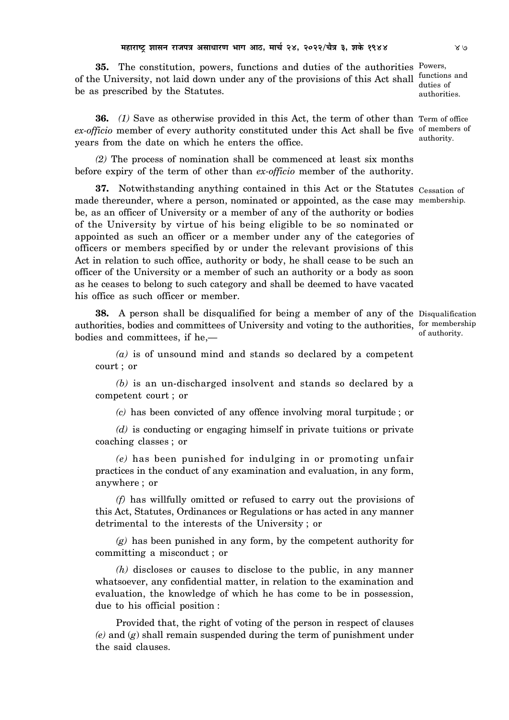**35.** The constitution, powers, functions and duties of the authorities Powers, of the University, not laid down under any of the provisions of this Act shall functions and be as prescribed by the Statutes.

**36.** *(1)* Save as otherwise provided in this Act, the term of other than Term of office ex-officio member of every authority constituted under this Act shall be five of members of years from the date on which he enters the office.

*(2)* The process of nomination shall be commenced at least six months before expiry of the term of other than *ex-officio* member of the authority.

**37.** Notwithstanding anything contained in this Act or the Statutes Cessation of made thereunder, where a person, nominated or appointed, as the case may membership. be, as an officer of University or a member of any of the authority or bodies of the University by virtue of his being eligible to be so nominated or appointed as such an officer or a member under any of the categories of officers or members specified by or under the relevant provisions of this Act in relation to such office, authority or body, he shall cease to be such an officer of the University or a member of such an authority or a body as soon as he ceases to belong to such category and shall be deemed to have vacated his office as such officer or member.

**38.** A person shall be disqualified for being a member of any of the Disqualification authorities, bodies and committees of University and voting to the authorities, for membership bodies and committees, if he,—

*(a)* is of unsound mind and stands so declared by a competent court ; or

*(b)* is an un-discharged insolvent and stands so declared by a competent court ; or

*(c)* has been convicted of any offence involving moral turpitude ; or

*(d)* is conducting or engaging himself in private tuitions or private coaching classes ; or

*(e)* has been punished for indulging in or promoting unfair practices in the conduct of any examination and evaluation, in any form, anywhere ; or

*(f)* has willfully omitted or refused to carry out the provisions of this Act, Statutes, Ordinances or Regulations or has acted in any manner detrimental to the interests of the University ; or

*(g)* has been punished in any form, by the competent authority for committing a misconduct ; or

*(h)* discloses or causes to disclose to the public, in any manner whatsoever, any confidential matter, in relation to the examination and evaluation, the knowledge of which he has come to be in possession, due to his official position :

Provided that, the right of voting of the person in respect of clauses *(e)* and (*g*) shall remain suspended during the term of punishment under the said clauses.

duties of authorities.

authority.

of authority.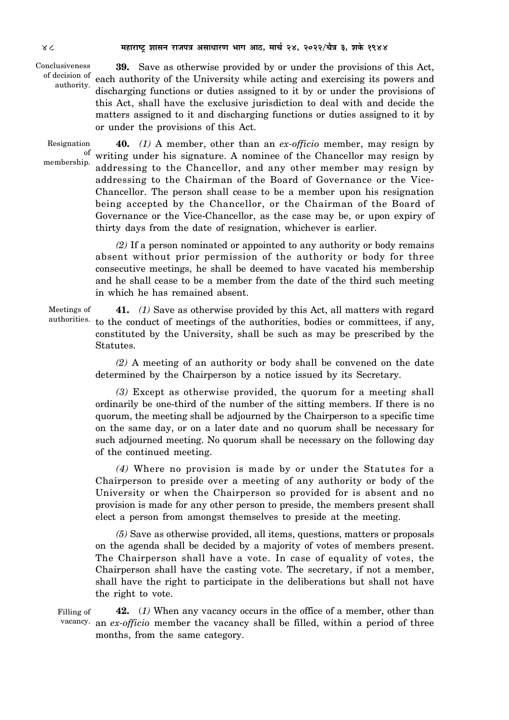**39.** Save as otherwise provided by or under the provisions of this Act, of decision of each authority of the University while acting and exercising its powers and discharging functions or duties assigned to it by or under the provisions of this Act, shall have the exclusive jurisdiction to deal with and decide the matters assigned to it and discharging functions or duties assigned to it by or under the provisions of this Act. Conclusiveness authority.

**40.** *(1)* A member, other than an *ex-officio* member, may resign by writing under his signature. A nominee of the Chancellor may resign by addressing to the Chancellor, and any other member may resign by addressing to the Chairman of the Board of Governance or the Vice-Chancellor. The person shall cease to be a member upon his resignation being accepted by the Chancellor, or the Chairman of the Board of Governance or the Vice-Chancellor, as the case may be, or upon expiry of thirty days from the date of resignation, whichever is earlier. Resignation of membership.

> *(2)* If a person nominated or appointed to any authority or body remains absent without prior permission of the authority or body for three consecutive meetings, he shall be deemed to have vacated his membership and he shall cease to be a member from the date of the third such meeting in which he has remained absent.

**41.** *(1)* Save as otherwise provided by this Act, all matters with regard authorities. to the conduct of meetings of the authorities, bodies or committees, if any, constituted by the University, shall be such as may be prescribed by the Statutes. Meetings of

> *(2)* A meeting of an authority or body shall be convened on the date determined by the Chairperson by a notice issued by its Secretary.

> *(3)* Except as otherwise provided, the quorum for a meeting shall ordinarily be one-third of the number of the sitting members. If there is no quorum, the meeting shall be adjourned by the Chairperson to a specific time on the same day, or on a later date and no quorum shall be necessary for such adjourned meeting. No quorum shall be necessary on the following day of the continued meeting.

> *(4)* Where no provision is made by or under the Statutes for a Chairperson to preside over a meeting of any authority or body of the University or when the Chairperson so provided for is absent and no provision is made for any other person to preside, the members present shall elect a person from amongst themselves to preside at the meeting.

> *(5)* Save as otherwise provided, all items, questions, matters or proposals on the agenda shall be decided by a majority of votes of members present. The Chairperson shall have a vote. In case of equality of votes, the Chairperson shall have the casting vote. The secretary, if not a member, shall have the right to participate in the deliberations but shall not have the right to vote.

**42.** (*1)* When any vacancy occurs in the office of a member, other than vacancy. an ex-officio member the vacancy shall be filled, within a period of three months, from the same category. Filling of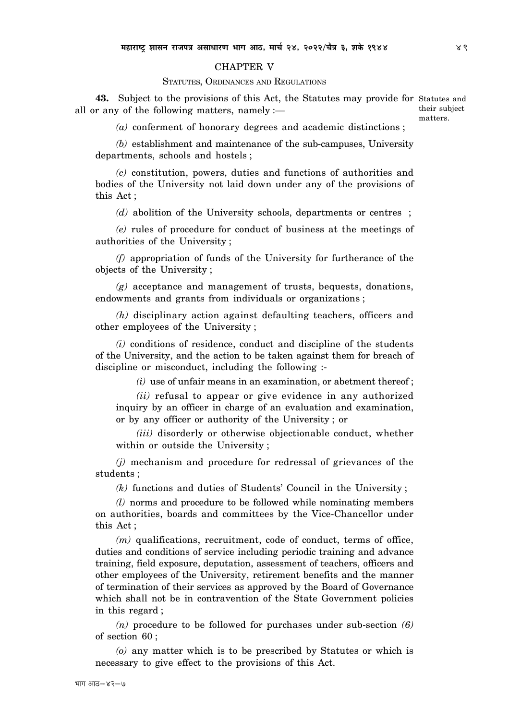### CHAPTER V

### STATUTES, ORDINANCES AND REGULATIONS

**43.** Subject to the provisions of this Act, the Statutes may provide for Statutes and all or any of the following matters, namely :—

their subject matters.

*(a)* conferment of honorary degrees and academic distinctions ;

*(b)* establishment and maintenance of the sub-campuses, University departments, schools and hostels ;

*(c)* constitution, powers, duties and functions of authorities and bodies of the University not laid down under any of the provisions of this Act ;

*(d)* abolition of the University schools, departments or centres ;

*(e)* rules of procedure for conduct of business at the meetings of authorities of the University ;

*(f)* appropriation of funds of the University for furtherance of the objects of the University ;

*(g)* acceptance and management of trusts, bequests, donations, endowments and grants from individuals or organizations ;

*(h)* disciplinary action against defaulting teachers, officers and other employees of the University ;

*(i)* conditions of residence, conduct and discipline of the students of the University, and the action to be taken against them for breach of discipline or misconduct, including the following :-

*(i)* use of unfair means in an examination, or abetment thereof ;

*(ii)* refusal to appear or give evidence in any authorized inquiry by an officer in charge of an evaluation and examination, or by any officer or authority of the University ; or

*(iii)* disorderly or otherwise objectionable conduct, whether within or outside the University ;

*(j)* mechanism and procedure for redressal of grievances of the students ;

*(k)* functions and duties of Students' Council in the University ;

*(l)* norms and procedure to be followed while nominating members on authorities, boards and committees by the Vice-Chancellor under this Act ;

*(m)* qualifications, recruitment, code of conduct, terms of office, duties and conditions of service including periodic training and advance training, field exposure, deputation, assessment of teachers, officers and other employees of the University, retirement benefits and the manner of termination of their services as approved by the Board of Governance which shall not be in contravention of the State Government policies in this regard ;

*(n)* procedure to be followed for purchases under sub-section *(6)* of section 60 ;

*(o)* any matter which is to be prescribed by Statutes or which is necessary to give effect to the provisions of this Act.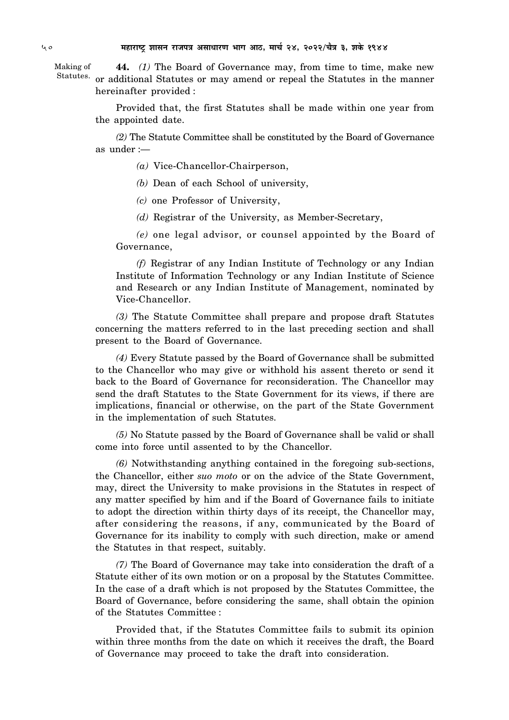**44.** *(1)* The Board of Governance may, from time to time, make new Statutes. or additional Statutes or may amend or repeal the Statutes in the manner hereinafter provided : Making of

> Provided that, the first Statutes shall be made within one year from the appointed date.

> *(2)* The Statute Committee shall be constituted by the Board of Governance as under :—

> > *(a)* Vice-Chancellor-Chairperson,

*(b)* Dean of each School of university,

*(c)* one Professor of University,

*(d)* Registrar of the University, as Member-Secretary,

*(e)* one legal advisor, or counsel appointed by the Board of Governance,

*(f)* Registrar of any Indian Institute of Technology or any Indian Institute of Information Technology or any Indian Institute of Science and Research or any Indian Institute of Management, nominated by Vice-Chancellor.

*(3)* The Statute Committee shall prepare and propose draft Statutes concerning the matters referred to in the last preceding section and shall present to the Board of Governance.

*(4)* Every Statute passed by the Board of Governance shall be submitted to the Chancellor who may give or withhold his assent thereto or send it back to the Board of Governance for reconsideration. The Chancellor may send the draft Statutes to the State Government for its views, if there are implications, financial or otherwise, on the part of the State Government in the implementation of such Statutes.

*(5)* No Statute passed by the Board of Governance shall be valid or shall come into force until assented to by the Chancellor.

*(6)* Notwithstanding anything contained in the foregoing sub-sections, the Chancellor, either *suo moto* or on the advice of the State Government, may, direct the University to make provisions in the Statutes in respect of any matter specified by him and if the Board of Governance fails to initiate to adopt the direction within thirty days of its receipt, the Chancellor may, after considering the reasons, if any, communicated by the Board of Governance for its inability to comply with such direction, make or amend the Statutes in that respect, suitably.

*(7)* The Board of Governance may take into consideration the draft of a Statute either of its own motion or on a proposal by the Statutes Committee. In the case of a draft which is not proposed by the Statutes Committee, the Board of Governance, before considering the same, shall obtain the opinion of the Statutes Committee :

Provided that, if the Statutes Committee fails to submit its opinion within three months from the date on which it receives the draft, the Board of Governance may proceed to take the draft into consideration.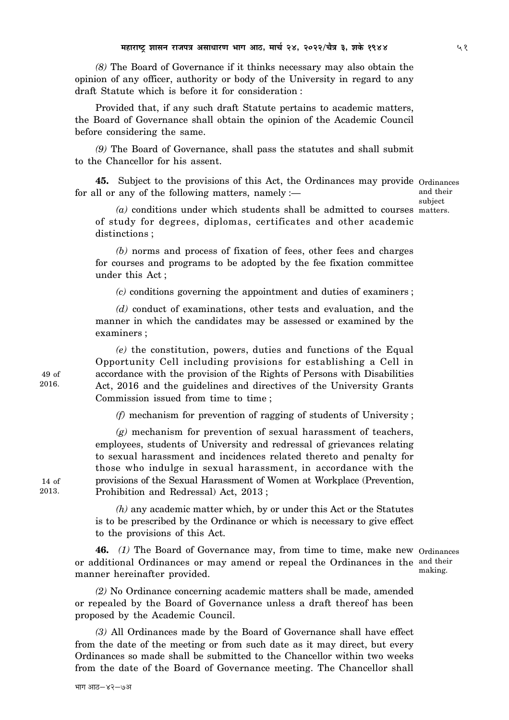*(8)* The Board of Governance if it thinks necessary may also obtain the opinion of any officer, authority or body of the University in regard to any draft Statute which is before it for consideration :

Provided that, if any such draft Statute pertains to academic matters, the Board of Governance shall obtain the opinion of the Academic Council before considering the same.

*(9)* The Board of Governance, shall pass the statutes and shall submit to the Chancellor for his assent.

**45.** Subject to the provisions of this Act, the Ordinances may provide Ordinances for all or any of the following matters, namely :—

and their subject

*(a)* conditions under which students shall be admitted to courses matters. of study for degrees, diplomas, certificates and other academic distinctions ;

*(b)* norms and process of fixation of fees, other fees and charges for courses and programs to be adopted by the fee fixation committee under this Act ;

*(c)* conditions governing the appointment and duties of examiners ;

*(d)* conduct of examinations, other tests and evaluation, and the manner in which the candidates may be assessed or examined by the examiners ;

*(e)* the constitution, powers, duties and functions of the Equal Opportunity Cell including provisions for establishing a Cell in accordance with the provision of the Rights of Persons with Disabilities Act, 2016 and the guidelines and directives of the University Grants Commission issued from time to time ;

*(f)* mechanism for prevention of ragging of students of University ;

*(g)* mechanism for prevention of sexual harassment of teachers, employees, students of University and redressal of grievances relating to sexual harassment and incidences related thereto and penalty for those who indulge in sexual harassment, in accordance with the provisions of the Sexual Harassment of Women at Workplace (Prevention, Prohibition and Redressal) Act, 2013 ;

*(h)* any academic matter which, by or under this Act or the Statutes is to be prescribed by the Ordinance or which is necessary to give effect to the provisions of this Act.

**46.** *(1)* The Board of Governance may, from time to time, make new Ordinances or additional Ordinances or may amend or repeal the Ordinances in the and their manner hereinafter provided.

making.

*(2)* No Ordinance concerning academic matters shall be made, amended or repealed by the Board of Governance unless a draft thereof has been proposed by the Academic Council.

*(3)* All Ordinances made by the Board of Governance shall have effect from the date of the meeting or from such date as it may direct, but every Ordinances so made shall be submitted to the Chancellor within two weeks from the date of the Board of Governance meeting. The Chancellor shall

14 of 2013.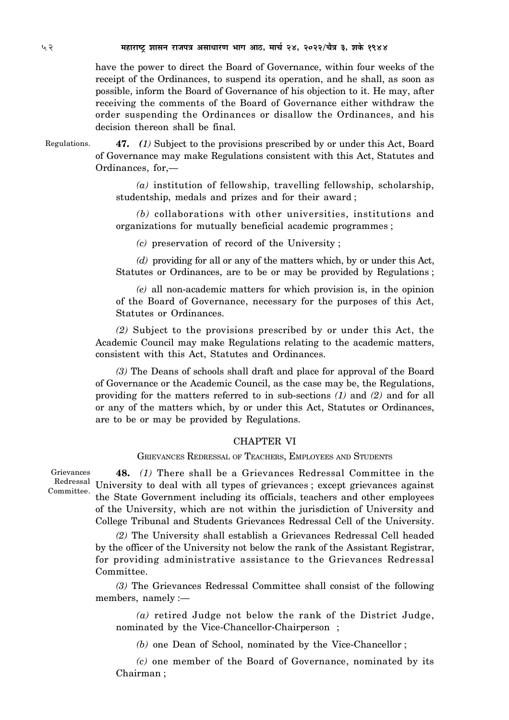have the power to direct the Board of Governance, within four weeks of the receipt of the Ordinances, to suspend its operation, and he shall, as soon as possible, inform the Board of Governance of his objection to it. He may, after receiving the comments of the Board of Governance either withdraw the order suspending the Ordinances or disallow the Ordinances, and his decision thereon shall be final.

Regulations.

**47.** *(1)* Subject to the provisions prescribed by or under this Act, Board of Governance may make Regulations consistent with this Act, Statutes and Ordinances, for,—

*(a)* institution of fellowship, travelling fellowship, scholarship, studentship, medals and prizes and for their award ;

*(b)* collaborations with other universities, institutions and organizations for mutually beneficial academic programmes ;

*(c)* preservation of record of the University ;

*(d)* providing for all or any of the matters which, by or under this Act, Statutes or Ordinances, are to be or may be provided by Regulations ;

*(e)* all non-academic matters for which provision is, in the opinion of the Board of Governance, necessary for the purposes of this Act, Statutes or Ordinances.

*(2)* Subject to the provisions prescribed by or under this Act, the Academic Council may make Regulations relating to the academic matters, consistent with this Act, Statutes and Ordinances.

*(3)* The Deans of schools shall draft and place for approval of the Board of Governance or the Academic Council, as the case may be, the Regulations, providing for the matters referred to in sub-sections *(1)* and *(2)* and for all or any of the matters which, by or under this Act, Statutes or Ordinances, are to be or may be provided by Regulations.

# CHAPTER VI

GRIEVANCES REDRESSAL OF TEACHERS, EMPLOYEES AND STUDENTS

Grievances Committee.

**48.** *(1)* There shall be a Grievances Redressal Committee in the Redressal University to deal with all types of grievances; except grievances against the State Government including its officials, teachers and other employees of the University, which are not within the jurisdiction of University and College Tribunal and Students Grievances Redressal Cell of the University.

> *(2)* The University shall establish a Grievances Redressal Cell headed by the officer of the University not below the rank of the Assistant Registrar, for providing administrative assistance to the Grievances Redressal Committee.

> *(3)* The Grievances Redressal Committee shall consist of the following members, namely :—

*(a)* retired Judge not below the rank of the District Judge, nominated by the Vice-Chancellor-Chairperson ;

*(b)* one Dean of School, nominated by the Vice-Chancellor ;

*(c)* one member of the Board of Governance, nominated by its Chairman ;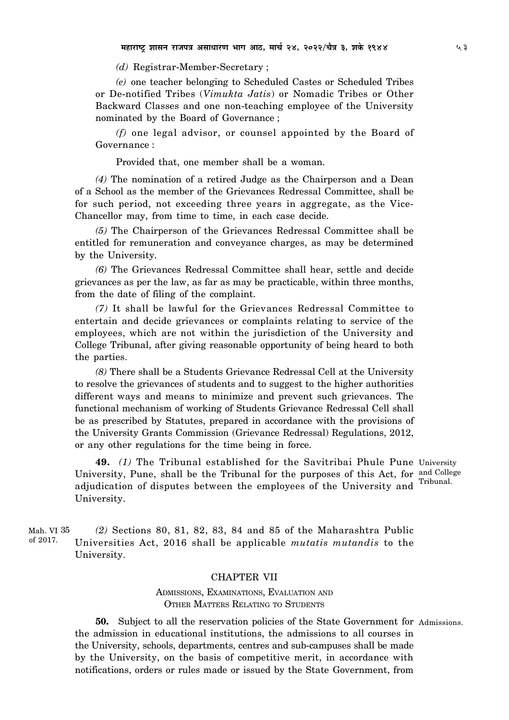*(d)* Registrar-Member-Secretary ;

*(e)* one teacher belonging to Scheduled Castes or Scheduled Tribes or De-notified Tribes (*Vimukta Jatis*) or Nomadic Tribes or Other Backward Classes and one non-teaching employee of the University nominated by the Board of Governance ;

*(f)* one legal advisor, or counsel appointed by the Board of Governance :

Provided that, one member shall be a woman.

*(4)* The nomination of a retired Judge as the Chairperson and a Dean of a School as the member of the Grievances Redressal Committee, shall be for such period, not exceeding three years in aggregate, as the Vice-Chancellor may, from time to time, in each case decide.

*(5)* The Chairperson of the Grievances Redressal Committee shall be entitled for remuneration and conveyance charges, as may be determined by the University.

*(6)* The Grievances Redressal Committee shall hear, settle and decide grievances as per the law, as far as may be practicable, within three months, from the date of filing of the complaint.

*(7)* It shall be lawful for the Grievances Redressal Committee to entertain and decide grievances or complaints relating to service of the employees, which are not within the jurisdiction of the University and College Tribunal, after giving reasonable opportunity of being heard to both the parties.

*(8)* There shall be a Students Grievance Redressal Cell at the University to resolve the grievances of students and to suggest to the higher authorities different ways and means to minimize and prevent such grievances. The functional mechanism of working of Students Grievance Redressal Cell shall be as prescribed by Statutes, prepared in accordance with the provisions of the University Grants Commission (Grievance Redressal) Regulations, 2012, or any other regulations for the time being in force.

**49.** *(1)* The Tribunal established for the Savitribai Phule Pune University University, Pune, shall be the Tribunal for the purposes of this Act, for and College adjudication of disputes between the employees of the University and University.

Tribunal.

*(2)* Sections 80, 81, 82, 83, 84 and 85 of the Maharashtra Public Universities Act, 2016 shall be applicable *mutatis mutandis* to the University. Mah. VI 35of 2017.

# CHAPTER VII

ADMISSIONS, EXAMINATIONS, EVALUATION AND OTHER MATTERS RELATING TO STUDENTS

**50.** Subject to all the reservation policies of the State Government for Admissions. the admission in educational institutions, the admissions to all courses in the University, schools, departments, centres and sub-campuses shall be made by the University, on the basis of competitive merit, in accordance with notifications, orders or rules made or issued by the State Government, from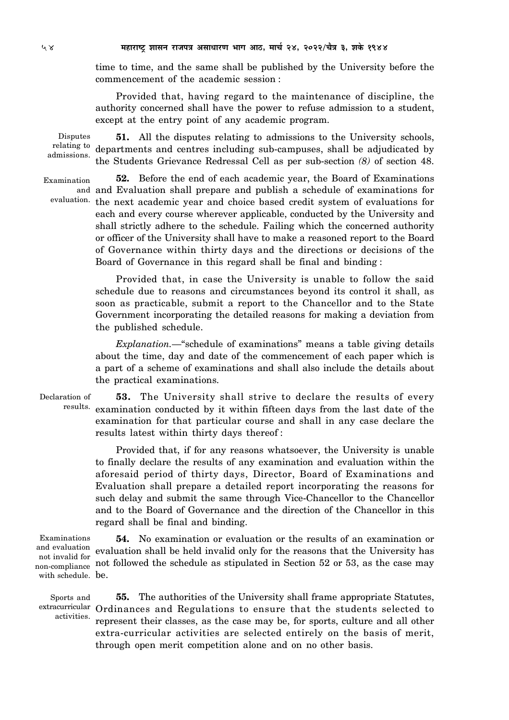time to time, and the same shall be published by the University before the commencement of the academic session :

Provided that, having regard to the maintenance of discipline, the authority concerned shall have the power to refuse admission to a student, except at the entry point of any academic program.

Disputes relating to admissions.

**51.** All the disputes relating to admissions to the University schools, departments and centres including sub-campuses, shall be adjudicated by the Students Grievance Redressal Cell as per sub-section *(8)* of section 48.

Examination evaluation.

**52.** Before the end of each academic year, the Board of Examinations and Evaluation shall prepare and publish a schedule of examinations for and the next academic year and choice based credit system of evaluations for each and every course wherever applicable, conducted by the University and shall strictly adhere to the schedule. Failing which the concerned authority or officer of the University shall have to make a reasoned report to the Board of Governance within thirty days and the directions or decisions of the Board of Governance in this regard shall be final and binding :

Provided that, in case the University is unable to follow the said schedule due to reasons and circumstances beyond its control it shall, as soon as practicable, submit a report to the Chancellor and to the State Government incorporating the detailed reasons for making a deviation from the published schedule.

*Explanation.—*"schedule of examinations" means a table giving details about the time, day and date of the commencement of each paper which is a part of a scheme of examinations and shall also include the details about the practical examinations.

**53.** The University shall strive to declare the results of every results. examination conducted by it within fifteen days from the last date of the examination for that particular course and shall in any case declare the results latest within thirty days thereof : Declaration of

> Provided that, if for any reasons whatsoever, the University is unable to finally declare the results of any examination and evaluation within the aforesaid period of thirty days, Director, Board of Examinations and Evaluation shall prepare a detailed report incorporating the reasons for such delay and submit the same through Vice-Chancellor to the Chancellor and to the Board of Governance and the direction of the Chancellor in this regard shall be final and binding.

with schedule. be. Examinations and evaluation not invalid for

**54.** No examination or evaluation or the results of an examination or evaluation shall be held invalid only for the reasons that the University has non-compliance not followed the schedule as stipulated in Section 52 or 53, as the case may

Sports and activities.

**55.** The authorities of the University shall frame appropriate Statutes, extracurricular Ordinances and Regulations to ensure that the students selected to represent their classes, as the case may be, for sports, culture and all other extra-curricular activities are selected entirely on the basis of merit, through open merit competition alone and on no other basis.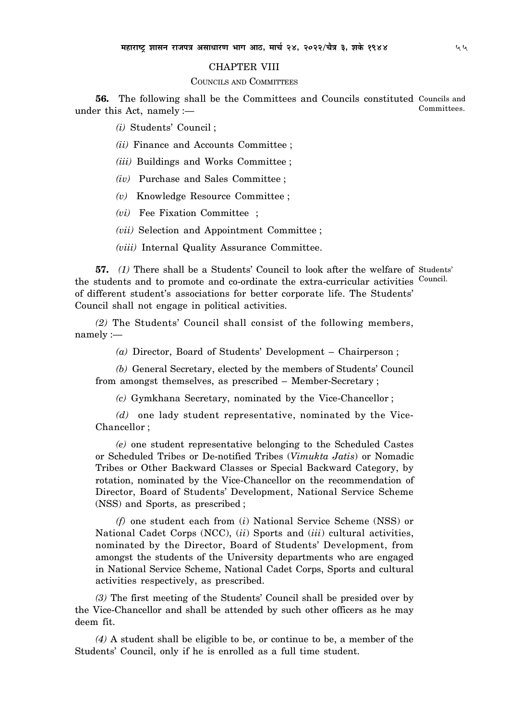# CHAPTER VIII

# COUNCILS AND COMMITTEES

**56.** The following shall be the Committees and Councils constituted Councils and under this Act, namely :— Committees.

*(i)* Students' Council ;

*(ii)* Finance and Accounts Committee ;

*(iii)* Buildings and Works Committee ;

*(iv)* Purchase and Sales Committee ;

*(v)* Knowledge Resource Committee ;

*(vi)* Fee Fixation Committee ;

*(vii)* Selection and Appointment Committee ;

*(viii)* Internal Quality Assurance Committee.

**57.** *(1)* There shall be a Students' Council to look after the welfare of Students' the students and to promote and co-ordinate the extra-curricular activities <sup>Council.</sup> of different student's associations for better corporate life. The Students' Council shall not engage in political activities.

*(2)* The Students' Council shall consist of the following members, namely :—

*(a)* Director, Board of Students' Development – Chairperson ;

*(b)* General Secretary, elected by the members of Students' Council from amongst themselves, as prescribed – Member-Secretary ;

*(c)* Gymkhana Secretary, nominated by the Vice-Chancellor ;

*(d)* one lady student representative, nominated by the Vice-Chancellor ;

*(e)* one student representative belonging to the Scheduled Castes or Scheduled Tribes or De-notified Tribes (*Vimukta Jatis*) or Nomadic Tribes or Other Backward Classes or Special Backward Category, by rotation, nominated by the Vice-Chancellor on the recommendation of Director, Board of Students' Development, National Service Scheme (NSS) and Sports, as prescribed ;

*(f)* one student each from (*i*) National Service Scheme (NSS) or National Cadet Corps (NCC), (*ii*) Sports and (*iii*) cultural activities, nominated by the Director, Board of Students' Development, from amongst the students of the University departments who are engaged in National Service Scheme, National Cadet Corps, Sports and cultural activities respectively, as prescribed.

*(3)* The first meeting of the Students' Council shall be presided over by the Vice-Chancellor and shall be attended by such other officers as he may deem fit.

*(4)* A student shall be eligible to be, or continue to be, a member of the Students' Council, only if he is enrolled as a full time student.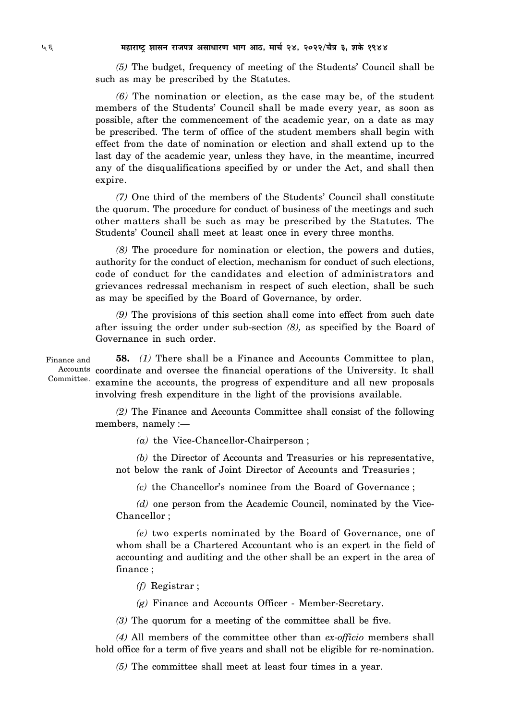*(5)* The budget, frequency of meeting of the Students' Council shall be such as may be prescribed by the Statutes.

*(6)* The nomination or election, as the case may be, of the student members of the Students' Council shall be made every year, as soon as possible, after the commencement of the academic year, on a date as may be prescribed. The term of office of the student members shall begin with effect from the date of nomination or election and shall extend up to the last day of the academic year, unless they have, in the meantime, incurred any of the disqualifications specified by or under the Act, and shall then expire.

*(7)* One third of the members of the Students' Council shall constitute the quorum. The procedure for conduct of business of the meetings and such other matters shall be such as may be prescribed by the Statutes. The Students' Council shall meet at least once in every three months.

*(8)* The procedure for nomination or election, the powers and duties, authority for the conduct of election, mechanism for conduct of such elections, code of conduct for the candidates and election of administrators and grievances redressal mechanism in respect of such election, shall be such as may be specified by the Board of Governance, by order.

*(9)* The provisions of this section shall come into effect from such date after issuing the order under sub-section *(8),* as specified by the Board of Governance in such order.

Finance and Committee.

**58.** *(1)* There shall be a Finance and Accounts Committee to plan, Accounts coordinate and oversee the financial operations of the University. It shall examine the accounts, the progress of expenditure and all new proposals involving fresh expenditure in the light of the provisions available.

*(2)* The Finance and Accounts Committee shall consist of the following members, namely :—

*(a)* the Vice-Chancellor-Chairperson ;

*(b)* the Director of Accounts and Treasuries or his representative, not below the rank of Joint Director of Accounts and Treasuries ;

*(c)* the Chancellor's nominee from the Board of Governance ;

*(d)* one person from the Academic Council, nominated by the Vice-Chancellor ;

*(e)* two experts nominated by the Board of Governance, one of whom shall be a Chartered Accountant who is an expert in the field of accounting and auditing and the other shall be an expert in the area of finance ;

*(f)* Registrar ;

*(g)* Finance and Accounts Officer - Member-Secretary.

*(3)* The quorum for a meeting of the committee shall be five.

*(4)* All members of the committee other than *ex-officio* members shall hold office for a term of five years and shall not be eligible for re-nomination.

*(5)* The committee shall meet at least four times in a year.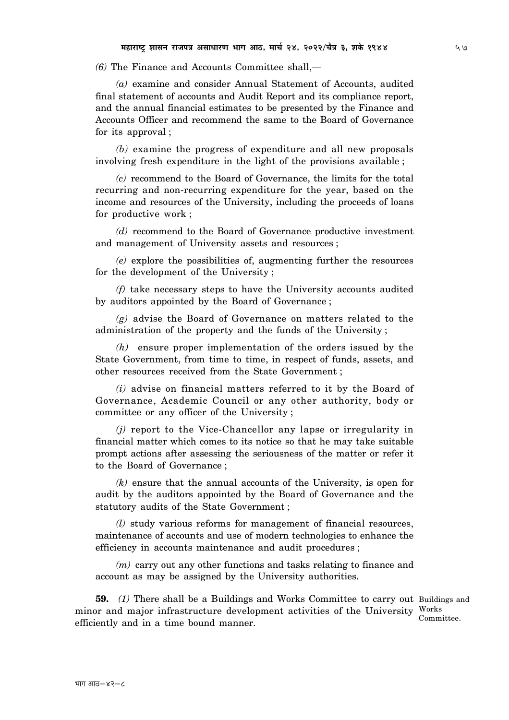*(6)* The Finance and Accounts Committee shall,—

*(a)* examine and consider Annual Statement of Accounts, audited final statement of accounts and Audit Report and its compliance report, and the annual financial estimates to be presented by the Finance and Accounts Officer and recommend the same to the Board of Governance for its approval ;

*(b)* examine the progress of expenditure and all new proposals involving fresh expenditure in the light of the provisions available ;

*(c)* recommend to the Board of Governance, the limits for the total recurring and non-recurring expenditure for the year, based on the income and resources of the University, including the proceeds of loans for productive work ;

*(d)* recommend to the Board of Governance productive investment and management of University assets and resources ;

*(e)* explore the possibilities of, augmenting further the resources for the development of the University ;

*(f)* take necessary steps to have the University accounts audited by auditors appointed by the Board of Governance ;

*(g)* advise the Board of Governance on matters related to the administration of the property and the funds of the University ;

*(h)* ensure proper implementation of the orders issued by the State Government, from time to time, in respect of funds, assets, and other resources received from the State Government ;

*(i)* advise on financial matters referred to it by the Board of Governance, Academic Council or any other authority, body or committee or any officer of the University ;

*(j)* report to the Vice-Chancellor any lapse or irregularity in financial matter which comes to its notice so that he may take suitable prompt actions after assessing the seriousness of the matter or refer it to the Board of Governance ;

*(k)* ensure that the annual accounts of the University, is open for audit by the auditors appointed by the Board of Governance and the statutory audits of the State Government ;

*(l)* study various reforms for management of financial resources, maintenance of accounts and use of modern technologies to enhance the efficiency in accounts maintenance and audit procedures ;

*(m)* carry out any other functions and tasks relating to finance and account as may be assigned by the University authorities.

**59.** (1) There shall be a Buildings and Works Committee to carry out Buildings and minor and major infrastructure development activities of the University Works efficiently and in a time bound manner. Committee.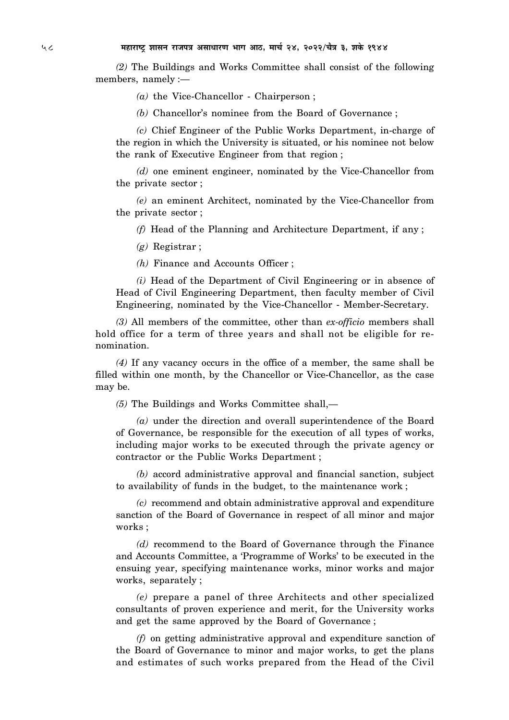*(2)* The Buildings and Works Committee shall consist of the following members, namely :—

*(a)* the Vice-Chancellor - Chairperson ;

*(b)* Chancellor's nominee from the Board of Governance ;

*(c)* Chief Engineer of the Public Works Department, in-charge of the region in which the University is situated, or his nominee not below the rank of Executive Engineer from that region ;

*(d)* one eminent engineer, nominated by the Vice-Chancellor from the private sector ;

*(e)* an eminent Architect, nominated by the Vice-Chancellor from the private sector ;

*(f)* Head of the Planning and Architecture Department, if any ;

*(g)* Registrar ;

*(h)* Finance and Accounts Officer ;

*(i)* Head of the Department of Civil Engineering or in absence of Head of Civil Engineering Department, then faculty member of Civil Engineering, nominated by the Vice-Chancellor - Member-Secretary.

*(3)* All members of the committee, other than *ex-officio* members shall hold office for a term of three years and shall not be eligible for renomination.

*(4)* If any vacancy occurs in the office of a member, the same shall be filled within one month, by the Chancellor or Vice-Chancellor, as the case may be.

*(5)* The Buildings and Works Committee shall,—

*(a)* under the direction and overall superintendence of the Board of Governance, be responsible for the execution of all types of works, including major works to be executed through the private agency or contractor or the Public Works Department ;

*(b)* accord administrative approval and financial sanction, subject to availability of funds in the budget, to the maintenance work ;

*(c)* recommend and obtain administrative approval and expenditure sanction of the Board of Governance in respect of all minor and major works ;

*(d)* recommend to the Board of Governance through the Finance and Accounts Committee, a 'Programme of Works' to be executed in the ensuing year, specifying maintenance works, minor works and major works, separately ;

*(e)* prepare a panel of three Architects and other specialized consultants of proven experience and merit, for the University works and get the same approved by the Board of Governance ;

*(f)* on getting administrative approval and expenditure sanction of the Board of Governance to minor and major works, to get the plans and estimates of such works prepared from the Head of the Civil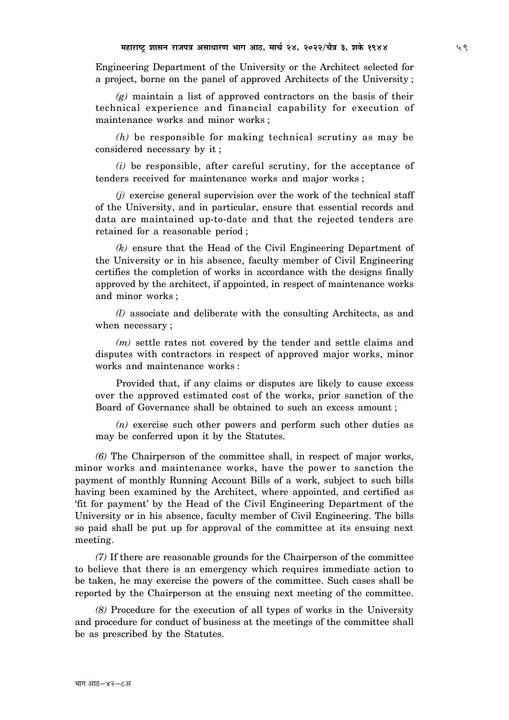Engineering Department of the University or the Architect selected for a project, borne on the panel of approved Architects of the University ;

*(g)* maintain a list of approved contractors on the basis of their technical experience and financial capability for execution of maintenance works and minor works ;

*(h)* be responsible for making technical scrutiny as may be considered necessary by it ;

*(i)* be responsible, after careful scrutiny, for the acceptance of tenders received for maintenance works and major works ;

*(j)* exercise general supervision over the work of the technical staff of the University, and in particular, ensure that essential records and data are maintained up-to-date and that the rejected tenders are retained for a reasonable period ;

*(k)* ensure that the Head of the Civil Engineering Department of the University or in his absence, faculty member of Civil Engineering certifies the completion of works in accordance with the designs finally approved by the architect, if appointed, in respect of maintenance works and minor works ;

*(l)* associate and deliberate with the consulting Architects, as and when necessary ;

*(m)* settle rates not covered by the tender and settle claims and disputes with contractors in respect of approved major works, minor works and maintenance works :

Provided that, if any claims or disputes are likely to cause excess over the approved estimated cost of the works, prior sanction of the Board of Governance shall be obtained to such an excess amount ;

*(n)* exercise such other powers and perform such other duties as may be conferred upon it by the Statutes.

*(6)* The Chairperson of the committee shall, in respect of major works, minor works and maintenance works, have the power to sanction the payment of monthly Running Account Bills of a work, subject to such bills having been examined by the Architect, where appointed, and certified as 'fit for payment' by the Head of the Civil Engineering Department of the University or in his absence, faculty member of Civil Engineering. The bills so paid shall be put up for approval of the committee at its ensuing next meeting.

*(7)* If there are reasonable grounds for the Chairperson of the committee to believe that there is an emergency which requires immediate action to be taken, he may exercise the powers of the committee. Such cases shall be reported by the Chairperson at the ensuing next meeting of the committee.

*(8)* Procedure for the execution of all types of works in the University and procedure for conduct of business at the meetings of the committee shall be as prescribed by the Statutes.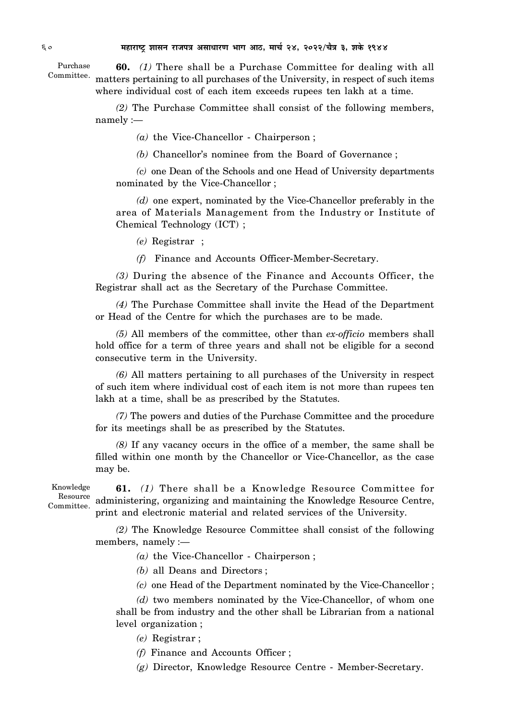**60.** *(1)* There shall be a Purchase Committee for dealing with all Committee. matters pertaining to all purchases of the University, in respect of such items where individual cost of each item exceeds rupees ten lakh at a time. Purchase

> *(2)* The Purchase Committee shall consist of the following members, namely :—

> > *(a)* the Vice-Chancellor - Chairperson ;

*(b)* Chancellor's nominee from the Board of Governance ;

*(c)* one Dean of the Schools and one Head of University departments nominated by the Vice-Chancellor ;

*(d)* one expert, nominated by the Vice-Chancellor preferably in the area of Materials Management from the Industry or Institute of Chemical Technology (ICT) ;

*(e)* Registrar ;

*(f)* Finance and Accounts Officer-Member-Secretary.

*(3)* During the absence of the Finance and Accounts Officer, the Registrar shall act as the Secretary of the Purchase Committee.

*(4)* The Purchase Committee shall invite the Head of the Department or Head of the Centre for which the purchases are to be made.

*(5)* All members of the committee, other than *ex-officio* members shall hold office for a term of three years and shall not be eligible for a second consecutive term in the University.

*(6)* All matters pertaining to all purchases of the University in respect of such item where individual cost of each item is not more than rupees ten lakh at a time, shall be as prescribed by the Statutes.

*(7)* The powers and duties of the Purchase Committee and the procedure for its meetings shall be as prescribed by the Statutes.

*(8)* If any vacancy occurs in the office of a member, the same shall be filled within one month by the Chancellor or Vice-Chancellor, as the case may be.

Knowledge Resource Committee.

**61.** *(1)* There shall be a Knowledge Resource Committee for administering, organizing and maintaining the Knowledge Resource Centre, print and electronic material and related services of the University.

*(2)* The Knowledge Resource Committee shall consist of the following members, namely :—

*(a)* the Vice-Chancellor - Chairperson ;

*(b)* all Deans and Directors ;

*(c)* one Head of the Department nominated by the Vice-Chancellor ;

*(d)* two members nominated by the Vice-Chancellor, of whom one shall be from industry and the other shall be Librarian from a national level organization ;

*(e)* Registrar ;

*(f)* Finance and Accounts Officer ;

*(g)* Director, Knowledge Resource Centre - Member-Secretary.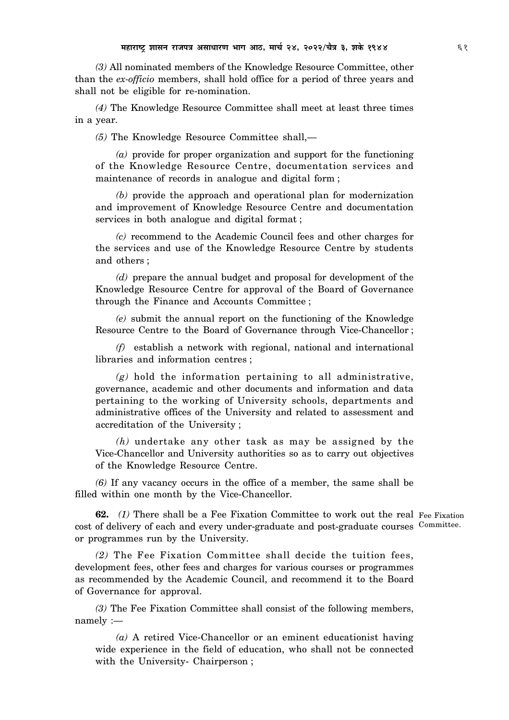*(3)* All nominated members of the Knowledge Resource Committee, other than the *ex-officio* members, shall hold office for a period of three years and shall not be eligible for re-nomination.

*(4)* The Knowledge Resource Committee shall meet at least three times in a year.

*(5)* The Knowledge Resource Committee shall,—

*(a)* provide for proper organization and support for the functioning of the Knowledge Resource Centre, documentation services and maintenance of records in analogue and digital form ;

*(b)* provide the approach and operational plan for modernization and improvement of Knowledge Resource Centre and documentation services in both analogue and digital format ;

*(c)* recommend to the Academic Council fees and other charges for the services and use of the Knowledge Resource Centre by students and others ;

*(d)* prepare the annual budget and proposal for development of the Knowledge Resource Centre for approval of the Board of Governance through the Finance and Accounts Committee ;

*(e)* submit the annual report on the functioning of the Knowledge Resource Centre to the Board of Governance through Vice-Chancellor ;

*(f)* establish a network with regional, national and international libraries and information centres ;

*(g)* hold the information pertaining to all administrative, governance, academic and other documents and information and data pertaining to the working of University schools, departments and administrative offices of the University and related to assessment and accreditation of the University ;

*(h)* undertake any other task as may be assigned by the Vice-Chancellor and University authorities so as to carry out objectives of the Knowledge Resource Centre.

*(6)* If any vacancy occurs in the office of a member, the same shall be filled within one month by the Vice-Chancellor.

**62.** (1) There shall be a Fee Fixation Committee to work out the real Fee Fixation cost of delivery of each and every under-graduate and post-graduate courses Committee. or programmes run by the University.

*(2)* The Fee Fixation Committee shall decide the tuition fees, development fees, other fees and charges for various courses or programmes as recommended by the Academic Council, and recommend it to the Board of Governance for approval.

*(3)* The Fee Fixation Committee shall consist of the following members, namely :—

*(a)* A retired Vice-Chancellor or an eminent educationist having wide experience in the field of education, who shall not be connected with the University- Chairperson ;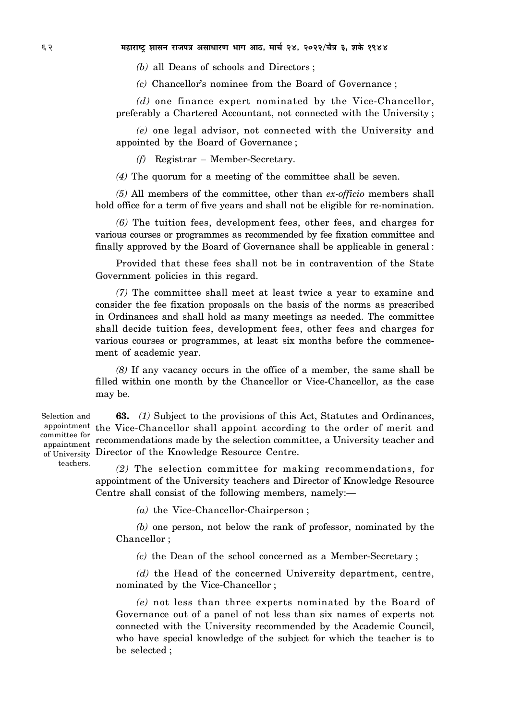*(b)* all Deans of schools and Directors ;

*(c)* Chancellor's nominee from the Board of Governance ;

*(d)* one finance expert nominated by the Vice-Chancellor, preferably a Chartered Accountant, not connected with the University ;

*(e)* one legal advisor, not connected with the University and appointed by the Board of Governance ;

*(f)* Registrar – Member-Secretary.

*(4)* The quorum for a meeting of the committee shall be seven.

*(5)* All members of the committee, other than *ex-officio* members shall hold office for a term of five years and shall not be eligible for re-nomination.

*(6)* The tuition fees, development fees, other fees, and charges for various courses or programmes as recommended by fee fixation committee and finally approved by the Board of Governance shall be applicable in general :

Provided that these fees shall not be in contravention of the State Government policies in this regard.

*(7)* The committee shall meet at least twice a year to examine and consider the fee fixation proposals on the basis of the norms as prescribed in Ordinances and shall hold as many meetings as needed. The committee shall decide tuition fees, development fees, other fees and charges for various courses or programmes, at least six months before the commencement of academic year.

*(8)* If any vacancy occurs in the office of a member, the same shall be filled within one month by the Chancellor or Vice-Chancellor, as the case may be.

Selection and appaintment teachers.

**63.** *(1)* Subject to the provisions of this Act, Statutes and Ordinances, appointment the Vice-Chancellor shall appoint according to the order of merit and committee for recommendations made by the selection committee, a University teacher and of University Director of the Knowledge Resource Centre.

> *(2)* The selection committee for making recommendations, for appointment of the University teachers and Director of Knowledge Resource Centre shall consist of the following members, namely:—

> > *(a)* the Vice-Chancellor-Chairperson ;

*(b)* one person, not below the rank of professor, nominated by the Chancellor ;

*(c)* the Dean of the school concerned as a Member-Secretary ;

*(d)* the Head of the concerned University department, centre, nominated by the Vice-Chancellor ;

*(e)* not less than three experts nominated by the Board of Governance out of a panel of not less than six names of experts not connected with the University recommended by the Academic Council, who have special knowledge of the subject for which the teacher is to be selected ;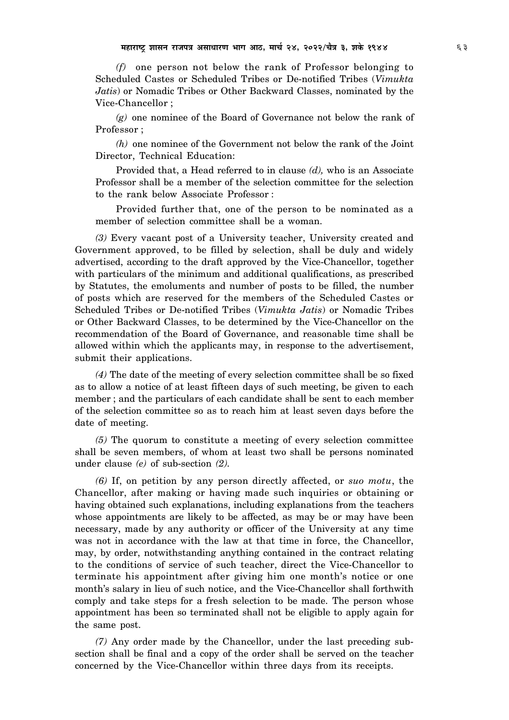*(f)* one person not below the rank of Professor belonging to Scheduled Castes or Scheduled Tribes or De-notified Tribes (*Vimukta Jatis*) or Nomadic Tribes or Other Backward Classes, nominated by the Vice-Chancellor ;

*(g)* one nominee of the Board of Governance not below the rank of Professor ;

*(h)* one nominee of the Government not below the rank of the Joint Director, Technical Education:

Provided that, a Head referred to in clause *(d),* who is an Associate Professor shall be a member of the selection committee for the selection to the rank below Associate Professor :

Provided further that, one of the person to be nominated as a member of selection committee shall be a woman.

*(3)* Every vacant post of a University teacher, University created and Government approved, to be filled by selection, shall be duly and widely advertised, according to the draft approved by the Vice-Chancellor, together with particulars of the minimum and additional qualifications, as prescribed by Statutes, the emoluments and number of posts to be filled, the number of posts which are reserved for the members of the Scheduled Castes or Scheduled Tribes or De-notified Tribes (*Vimukta Jatis*) or Nomadic Tribes or Other Backward Classes, to be determined by the Vice-Chancellor on the recommendation of the Board of Governance, and reasonable time shall be allowed within which the applicants may, in response to the advertisement, submit their applications.

*(4)* The date of the meeting of every selection committee shall be so fixed as to allow a notice of at least fifteen days of such meeting, be given to each member ; and the particulars of each candidate shall be sent to each member of the selection committee so as to reach him at least seven days before the date of meeting.

*(5)* The quorum to constitute a meeting of every selection committee shall be seven members, of whom at least two shall be persons nominated under clause *(e)* of sub-section *(2).*

*(6)* If, on petition by any person directly affected, or *suo motu*, the Chancellor, after making or having made such inquiries or obtaining or having obtained such explanations, including explanations from the teachers whose appointments are likely to be affected, as may be or may have been necessary, made by any authority or officer of the University at any time was not in accordance with the law at that time in force, the Chancellor, may, by order, notwithstanding anything contained in the contract relating to the conditions of service of such teacher, direct the Vice-Chancellor to terminate his appointment after giving him one month's notice or one month's salary in lieu of such notice, and the Vice-Chancellor shall forthwith comply and take steps for a fresh selection to be made. The person whose appointment has been so terminated shall not be eligible to apply again for the same post.

*(7)* Any order made by the Chancellor, under the last preceding subsection shall be final and a copy of the order shall be served on the teacher concerned by the Vice-Chancellor within three days from its receipts.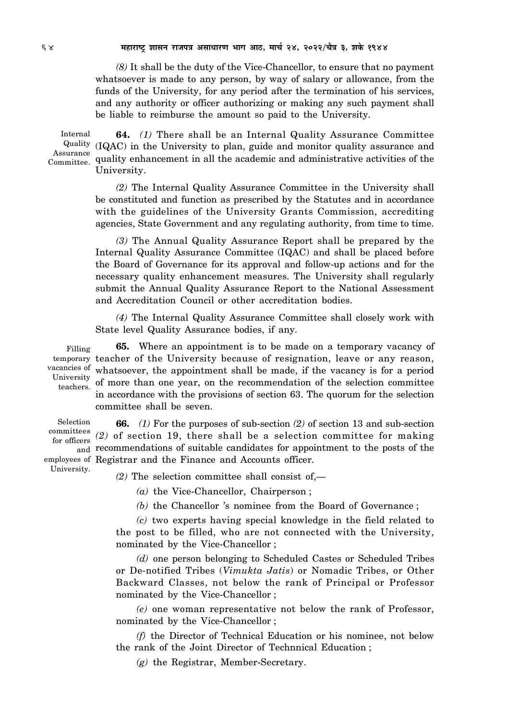*(8)* It shall be the duty of the Vice-Chancellor, to ensure that no payment whatsoever is made to any person, by way of salary or allowance, from the funds of the University, for any period after the termination of his services, and any authority or officer authorizing or making any such payment shall be liable to reimburse the amount so paid to the University.

Internal Committee.

**64.** *(1)* There shall be an Internal Quality Assurance Committee Quality (IQAC) in the University to plan, guide and monitor quality assurance and Assurance<br>
ommittee quality enhancement in all the academic and administrative activities of the University.

> *(2)* The Internal Quality Assurance Committee in the University shall be constituted and function as prescribed by the Statutes and in accordance with the guidelines of the University Grants Commission, accrediting agencies, State Government and any regulating authority, from time to time.

> *(3)* The Annual Quality Assurance Report shall be prepared by the Internal Quality Assurance Committee (IQAC) and shall be placed before the Board of Governance for its approval and follow-up actions and for the necessary quality enhancement measures. The University shall regularly submit the Annual Quality Assurance Report to the National Assessment and Accreditation Council or other accreditation bodies.

> *(4)* The Internal Quality Assurance Committee shall closely work with State level Quality Assurance bodies, if any.

**65.** Where an appointment is to be made on a temporary vacancy of temporary teacher of the University because of resignation, leave or any reason, vacancies of whatsoever, the appointment shall be made, if the vacancy is for a period of more than one year, on the recommendation of the selection committee in accordance with the provisions of section 63. The quorum for the selection committee shall be seven. Filling University teachers.

**66.** *(1)* For the purposes of sub-section *(2)* of section 13 and sub-section committees (2) of section 19, there shall be a selection committee for making <sub>and</sub> recommendations of suitable candidates for appointment to the posts of the employees of Registrar and the Finance and Accounts officer. Selection for officers University.

*(2)* The selection committee shall consist of,—

*(a)* the Vice-Chancellor, Chairperson ;

*(b)* the Chancellor 's nominee from the Board of Governance ;

*(c)* two experts having special knowledge in the field related to the post to be filled, who are not connected with the University, nominated by the Vice-Chancellor ;

*(d)* one person belonging to Scheduled Castes or Scheduled Tribes or De-notified Tribes (*Vimukta Jatis*) or Nomadic Tribes, or Other Backward Classes, not below the rank of Principal or Professor nominated by the Vice-Chancellor ;

*(e)* one woman representative not below the rank of Professor, nominated by the Vice-Chancellor ;

*(f)* the Director of Technical Education or his nominee, not below the rank of the Joint Director of Technnical Education ;

*(g)* the Registrar, Member-Secretary.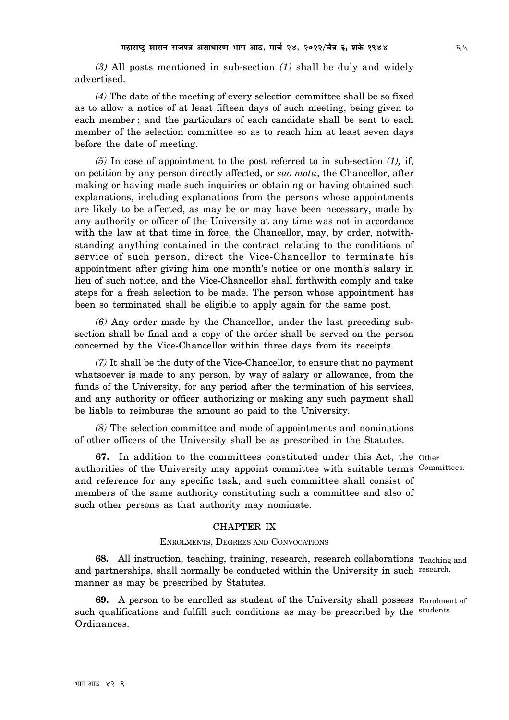*(3)* All posts mentioned in sub-section *(1)* shall be duly and widely advertised.

*(4)* The date of the meeting of every selection committee shall be so fixed as to allow a notice of at least fifteen days of such meeting, being given to each member ; and the particulars of each candidate shall be sent to each member of the selection committee so as to reach him at least seven days before the date of meeting.

*(5)* In case of appointment to the post referred to in sub-section *(1),* if, on petition by any person directly affected, or *suo motu*, the Chancellor, after making or having made such inquiries or obtaining or having obtained such explanations, including explanations from the persons whose appointments are likely to be affected, as may be or may have been necessary, made by any authority or officer of the University at any time was not in accordance with the law at that time in force, the Chancellor, may, by order, notwithstanding anything contained in the contract relating to the conditions of service of such person, direct the Vice-Chancellor to terminate his appointment after giving him one month's notice or one month's salary in lieu of such notice, and the Vice-Chancellor shall forthwith comply and take steps for a fresh selection to be made. The person whose appointment has been so terminated shall be eligible to apply again for the same post.

*(6)* Any order made by the Chancellor, under the last preceding subsection shall be final and a copy of the order shall be served on the person concerned by the Vice-Chancellor within three days from its receipts.

*(7)* It shall be the duty of the Vice-Chancellor, to ensure that no payment whatsoever is made to any person, by way of salary or allowance, from the funds of the University, for any period after the termination of his services, and any authority or officer authorizing or making any such payment shall be liable to reimburse the amount so paid to the University.

*(8)* The selection committee and mode of appointments and nominations of other officers of the University shall be as prescribed in the Statutes.

**67.** In addition to the committees constituted under this Act, the Other authorities of the University may appoint committee with suitable terms Committees. and reference for any specific task, and such committee shall consist of members of the same authority constituting such a committee and also of such other persons as that authority may nominate.

## CHAPTER IX

#### ENROLMENTS, DEGREES AND CONVOCATIONS

**68.** All instruction, teaching, training, research, research collaborations Teaching and and partnerships, shall normally be conducted within the University in such research. manner as may be prescribed by Statutes.

**69.** A person to be enrolled as student of the University shall possess Enrolment of such qualifications and fulfill such conditions as may be prescribed by the students. Ordinances.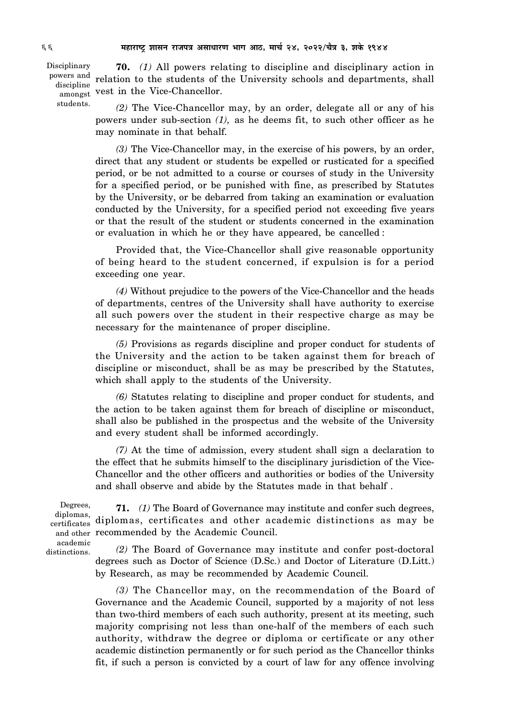Disciplinary discipline students.

**70.** *(1)* All powers relating to discipline and disciplinary action in powers and relation to the students of the University schools and departments, shall amongst vest in the Vice-Chancellor.

> *(2)* The Vice-Chancellor may, by an order, delegate all or any of his powers under sub-section *(1),* as he deems fit, to such other officer as he may nominate in that behalf.

> *(3)* The Vice-Chancellor may, in the exercise of his powers, by an order, direct that any student or students be expelled or rusticated for a specified period, or be not admitted to a course or courses of study in the University for a specified period, or be punished with fine, as prescribed by Statutes by the University, or be debarred from taking an examination or evaluation conducted by the University, for a specified period not exceeding five years or that the result of the student or students concerned in the examination or evaluation in which he or they have appeared, be cancelled :

> Provided that, the Vice-Chancellor shall give reasonable opportunity of being heard to the student concerned, if expulsion is for a period exceeding one year.

> *(4)* Without prejudice to the powers of the Vice-Chancellor and the heads of departments, centres of the University shall have authority to exercise all such powers over the student in their respective charge as may be necessary for the maintenance of proper discipline.

> *(5)* Provisions as regards discipline and proper conduct for students of the University and the action to be taken against them for breach of discipline or misconduct, shall be as may be prescribed by the Statutes, which shall apply to the students of the University.

> *(6)* Statutes relating to discipline and proper conduct for students, and the action to be taken against them for breach of discipline or misconduct, shall also be published in the prospectus and the website of the University and every student shall be informed accordingly.

> *(7)* At the time of admission, every student shall sign a declaration to the effect that he submits himself to the disciplinary jurisdiction of the Vice-Chancellor and the other officers and authorities or bodies of the University and shall observe and abide by the Statutes made in that behalf .

Degrees, diplomas, certificates academic distinctions.

**71.** *(1)* The Board of Governance may institute and confer such degrees, diplomas, certificates and other academic distinctions as may be and other recommended by the Academic Council.

> *(2)* The Board of Governance may institute and confer post-doctoral degrees such as Doctor of Science (D.Sc.) and Doctor of Literature (D.Litt.) by Research, as may be recommended by Academic Council.

> *(3)* The Chancellor may, on the recommendation of the Board of Governance and the Academic Council, supported by a majority of not less than two-third members of each such authority, present at its meeting, such majority comprising not less than one-half of the members of each such authority, withdraw the degree or diploma or certificate or any other academic distinction permanently or for such period as the Chancellor thinks fit, if such a person is convicted by a court of law for any offence involving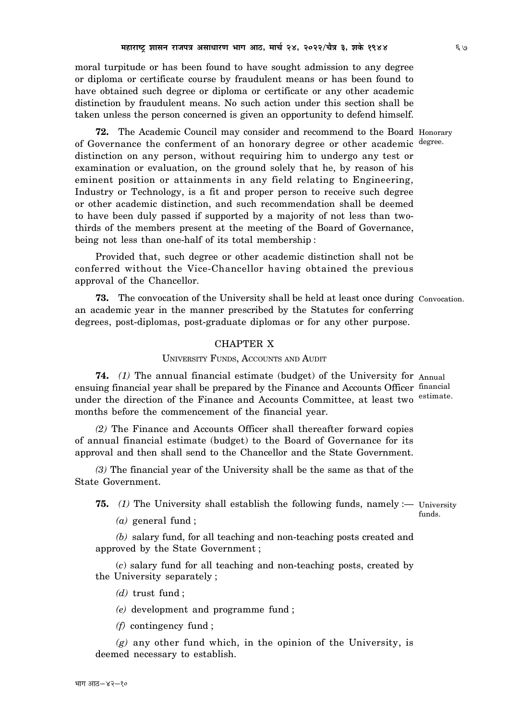moral turpitude or has been found to have sought admission to any degree or diploma or certificate course by fraudulent means or has been found to have obtained such degree or diploma or certificate or any other academic distinction by fraudulent means. No such action under this section shall be taken unless the person concerned is given an opportunity to defend himself.

**72.** The Academic Council may consider and recommend to the Board Honorary of Governance the conferment of an honorary degree or other academic degree. distinction on any person, without requiring him to undergo any test or examination or evaluation, on the ground solely that he, by reason of his eminent position or attainments in any field relating to Engineering, Industry or Technology, is a fit and proper person to receive such degree or other academic distinction, and such recommendation shall be deemed to have been duly passed if supported by a majority of not less than twothirds of the members present at the meeting of the Board of Governance, being not less than one-half of its total membership :

Provided that, such degree or other academic distinction shall not be conferred without the Vice-Chancellor having obtained the previous approval of the Chancellor.

**73.** The convocation of the University shall be held at least once during Convocation. an academic year in the manner prescribed by the Statutes for conferring degrees, post-diplomas, post-graduate diplomas or for any other purpose.

# CHAPTER X

### UNIVERSITY FUNDS, ACCOUNTS AND AUDIT

**74.** *(1)* The annual financial estimate (budget) of the University for Annual ensuing financial year shall be prepared by the Finance and Accounts Officer financial under the direction of the Finance and Accounts Committee, at least two estimate. months before the commencement of the financial year.

*(2)* The Finance and Accounts Officer shall thereafter forward copies of annual financial estimate (budget) to the Board of Governance for its approval and then shall send to the Chancellor and the State Government.

*(3)* The financial year of the University shall be the same as that of the State Government.

**75.** (1) The University shall establish the following funds, namely :— University

*(a)* general fund ;

*(b)* salary fund, for all teaching and non-teaching posts created and approved by the State Government ;

(*c*) salary fund for all teaching and non-teaching posts, created by the University separately ;

*(d)* trust fund ;

*(e)* development and programme fund ;

*(f)* contingency fund ;

*(g)* any other fund which, in the opinion of the University, is deemed necessary to establish.

funds.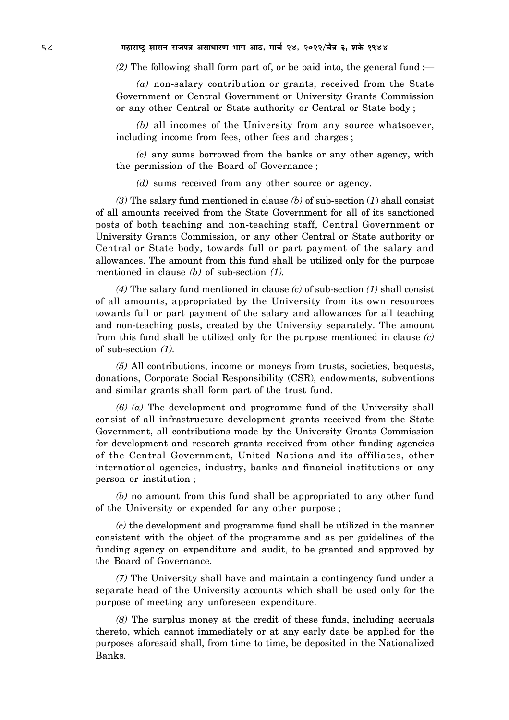*(2)* The following shall form part of, or be paid into, the general fund :—

*(a)* non-salary contribution or grants, received from the State Government or Central Government or University Grants Commission or any other Central or State authority or Central or State body ;

*(b)* all incomes of the University from any source whatsoever, including income from fees, other fees and charges ;

*(c)* any sums borrowed from the banks or any other agency, with the permission of the Board of Governance ;

*(d)* sums received from any other source or agency.

*(3)* The salary fund mentioned in clause *(b)* of sub-section (*1*) shall consist of all amounts received from the State Government for all of its sanctioned posts of both teaching and non-teaching staff, Central Government or University Grants Commission, or any other Central or State authority or Central or State body, towards full or part payment of the salary and allowances. The amount from this fund shall be utilized only for the purpose mentioned in clause *(b)* of sub-section *(1).*

*(4)* The salary fund mentioned in clause *(c)* of sub-section *(1)* shall consist of all amounts, appropriated by the University from its own resources towards full or part payment of the salary and allowances for all teaching and non-teaching posts, created by the University separately. The amount from this fund shall be utilized only for the purpose mentioned in clause *(c)* of sub-section *(1).*

*(5)* All contributions, income or moneys from trusts, societies, bequests, donations, Corporate Social Responsibility (CSR), endowments, subventions and similar grants shall form part of the trust fund.

*(6) (a)* The development and programme fund of the University shall consist of all infrastructure development grants received from the State Government, all contributions made by the University Grants Commission for development and research grants received from other funding agencies of the Central Government, United Nations and its affiliates, other international agencies, industry, banks and financial institutions or any person or institution ;

*(b)* no amount from this fund shall be appropriated to any other fund of the University or expended for any other purpose ;

*(c)* the development and programme fund shall be utilized in the manner consistent with the object of the programme and as per guidelines of the funding agency on expenditure and audit, to be granted and approved by the Board of Governance.

*(7)* The University shall have and maintain a contingency fund under a separate head of the University accounts which shall be used only for the purpose of meeting any unforeseen expenditure.

*(8)* The surplus money at the credit of these funds, including accruals thereto, which cannot immediately or at any early date be applied for the purposes aforesaid shall, from time to time, be deposited in the Nationalized Banks.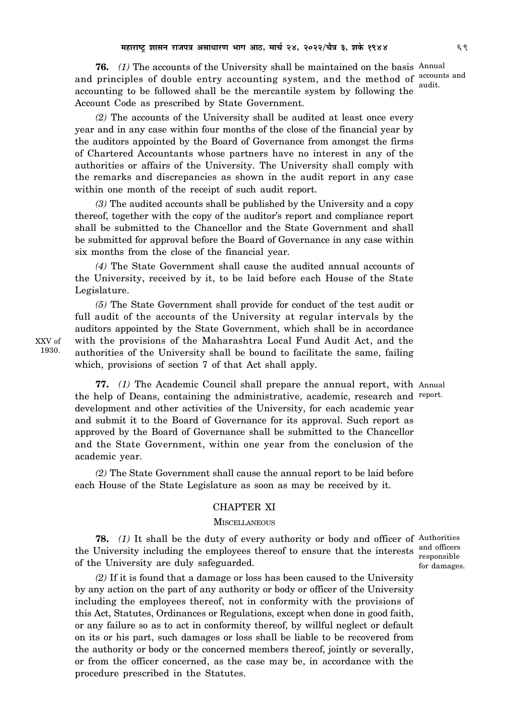**76.** *(1)* The accounts of the University shall be maintained on the basis Annual and principles of double entry accounting system, and the method of accounts and accounting to be followed shall be the mercantile system by following the Account Code as prescribed by State Government. audit.

*(2)* The accounts of the University shall be audited at least once every year and in any case within four months of the close of the financial year by the auditors appointed by the Board of Governance from amongst the firms of Chartered Accountants whose partners have no interest in any of the authorities or affairs of the University. The University shall comply with the remarks and discrepancies as shown in the audit report in any case within one month of the receipt of such audit report.

*(3)* The audited accounts shall be published by the University and a copy thereof, together with the copy of the auditor's report and compliance report shall be submitted to the Chancellor and the State Government and shall be submitted for approval before the Board of Governance in any case within six months from the close of the financial year.

*(4)* The State Government shall cause the audited annual accounts of the University, received by it, to be laid before each House of the State Legislature.

*(5)* The State Government shall provide for conduct of the test audit or full audit of the accounts of the University at regular intervals by the auditors appointed by the State Government, which shall be in accordance with the provisions of the Maharashtra Local Fund Audit Act, and the authorities of the University shall be bound to facilitate the same, failing which, provisions of section 7 of that Act shall apply.

**77.** *(1)* The Academic Council shall prepare the annual report, with Annual the help of Deans, containing the administrative, academic, research and report. development and other activities of the University, for each academic year and submit it to the Board of Governance for its approval. Such report as approved by the Board of Governance shall be submitted to the Chancellor and the State Government, within one year from the conclusion of the academic year.

*(2)* The State Government shall cause the annual report to be laid before each House of the State Legislature as soon as may be received by it.

### CHAPTER XI

#### **MISCELLANEOUS**

**78.** *(1)* It shall be the duty of every authority or body and officer of Authorities the University including the employees thereof to ensure that the interests and officers of the University are duly safeguarded.

*(2)* If it is found that a damage or loss has been caused to the University by any action on the part of any authority or body or officer of the University including the employees thereof, not in conformity with the provisions of this Act, Statutes, Ordinances or Regulations, except when done in good faith, or any failure so as to act in conformity thereof, by willful neglect or default on its or his part, such damages or loss shall be liable to be recovered from the authority or body or the concerned members thereof, jointly or severally, or from the officer concerned, as the case may be, in accordance with the procedure prescribed in the Statutes.

responsible for damages.

XXV of 1930.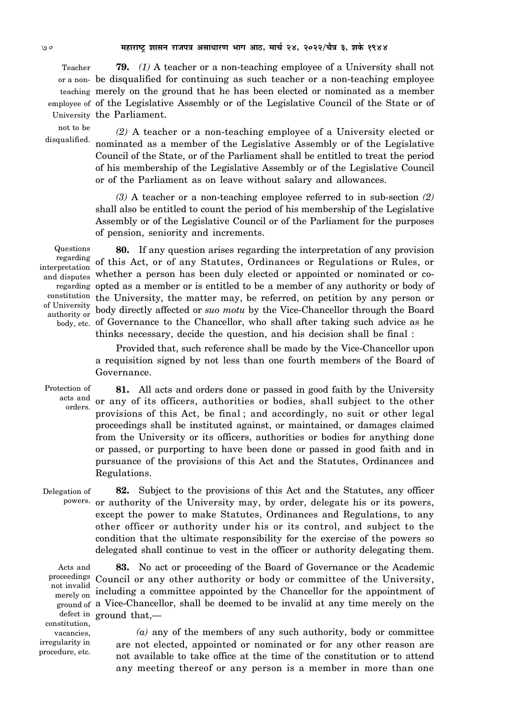**79.** *(1)* A teacher or a non-teaching employee of a University shall not be disqualified for continuing as such teacher or a non-teaching employee or a nonmerely on the ground that he has been elected or nominated as a member teaching employee of of the Legislative Assembly or of the Legislative Council of the State or of University the Parliament. Teacher

not to be disqualified.

*(2)* A teacher or a non-teaching employee of a University elected or nominated as a member of the Legislative Assembly or of the Legislative Council of the State, or of the Parliament shall be entitled to treat the period of his membership of the Legislative Assembly or of the Legislative Council or of the Parliament as on leave without salary and allowances.

*(3)* A teacher or a non-teaching employee referred to in sub-section *(2)* shall also be entitled to count the period of his membership of the Legislative Assembly or of the Legislative Council or of the Parliament for the purposes of pension, seniority and increments.

Questions regarding interpretation authority or

**80.** If any question arises regarding the interpretation of any provision of this Act, or of any Statutes, Ordinances or Regulations or Rules, or and disputes whether a person has been duly elected or appointed or nominated or coregarding opted as a member or is entitled to be a member of any authority or body of constitution the University, the matter may, be referred, on petition by any person or of University body directly affected or *suo motu* by the Vice-Chancellor through the Board body, etc. of Governance to the Chancellor, who shall after taking such advice as he thinks necessary, decide the question, and his decision shall be final :

> Provided that, such reference shall be made by the Vice-Chancellor upon a requisition signed by not less than one fourth members of the Board of Governance.

Protection of acts and orders.

**81.** All acts and orders done or passed in good faith by the University or any of its officers, authorities or bodies, shall subject to the other provisions of this Act, be final ; and accordingly, no suit or other legal proceedings shall be instituted against, or maintained, or damages claimed from the University or its officers, authorities or bodies for anything done or passed, or purporting to have been done or passed in good faith and in pursuance of the provisions of this Act and the Statutes, Ordinances and Regulations.

**82.** Subject to the provisions of this Act and the Statutes, any officer powers. or authority of the University may, by order, delegate his or its powers, except the power to make Statutes, Ordinances and Regulations, to any other officer or authority under his or its control, and subject to the condition that the ultimate responsibility for the exercise of the powers so delegated shall continue to vest in the officer or authority delegating them. Delegation of

Acts and proceedings merely on constitution, vacancies, irregularity in procedure, etc.

**83.** No act or proceeding of the Board of Governance or the Academic Council or any other authority or body or committee of the University, not invalid<br>merely on including a committee appointed by the Chancellor for the appointment of ground of a Vice-Chancellor, shall be deemed to be invalid at any time merely on the defect in ground that,—

> *(a)* any of the members of any such authority, body or committee are not elected, appointed or nominated or for any other reason are not available to take office at the time of the constitution or to attend any meeting thereof or any person is a member in more than one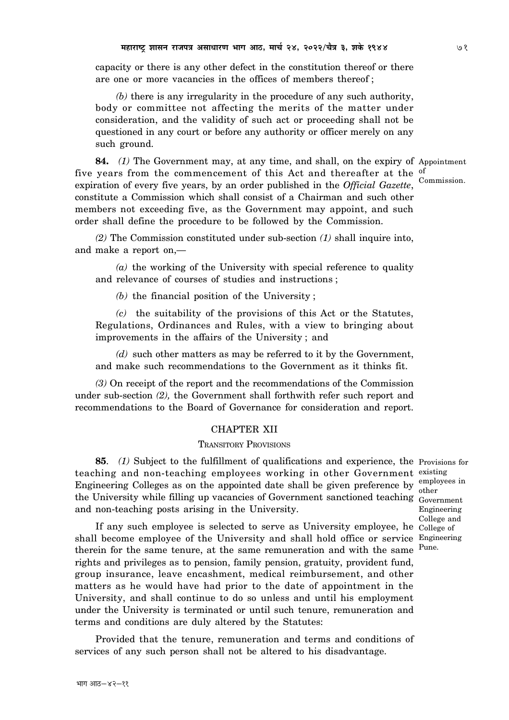capacity or there is any other defect in the constitution thereof or there are one or more vacancies in the offices of members thereof ;

*(b)* there is any irregularity in the procedure of any such authority, body or committee not affecting the merits of the matter under consideration, and the validity of such act or proceeding shall not be questioned in any court or before any authority or officer merely on any such ground.

**84.** (1) The Government may, at any time, and shall, on the expiry of Appointment five years from the commencement of this Act and thereafter at the  $\frac{6}{5}$ expiration of every five years, by an order published in the *Official Gazette*, constitute a Commission which shall consist of a Chairman and such other members not exceeding five, as the Government may appoint, and such order shall define the procedure to be followed by the Commission. Commission.

*(2)* The Commission constituted under sub-section *(1)* shall inquire into, and make a report on,—

*(a)* the working of the University with special reference to quality and relevance of courses of studies and instructions ;

*(b)* the financial position of the University ;

*(c)* the suitability of the provisions of this Act or the Statutes, Regulations, Ordinances and Rules, with a view to bringing about improvements in the affairs of the University ; and

*(d)* such other matters as may be referred to it by the Government, and make such recommendations to the Government as it thinks fit.

*(3)* On receipt of the report and the recommendations of the Commission under sub-section *(2),* the Government shall forthwith refer such report and recommendations to the Board of Governance for consideration and report.

# CHAPTER XII

# TRANSITORY PROVISIONS

**85**. *(1)* Subject to the fulfillment of qualifications and experience, the Provisions for teaching and non-teaching employees working in other Government existing Engineering Colleges as on the appointed date shall be given preference by  $\frac{\text{employees in}}{\text{at } \text{emgl} }$ the University while filling up vacancies of Government sanctioned teaching Government and non-teaching posts arising in the University.

other Engineering College and

If any such employee is selected to serve as University employee, he College of shall become employee of the University and shall hold office or service Engineering therein for the same tenure, at the same remuneration and with the same <sup>Pune.</sup> rights and privileges as to pension, family pension, gratuity, provident fund, group insurance, leave encashment, medical reimbursement, and other matters as he would have had prior to the date of appointment in the University, and shall continue to do so unless and until his employment under the University is terminated or until such tenure, remuneration and terms and conditions are duly altered by the Statutes:

Provided that the tenure, remuneration and terms and conditions of services of any such person shall not be altered to his disadvantage.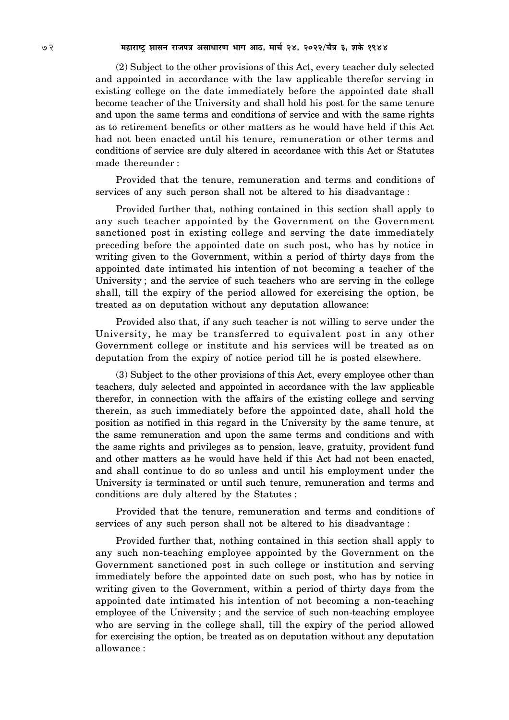(2) Subject to the other provisions of this Act, every teacher duly selected and appointed in accordance with the law applicable therefor serving in existing college on the date immediately before the appointed date shall become teacher of the University and shall hold his post for the same tenure and upon the same terms and conditions of service and with the same rights as to retirement benefits or other matters as he would have held if this Act had not been enacted until his tenure, remuneration or other terms and conditions of service are duly altered in accordance with this Act or Statutes made thereunder :

Provided that the tenure, remuneration and terms and conditions of services of any such person shall not be altered to his disadvantage :

Provided further that, nothing contained in this section shall apply to any such teacher appointed by the Government on the Government sanctioned post in existing college and serving the date immediately preceding before the appointed date on such post, who has by notice in writing given to the Government, within a period of thirty days from the appointed date intimated his intention of not becoming a teacher of the University; and the service of such teachers who are serving in the college shall, till the expiry of the period allowed for exercising the option, be treated as on deputation without any deputation allowance:

Provided also that, if any such teacher is not willing to serve under the University, he may be transferred to equivalent post in any other Government college or institute and his services will be treated as on deputation from the expiry of notice period till he is posted elsewhere.

(3) Subject to the other provisions of this Act, every employee other than teachers, duly selected and appointed in accordance with the law applicable therefor, in connection with the affairs of the existing college and serving therein, as such immediately before the appointed date, shall hold the position as notified in this regard in the University by the same tenure, at the same remuneration and upon the same terms and conditions and with the same rights and privileges as to pension, leave, gratuity, provident fund and other matters as he would have held if this Act had not been enacted, and shall continue to do so unless and until his employment under the University is terminated or until such tenure, remuneration and terms and conditions are duly altered by the Statutes :

Provided that the tenure, remuneration and terms and conditions of services of any such person shall not be altered to his disadvantage :

Provided further that, nothing contained in this section shall apply to any such non-teaching employee appointed by the Government on the Government sanctioned post in such college or institution and serving immediately before the appointed date on such post, who has by notice in writing given to the Government, within a period of thirty days from the appointed date intimated his intention of not becoming a non-teaching employee of the University ; and the service of such non-teaching employee who are serving in the college shall, till the expiry of the period allowed for exercising the option, be treated as on deputation without any deputation allowance :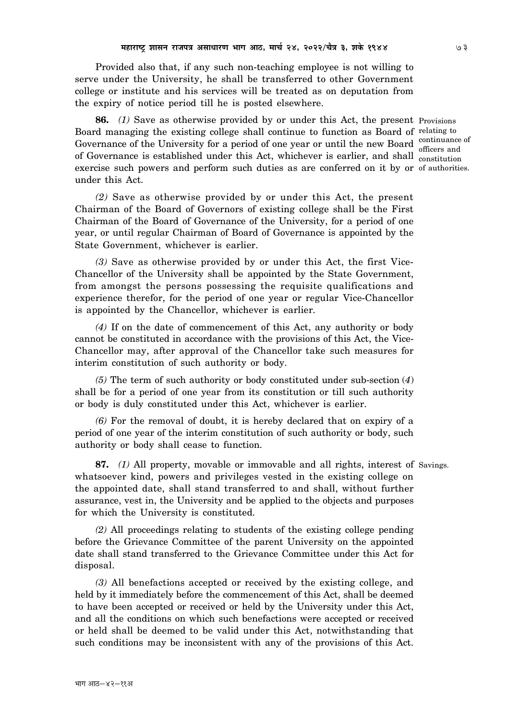Provided also that, if any such non-teaching employee is not willing to serve under the University, he shall be transferred to other Government college or institute and his services will be treated as on deputation from the expiry of notice period till he is posted elsewhere.

**86.** *(1)* Save as otherwise provided by or under this Act, the present Provisions Board managing the existing college shall continue to function as Board of relating to Governance of the University for a period of one year or until the new Board continuance of of Governance is established under this Act, whichever is earlier, and shall constitution exercise such powers and perform such duties as are conferred on it by or of authorities. under this Act. officers and

*(2)* Save as otherwise provided by or under this Act, the present Chairman of the Board of Governors of existing college shall be the First Chairman of the Board of Governance of the University, for a period of one year, or until regular Chairman of Board of Governance is appointed by the State Government, whichever is earlier.

*(3)* Save as otherwise provided by or under this Act, the first Vice-Chancellor of the University shall be appointed by the State Government, from amongst the persons possessing the requisite qualifications and experience therefor, for the period of one year or regular Vice-Chancellor is appointed by the Chancellor, whichever is earlier.

*(4)* If on the date of commencement of this Act, any authority or body cannot be constituted in accordance with the provisions of this Act, the Vice-Chancellor may, after approval of the Chancellor take such measures for interim constitution of such authority or body.

*(5)* The term of such authority or body constituted under sub-section (*4*) shall be for a period of one year from its constitution or till such authority or body is duly constituted under this Act, whichever is earlier.

*(6)* For the removal of doubt, it is hereby declared that on expiry of a period of one year of the interim constitution of such authority or body, such authority or body shall cease to function.

**87.** *(1)* All property, movable or immovable and all rights, interest of Savings. whatsoever kind, powers and privileges vested in the existing college on the appointed date, shall stand transferred to and shall, without further assurance, vest in, the University and be applied to the objects and purposes for which the University is constituted.

*(2)* All proceedings relating to students of the existing college pending before the Grievance Committee of the parent University on the appointed date shall stand transferred to the Grievance Committee under this Act for disposal.

*(3)* All benefactions accepted or received by the existing college, and held by it immediately before the commencement of this Act, shall be deemed to have been accepted or received or held by the University under this Act, and all the conditions on which such benefactions were accepted or received or held shall be deemed to be valid under this Act, notwithstanding that such conditions may be inconsistent with any of the provisions of this Act.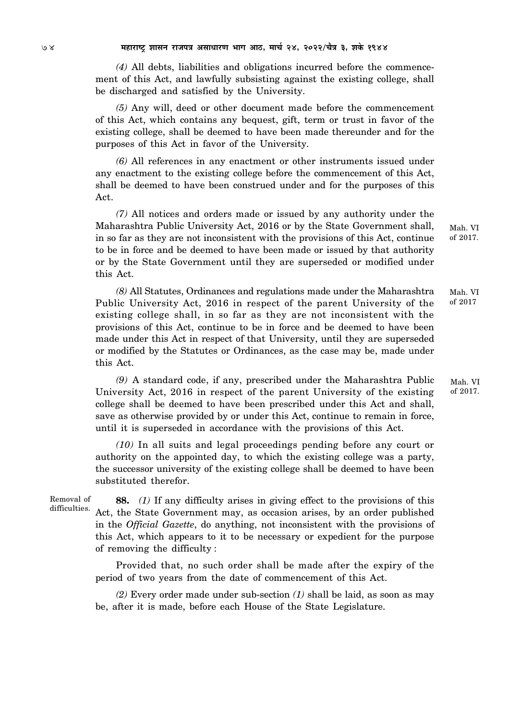*(4)* All debts, liabilities and obligations incurred before the commencement of this Act, and lawfully subsisting against the existing college, shall be discharged and satisfied by the University.

*(5)* Any will, deed or other document made before the commencement of this Act, which contains any bequest, gift, term or trust in favor of the existing college, shall be deemed to have been made thereunder and for the purposes of this Act in favor of the University.

*(6)* All references in any enactment or other instruments issued under any enactment to the existing college before the commencement of this Act, shall be deemed to have been construed under and for the purposes of this Act.

*(7)* All notices and orders made or issued by any authority under the Maharashtra Public University Act, 2016 or by the State Government shall, in so far as they are not inconsistent with the provisions of this Act, continue to be in force and be deemed to have been made or issued by that authority or by the State Government until they are superseded or modified under this Act.

*(8)* All Statutes, Ordinances and regulations made under the Maharashtra Public University Act, 2016 in respect of the parent University of the existing college shall, in so far as they are not inconsistent with the provisions of this Act, continue to be in force and be deemed to have been made under this Act in respect of that University, until they are superseded or modified by the Statutes or Ordinances, as the case may be, made under this Act. Mah. VI of 2017

*(9)* A standard code, if any, prescribed under the Maharashtra Public University Act, 2016 in respect of the parent University of the existing college shall be deemed to have been prescribed under this Act and shall, save as otherwise provided by or under this Act, continue to remain in force, until it is superseded in accordance with the provisions of this Act. Mah. VI

*(10)* In all suits and legal proceedings pending before any court or authority on the appointed day, to which the existing college was a party, the successor university of the existing college shall be deemed to have been substituted therefor.

Removal of difficulties.

**88.** *(1)* If any difficulty arises in giving effect to the provisions of this Act, the State Government may, as occasion arises, by an order published in the *Official Gazette*, do anything, not inconsistent with the provisions of this Act, which appears to it to be necessary or expedient for the purpose of removing the difficulty :

Provided that, no such order shall be made after the expiry of the period of two years from the date of commencement of this Act.

*(2)* Every order made under sub-section *(1)* shall be laid, as soon as may be, after it is made, before each House of the State Legislature.

Mah. VI of 2017.

of 2017.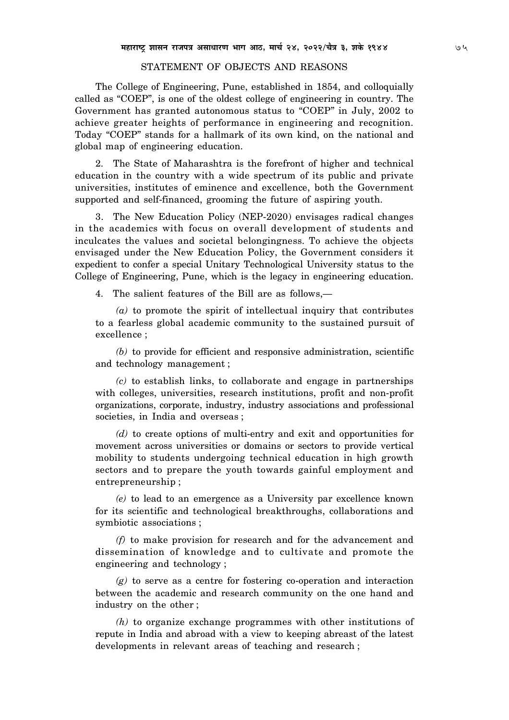## STATEMENT OF OBJECTS AND REASONS

The College of Engineering, Pune, established in 1854, and colloquially called as "COEP", is one of the oldest college of engineering in country. The Government has granted autonomous status to "COEP" in July, 2002 to achieve greater heights of performance in engineering and recognition. Today "COEP" stands for a hallmark of its own kind, on the national and global map of engineering education.

2. The State of Maharashtra is the forefront of higher and technical education in the country with a wide spectrum of its public and private universities, institutes of eminence and excellence, both the Government supported and self-financed, grooming the future of aspiring youth.

3. The New Education Policy (NEP-2020) envisages radical changes in the academics with focus on overall development of students and inculcates the values and societal belongingness. To achieve the objects envisaged under the New Education Policy, the Government considers it expedient to confer a special Unitary Technological University status to the College of Engineering, Pune, which is the legacy in engineering education.

4. The salient features of the Bill are as follows,—

*(a)* to promote the spirit of intellectual inquiry that contributes to a fearless global academic community to the sustained pursuit of excellence ;

*(b)* to provide for efficient and responsive administration, scientific and technology management ;

*(c)* to establish links, to collaborate and engage in partnerships with colleges, universities, research institutions, profit and non-profit organizations, corporate, industry, industry associations and professional societies, in India and overseas ;

*(d)* to create options of multi-entry and exit and opportunities for movement across universities or domains or sectors to provide vertical mobility to students undergoing technical education in high growth sectors and to prepare the youth towards gainful employment and entrepreneurship ;

*(e)* to lead to an emergence as a University par excellence known for its scientific and technological breakthroughs, collaborations and symbiotic associations ;

*(f)* to make provision for research and for the advancement and dissemination of knowledge and to cultivate and promote the engineering and technology ;

*(g)* to serve as a centre for fostering co-operation and interaction between the academic and research community on the one hand and industry on the other ;

*(h)* to organize exchange programmes with other institutions of repute in India and abroad with a view to keeping abreast of the latest developments in relevant areas of teaching and research ;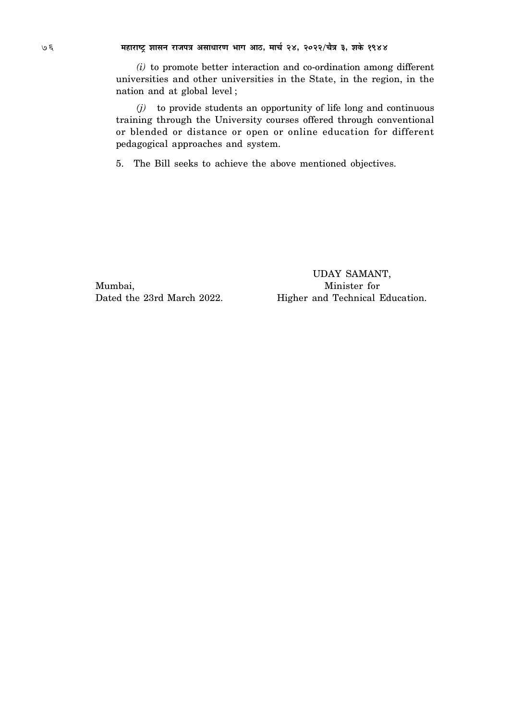$(i)$  to promote better interaction and co-ordination among different universities and other universities in the State, in the region, in the nation and at global level;

 $(j)$  to provide students an opportunity of life long and continuous training through the University courses offered through conventional or blended or distance or open or online education for different pedagogical approaches and system.

5. The Bill seeks to achieve the above mentioned objectives.

Mumbai, Dated the 23rd March 2022.

UDAY SAMANT, Minister for Higher and Technical Education.